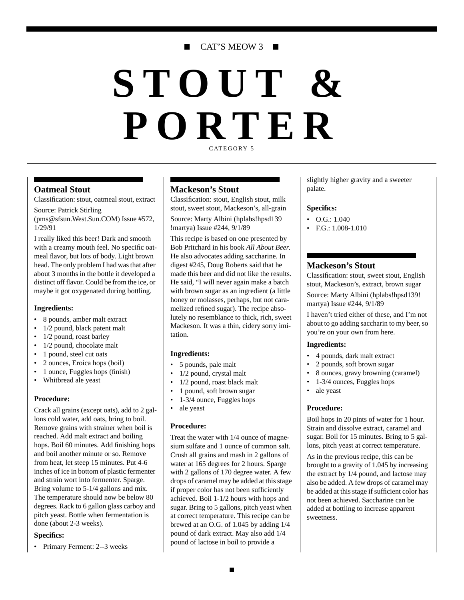### CAT'S MEOW 3

# **STOUT & PORTER** CATEGORY 5

#### **Oatmeal Stout**

Classification: stout, oatmeal stout, extract

Source: Patrick Stirling (pms@sfsun.West.Sun.COM) Issue #572, 1/29/91

I really liked this beer! Dark and smooth with a creamy mouth feel. No specific oatmeal flavor, but lots of body. Light brown head. The only problem I had was that after about 3 months in the bottle it developed a distinct off flavor. Could be from the ice, or maybe it got oxygenated during bottling.

#### **Ingredients:**

- 8 pounds, amber malt extract
- 1/2 pound, black patent malt
- 1/2 pound, roast barley
- 1/2 pound, chocolate malt
- 1 pound, steel cut oats
- 2 ounces, Eroica hops (boil)
- 1 ounce, Fuggles hops (finish)
- Whitbread ale yeast

#### **Procedure:**

Crack all grains (except oats), add to 2 gallons cold water, add oats, bring to boil. Remove grains with strainer when boil is reached. Add malt extract and boiling hops. Boil 60 minutes. Add finishing hops and boil another minute or so. Remove from heat, let steep 15 minutes. Put 4-6 inches of ice in bottom of plastic fermenter and strain wort into fermenter. Sparge. Bring volume to 5-1/4 gallons and mix. The temperature should now be below 80 degrees. Rack to 6 gallon glass carboy and pitch yeast. Bottle when fermentation is done (about 2-3 weeks).

#### **Specifics:**

• Primary Ferment: 2--3 weeks

#### **Mackeson's Stout**

Classification: stout, English stout, milk stout, sweet stout, Mackeson's, all-grain

Source: Marty Albini (hplabs!hpsd139 !martya) Issue #244, 9/1/89

This recipe is based on one presented by Bob Pritchard in his book *All About Beer*. He also advocates adding saccharine. In digest #245, Doug Roberts said that he made this beer and did not like the results. He said, "I will never again make a batch with brown sugar as an ingredient (a little honey or molasses, perhaps, but not caramelized refined sugar). The recipe absolutely no resemblance to thick, rich, sweet Mackeson. It was a thin, cidery sorry imitation.

#### **Ingredients:**

- 5 pounds, pale malt
- 1/2 pound, crystal malt
- 1/2 pound, roast black malt
- 1 pound, soft brown sugar
- 1-3/4 ounce, Fuggles hops
- ale yeast

#### **Procedure:**

Treat the water with 1/4 ounce of magnesium sulfate and 1 ounce of common salt. Crush all grains and mash in 2 gallons of water at 165 degrees for 2 hours. Sparge with 2 gallons of 170 degree water. A few drops of caramel may be added at this stage if proper color has not been sufficiently achieved. Boil 1-1/2 hours with hops and sugar. Bring to 5 gallons, pitch yeast when at correct temperature. This recipe can be brewed at an O.G. of 1.045 by adding 1/4 pound of dark extract. May also add 1/4 pound of lactose in boil to provide a

slightly higher gravity and a sweeter palate.

#### **Specifics:**

- O.G.: 1.040
- F.G.: 1.008-1.010

#### **Mackeson's Stout**

Classification: stout, sweet stout, English stout, Mackeson's, extract, brown sugar

Source: Marty Albini (hplabs!hpsd139! martya) Issue #244, 9/1/89

I haven't tried either of these, and I'm not about to go adding saccharin to my beer, so you're on your own from here.

#### **Ingredients:**

- 4 pounds, dark malt extract
- 2 pounds, soft brown sugar
- 8 ounces, gravy browning (caramel)
- 1-3/4 ounces, Fuggles hops
- ale yeast

#### **Procedure:**

Boil hops in 20 pints of water for 1 hour. Strain and dissolve extract, caramel and sugar. Boil for 15 minutes. Bring to 5 gallons, pitch yeast at correct temperature.

As in the previous recipe, this can be brought to a gravity of 1.045 by increasing the extract by 1/4 pound, and lactose may also be added. A few drops of caramel may be added at this stage if sufficient color has not been achieved. Saccharine can be added at bottling to increase apparent sweetness.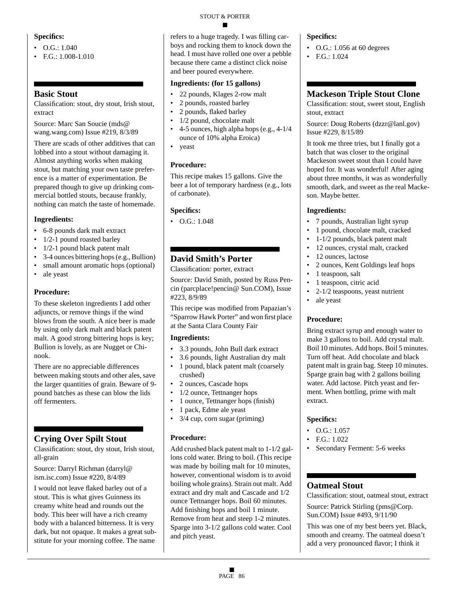#### **Specifics:**

- $\bullet$  O.G.: 1.040
- F.G.: 1.008-1.010

### **Basic Stout**

Classification: stout, dry stout, Irish stout, extract

Source: Marc San Soucie (mds@ wang.wang.com) Issue #219, 8/3/89

There are scads of other additives that can lobbed into a stout without damaging it. Almost anything works when making stout, but matching your own taste preference is a matter of experimentation. Be prepared though to give up drinking commercial bottled stouts, because frankly, nothing can match the taste of homemade.

#### **Ingredients:**

- 6-8 pounds dark malt extract
- 1/2-1 pound roasted barley
- 1/2-1 pound black patent malt
- 3-4 ounces bittering hops (e.g., Bullion)
- small amount aromatic hops (optional)
- ale yeast

#### **Procedure:**

To these skeleton ingredients I add other adjuncts, or remove things if the wind blows from the south. A nice beer is made by using only dark malt and black patent malt. A good strong bittering hops is key; Bullion is lovely, as are Nugget or Chinook.

There are no appreciable differences between making stouts and other ales, save the larger quantities of grain. Beware of 9 pound batches as these can blow the lids off fermenters.

### **Crying Over Spilt Stout**

Classification: stout, dry stout, Irish stout, all-grain

Source: Darryl Richman (darryl@ ism.isc.com) Issue #220, 8/4/89

I would not leave flaked barley out of a stout. This is what gives Guinness its creamy white head and rounds out the body. This beer will have a rich creamy body with a balanced bitterness. It is very dark, but not opaque. It makes a great substitute for your morning coffee. The name

#### STOUT & PORTER

refers to a huge tragedy. I was filling carboys and rocking them to knock down the head. I must have rolled one over a pebble because there came a distinct click noise and beer poured everywhere.

#### **Ingredients: (for 15 gallons)**

- 22 pounds, Klages 2-row malt
- 2 pounds, roasted barley
- 2 pounds, flaked barley
- $1/2$  pound, chocolate malt<br>•  $4-5$  ounces high alpha hon
- 4-5 ounces, high alpha hops (e.g., 4-1/4 ounce of 10% alpha Eroica)
- yeast

#### **Procedure:**

This recipe makes 15 gallons. Give the beer a lot of temporary hardness (e.g., lots of carbonate).

#### **Specifics:**

• O.G.: 1.048

### **David Smith's Porter**

Classification: porter, extract

Source: David Smith, posted by Russ Pencin (parcplace!pencin@ Sun.COM), Issue #223, 8/9/89

This recipe was modified from Papazian's "Sparrow Hawk Porter" and won first place at the Santa Clara County Fair

#### **Ingredients:**

- 3.3 pounds, John Bull dark extract
- 3.6 pounds, light Australian dry malt • 1 pound, black patent malt (coarsely crushed)
- 2 ounces, Cascade hops
- 1/2 ounce, Tettnanger hops
- 1 ounce, Tettnanger hops (finish)
- 1 pack, Edme ale yeast
- 3/4 cup, corn sugar (priming)

#### **Procedure:**

Add crushed black patent malt to 1-1/2 gallons cold water. Bring to boil. (This recipe was made by boiling malt for 10 minutes, however, conventional wisdom is to avoid boiling whole grains). Strain out malt. Add extract and dry malt and Cascade and 1/2 ounce Tettnanger hops. Boil 60 minutes. Add finishing hops and boil 1 minute. Remove from heat and steep 1-2 minutes. Sparge into 3-1/2 gallons cold water. Cool and pitch yeast.

#### **Specifics:**

- $\bullet$  O.G.: 1.056 at 60 degrees
- F.G.: 1.024

### **Mackeson Triple Stout Clone**

Classification: stout, sweet stout, English stout, extract

Source: Doug Roberts (dzzr@lanl.gov) Issue #229, 8/15/89

It took me three tries, but I finally got a batch that was closer to the original Mackeson sweet stout than I could have hoped for. It was wonderful! After aging about three months, it was as wonderfully smooth, dark, and sweet as the real Mackeson. Maybe better.

#### **Ingredients:**

- 7 pounds, Australian light syrup
- 1 pound, chocolate malt, cracked
- 1-1/2 pounds, black patent malt
- 12 ounces, crystal malt, cracked
- 12 ounces, lactose
- 2 ounces, Kent Goldings leaf hops
- 1 teaspoon, salt
- 1 teaspoon, citric acid
- 2-1/2 teaspoons, yeast nutrient
- ale yeast

#### **Procedure:**

Bring extract syrup and enough water to make 3 gallons to boil. Add crystal malt. Boil 10 minutes. Add hops. Boil 5 minutes. Turn off heat. Add chocolate and black patent malt in grain bag. Steep 10 minutes. Sparge grain bag with 2 gallons boiling water. Add lactose. Pitch yeast and ferment. When bottling, prime with malt extract.

#### **Specifics:**

- $\bullet$  O.G.: 1.057
- F.G.: 1.022
- Secondary Ferment: 5-6 weeks

#### **Oatmeal Stout**

Classification: stout, oatmeal stout, extract Source: Patrick Stirling (pms@Corp. Sun.COM) Issue #493, 9/11/90

This was one of my best beers yet. Black, smooth and creamy. The oatmeal doesn't add a very pronounced flavor; I think it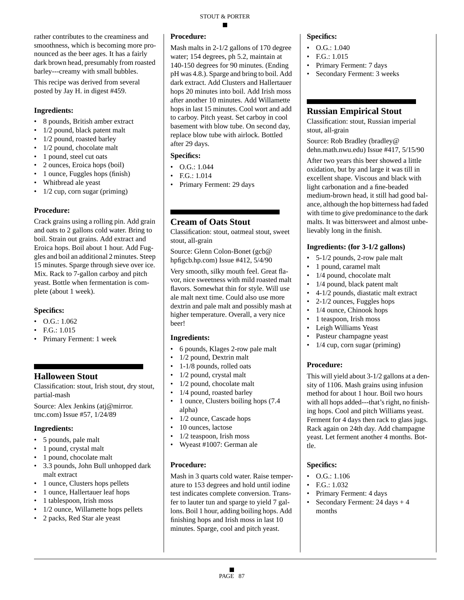rather contributes to the creaminess and smoothness, which is becoming more pronounced as the beer ages. It has a fairly dark brown head, presumably from roasted barley---creamy with small bubbles.

This recipe was derived from several posted by Jay H. in digest #459.

#### **Ingredients:**

- 8 pounds, British amber extract
- 1/2 pound, black patent malt
- 1/2 pound, roasted barley
- 1/2 pound, chocolate malt
- 1 pound, steel cut oats
- 2 ounces, Eroica hops (boil)
- 1 ounce, Fuggles hops (finish)
- Whitbread ale yeast
- 1/2 cup, corn sugar (priming)

#### **Procedure:**

Crack grains using a rolling pin. Add grain and oats to 2 gallons cold water. Bring to boil. Strain out grains. Add extract and Eroica hops. Boil about 1 hour. Add Fuggles and boil an additional 2 minutes. Steep 15 minutes. Sparge through sieve over ice. Mix. Rack to 7-gallon carboy and pitch yeast. Bottle when fermentation is complete (about 1 week).

#### **Specifics:**

- $\bullet$  O.G.: 1.062
- F.G.: 1.015
- Primary Ferment: 1 week

### **Halloween Stout**

Classification: stout, Irish stout, dry stout, partial-mash

Source: Alex Jenkins (atj@mirror. tmc.com) Issue #57, 1/24/89

#### **Ingredients:**

- 5 pounds, pale malt
- 1 pound, crystal malt
- 1 pound, chocolate malt
- 3.3 pounds, John Bull unhopped dark malt extract
- 1 ounce, Clusters hops pellets
- 1 ounce, Hallertauer leaf hops
- 1 tablespoon, Irish moss
- 1/2 ounce, Willamette hops pellets
- 2 packs, Red Star ale yeast

#### **Procedure:**

Mash malts in 2-1/2 gallons of 170 degree water; 154 degrees, ph 5.2, maintain at 140-150 degrees for 90 minutes. (Ending pH was 4.8.). Sparge and bring to boil. Add dark extract. Add Clusters and Hallertauer hops 20 minutes into boil. Add Irish moss after another 10 minutes. Add Willamette hops in last 15 minutes. Cool wort and add to carboy. Pitch yeast. Set carboy in cool basement with blow tube. On second day, replace blow tube with airlock. Bottled after 29 days.

#### **Specifics:**

- O.G.: 1.044
- F.G.: 1.014
- Primary Ferment: 29 days

### **Cream of Oats Stout**

Classification: stout, oatmeal stout, sweet stout, all-grain

Source: Glenn Colon-Bonet (gcb@ hpfigcb.hp.com) Issue #412, 5/4/90

Very smooth, silky mouth feel. Great flavor, nice sweetness with mild roasted malt flavors. Somewhat thin for style. Will use ale malt next time. Could also use more dextrin and pale malt and possibly mash at higher temperature. Overall, a very nice beer!

#### **Ingredients:**

- 6 pounds, Klages 2-row pale malt
- 1/2 pound, Dextrin malt
- 1-1/8 pounds, rolled oats
- 1/2 pound, crystal malt
- 1/2 pound, chocolate malt
- 1/4 pound, roasted barley
- 1 ounce, Clusters boiling hops  $(7.4)$ alpha)
- 1/2 ounce, Cascade hops
- 10 ounces, lactose
- 1/2 teaspoon, Irish moss
- Wyeast #1007: German ale

#### **Procedure:**

Mash in 3 quarts cold water. Raise temperature to 153 degrees and hold until iodine test indicates complete conversion. Transfer to lauter tun and sparge to yield 7 gallons. Boil 1 hour, adding boiling hops. Add finishing hops and Irish moss in last 10 minutes. Sparge, cool and pitch yeast.

#### **Specifics:**

- $O.G.: 1.040$
- F.G.: 1.015
- Primary Ferment: 7 days
- Secondary Ferment: 3 weeks

#### **Russian Empirical Stout**

Classification: stout, Russian imperial stout, all-grain

Source: Rob Bradley (bradley@ dehn.math.nwu.edu) Issue #417, 5/15/90

After two years this beer showed a little oxidation, but by and large it was till in excellent shape. Viscous and black with light carbonation and a fine-beaded medium-brown head, it still had good balance, although the hop bitterness had faded with time to give predominance to the dark malts. It was bittersweet and almost unbelievably long in the finish.

#### **Ingredients: (for 3-1/2 gallons)**

- 5-1/2 pounds, 2-row pale malt
- 1 pound, caramel malt
- 1/4 pound, chocolate malt
- 1/4 pound, black patent malt
- 4-1/2 pounds, diastatic malt extract
- 2-1/2 ounces, Fuggles hops
- 1/4 ounce, Chinook hops
- 1 teaspoon, Irish moss
- Leigh Williams Yeast
- Pasteur champagne yeast
- 1/4 cup, corn sugar (priming)

#### **Procedure:**

This will yield about 3-1/2 gallons at a density of 1106. Mash grains using infusion method for about 1 hour. Boil two hours with all hops added---that's right, no finishing hops. Cool and pitch Williams yeast. Ferment for 4 days then rack to glass jugs. Rack again on 24th day. Add champagne yeast. Let ferment another 4 months. Bottle.

- O.G.: 1.106
- F.G.: 1.032
- Primary Ferment: 4 days
- Secondary Ferment: 24 days + 4 months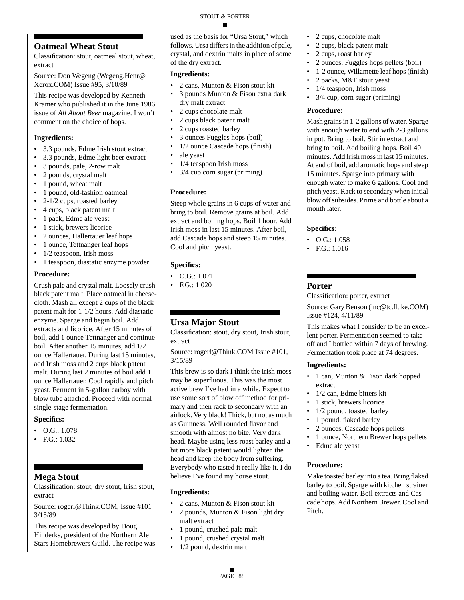### **Oatmeal Wheat Stout**

Classification: stout, oatmeal stout, wheat, extract

Source: Don Wegeng (Wegeng.Henr@ Xerox.COM) Issue #95, 3/10/89

This recipe was developed by Kenneth Kramer who published it in the June 1986 issue of *All About Beer* magazine. I won't comment on the choice of hops.

#### **Ingredients:**

- 3.3 pounds, Edme Irish stout extract
- 3.3 pounds, Edme light beer extract
- 3 pounds, pale, 2-row malt
- 2 pounds, crystal malt
- 1 pound, wheat malt
- 1 pound, old-fashion oatmeal
- 2-1/2 cups, roasted barley
- 4 cups, black patent malt
- 1 pack, Edme ale yeast
- 1 stick, brewers licorice
- 2 ounces, Hallertauer leaf hops
- 1 ounce, Tettnanger leaf hops
- 1/2 teaspoon, Irish moss
- 1 teaspoon, diastatic enzyme powder

#### **Procedure:**

Crush pale and crystal malt. Loosely crush black patent malt. Place oatmeal in cheesecloth. Mash all except 2 cups of the black patent malt for 1-1/2 hours. Add diastatic enzyme. Sparge and begin boil. Add extracts and licorice. After 15 minutes of boil, add 1 ounce Tettnanger and continue boil. After another 15 minutes, add 1/2 ounce Hallertauer. During last 15 minutes, add Irish moss and 2 cups black patent malt. During last 2 minutes of boil add 1 ounce Hallertauer. Cool rapidly and pitch yeast. Ferment in 5-gallon carboy with blow tube attached. Proceed with normal single-stage fermentation.

#### **Specifics:**

- $\bullet$  O.G.: 1.078
- F.G.: 1.032

### **Mega Stout**

Classification: stout, dry stout, Irish stout, extract

Source: rogerl@Think.COM, Issue #101 3/15/89

This recipe was developed by Doug Hinderks, president of the Northern Ale Stars Homebrewers Guild. The recipe was used as the basis for "Ursa Stout," which follows. Ursa differs in the addition of pale, crystal, and dextrin malts in place of some of the dry extract.

#### **Ingredients:**

- 2 cans, Munton & Fison stout kit
- 3 pounds Munton & Fison extra dark dry malt extract
- 2 cups chocolate malt
- 2 cups black patent malt
- 2 cups roasted barley
- 3 ounces Fuggles hops (boil)
- 1/2 ounce Cascade hops (finish)
- ale yeast
- 1/4 teaspoon Irish moss
- 3/4 cup corn sugar (priming)

#### **Procedure:**

Steep whole grains in 6 cups of water and bring to boil. Remove grains at boil. Add extract and boiling hops. Boil 1 hour. Add Irish moss in last 15 minutes. After boil, add Cascade hops and steep 15 minutes. Cool and pitch yeast.

#### **Specifics:**

- O.G.: 1.071
- F.G.: 1.020

### **Ursa Major Stout**

Classification: stout, dry stout, Irish stout, extract

Source: rogerl@Think.COM Issue #101, 3/15/89

This brew is so dark I think the Irish moss may be superfluous. This was the most active brew I've had in a while. Expect to use some sort of blow off method for primary and then rack to secondary with an airlock. Very black! Thick, but not as much as Guinness. Well rounded flavor and smooth with almost no bite. Very dark head. Maybe using less roast barley and a bit more black patent would lighten the head and keep the body from suffering. Everybody who tasted it really like it. I do believe I've found my house stout.

#### **Ingredients:**

- 2 cans, Munton & Fison stout kit
- 2 pounds, Munton & Fison light dry malt extract
- 1 pound, crushed pale malt
- 1 pound, crushed crystal malt
- 1/2 pound, dextrin malt
- 2 cups, chocolate malt
- 2 cups, black patent malt
- 2 cups, roast barley
- 2 ounces, Fuggles hops pellets (boil)
- 1-2 ounce, Willamette leaf hops (finish)
	- 2 packs, M&F stout yeast
	- 1/4 teaspoon, Irish moss
	- 3/4 cup, corn sugar (priming)

#### **Procedure:**

Mash grains in 1-2 gallons of water. Sparge with enough water to end with 2-3 gallons in pot. Bring to boil. Stir in extract and bring to boil. Add boiling hops. Boil 40 minutes. Add Irish moss in last 15 minutes. At end of boil, add aromatic hops and steep 15 minutes. Sparge into primary with enough water to make 6 gallons. Cool and pitch yeast. Rack to secondary when initial blow off subsides. Prime and bottle about a month later.

#### **Specifics:**

- O.G.: 1.058
- F.G.: 1.016

#### **Porter**

Classification: porter, extract

Source: Gary Benson (inc@tc.fluke.COM) Issue #124, 4/11/89

This makes what I consider to be an excellent porter. Fermentation seemed to take off and I bottled within 7 days of brewing. Fermentation took place at 74 degrees.

#### **Ingredients:**

- 1 can, Munton & Fison dark hopped extract
- 1/2 can, Edme bitters kit
- 1 stick, brewers licorice
- 1/2 pound, toasted barley
- 1 pound, flaked barley
- 2 ounces, Cascade hops pellets
- 1 ounce, Northern Brewer hops pellets
- Edme ale yeast

#### **Procedure:**

Make toasted barley into a tea. Bring flaked barley to boil. Sparge with kitchen strainer and boiling water. Boil extracts and Cascade hops. Add Northern Brewer. Cool and Pitch.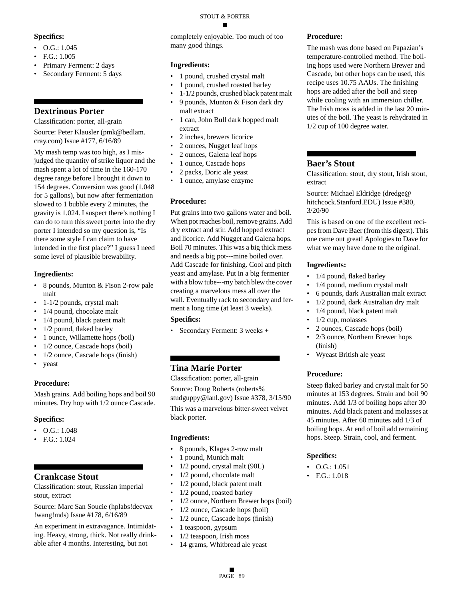#### **Specifics:**

#### •  $O.G.: 1.045$

- F.G.: 1.005
- Primary Ferment: 2 days
- Secondary Ferment: 5 days

### **Dextrinous Porter**

Classification: porter, all-grain

Source: Peter Klausler (pmk@bedlam. cray.com) Issue #177, 6/16/89

My mash temp was too high, as I misjudged the quantity of strike liquor and the mash spent a lot of time in the 160-170 degree range before I brought it down to 154 degrees. Conversion was good (1.048 for 5 gallons), but now after fermentation slowed to 1 bubble every 2 minutes, the gravity is 1.024. I suspect there's nothing I can do to turn this sweet porter into the dry porter I intended so my question is, "Is there some style I can claim to have intended in the first place?" I guess I need some level of plausible brewability.

#### **Ingredients:**

- 8 pounds, Munton & Fison 2-row pale malt
- 1-1/2 pounds, crystal malt
- 1/4 pound, chocolate malt
- 1/4 pound, black patent malt
- 1/2 pound, flaked barley
- 1 ounce, Willamette hops (boil)
- 1/2 ounce, Cascade hops (boil)
- 1/2 ounce, Cascade hops (finish)
- yeast

#### **Procedure:**

Mash grains. Add boiling hops and boil 90 minutes. Dry hop with 1/2 ounce Cascade.

#### **Specifics:**

- O.G.: 1.048
- F.G.: 1.024

#### **Crankcase Stout**

Classification: stout, Russian imperial stout, extract

Source: Marc San Soucie (hplabs!decvax !wang!mds) Issue #178, 6/16/89

An experiment in extravagance. Intimidating. Heavy, strong, thick. Not really drinkable after 4 months. Interesting, but not

#### STOUT & PORTER

completely enjoyable. Too much of too many good things.

#### **Ingredients:**

- 1 pound, crushed crystal malt
- 1 pound, crushed roasted barley
- 1-1/2 pounds, crushed black patent malt
- 9 pounds, Munton & Fison dark dry malt extract
- 1 can, John Bull dark hopped malt extract
- 2 inches, brewers licorice
- 2 ounces, Nugget leaf hops
- 2 ounces, Galena leaf hops
- 1 ounce, Cascade hops
- 2 packs, Doric ale yeast
- 1 ounce, amylase enzyme

#### **Procedure:**

Put grains into two gallons water and boil. When pot reaches boil, remove grains. Add dry extract and stir. Add hopped extract and licorice. Add Nugget and Galena hops. Boil 70 minutes. This was a big thick mess and needs a big pot---mine boiled over. Add Cascade for finishing. Cool and pitch yeast and amylase. Put in a big fermenter with a blow tube---my batch blew the cover creating a marvelous mess all over the wall. Eventually rack to secondary and ferment a long time (at least 3 weeks).

#### **Specifics:**

• Secondary Ferment: 3 weeks +

### **Tina Marie Porter**

Classification: porter, all-grain

Source: Doug Roberts (roberts% studguppy@lanl.gov) Issue #378, 3/15/90

This was a marvelous bitter-sweet velvet black porter.

#### **Ingredients:**

- 8 pounds, Klages 2-row malt
- 1 pound, Munich malt
- 1/2 pound, crystal malt (90L)
- 1/2 pound, chocolate malt
- 1/2 pound, black patent malt
- 1/2 pound, roasted barley
- 1/2 ounce, Northern Brewer hops (boil)
- 1/2 ounce, Cascade hops (boil)
- 1/2 ounce, Cascade hops (finish)
- 1 teaspoon, gypsum
- 1/2 teaspoon, Irish moss
- 14 grams, Whitbread ale yeast

#### **Procedure:**

The mash was done based on Papazian's temperature-controlled method. The boiling hops used were Northern Brewer and Cascade, but other hops can be used, this recipe uses 10.75 AAUs. The finishing hops are added after the boil and steep while cooling with an immersion chiller. The Irish moss is added in the last 20 minutes of the boil. The yeast is rehydrated in 1/2 cup of 100 degree water.

#### **Baer's Stout**

Classification: stout, dry stout, Irish stout, extract

Source: Michael Eldridge (dredge@ hitchcock.Stanford.EDU) Issue #380, 3/20/90

This is based on one of the excellent recipes from Dave Baer (from this digest). This one came out great! Apologies to Dave for what we may have done to the original.

#### **Ingredients:**

- 1/4 pound, flaked barley
- 1/4 pound, medium crystal malt
- 6 pounds, dark Australian malt extract
- 1/2 pound, dark Australian dry malt
- 1/4 pound, black patent malt
- 1/2 cup, molasses
- 2 ounces, Cascade hops (boil)
- 2/3 ounce, Northern Brewer hops (finish)
- Wyeast British ale yeast

#### **Procedure:**

Steep flaked barley and crystal malt for 50 minutes at 153 degrees. Strain and boil 90 minutes. Add 1/3 of boiling hops after 30 minutes. Add black patent and molasses at 45 minutes. After 60 minutes add 1/3 of boiling hops. At end of boil add remaining hops. Steep. Strain, cool, and ferment.

- O.G.: 1.051
- F.G.: 1.018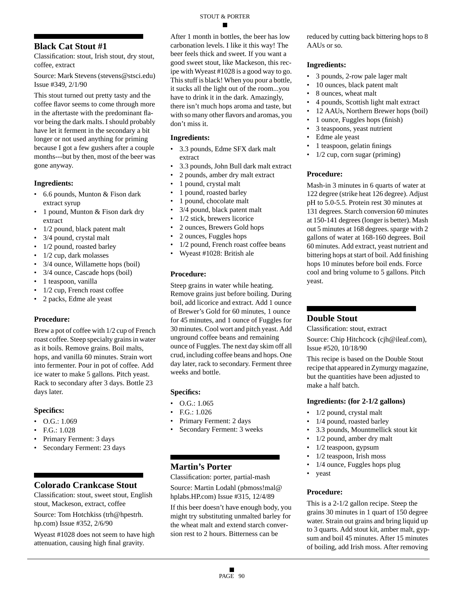### **Black Cat Stout #1**

Classification: stout, Irish stout, dry stout, coffee, extract

Source: Mark Stevens (stevens@stsci.edu) Issue #349, 2/1/90

This stout turned out pretty tasty and the coffee flavor seems to come through more in the aftertaste with the predominant flavor being the dark malts. I should probably have let it ferment in the secondary a bit longer or not used anything for priming because I got a few gushers after a couple months---but by then, most of the beer was gone anyway.

#### **Ingredients:**

- 6.6 pounds, Munton & Fison dark extract syrup
- 1 pound, Munton & Fison dark dry extract
- 1/2 pound, black patent malt
- 3/4 pound, crystal malt
- 1/2 pound, roasted barley
- 1/2 cup, dark molasses
- 3/4 ounce, Willamette hops (boil)
- 3/4 ounce, Cascade hops (boil)
- 1 teaspoon, vanilla
- 1/2 cup, French roast coffee
- 2 packs, Edme ale yeast

#### **Procedure:**

Brew a pot of coffee with 1/2 cup of French roast coffee. Steep specialty grains in water as it boils. Remove grains. Boil malts, hops, and vanilla 60 minutes. Strain wort into fermenter. Pour in pot of coffee. Add ice water to make 5 gallons. Pitch yeast. Rack to secondary after 3 days. Bottle 23 days later.

#### **Specifics:**

- $\bullet$  O.G.: 1.069
- F.G.: 1.028
- Primary Ferment: 3 days
- Secondary Ferment: 23 days

### **Colorado Crankcase Stout**

Classification: stout, sweet stout, English stout, Mackeson, extract, coffee

Source: Tom Hotchkiss (trh@hpestrh. hp.com) Issue #352, 2/6/90

Wyeast #1028 does not seem to have high attenuation, causing high final gravity.

After 1 month in bottles, the beer has low carbonation levels. I like it this way! The beer feels thick and sweet. If you want a good sweet stout, like Mackeson, this recipe with Wyeast #1028 is a good way to go. This stuff is black! When you pour a bottle, it sucks all the light out of the room...you have to drink it in the dark. Amazingly, there isn't much hops aroma and taste, but with so many other flavors and aromas, you don't miss it.

#### **Ingredients:**

- 3.3 pounds, Edme SFX dark malt extract
- 3.3 pounds, John Bull dark malt extract
- 2 pounds, amber dry malt extract
- 1 pound, crystal malt
- 1 pound, roasted barley
- 1 pound, chocolate malt
- 3/4 pound, black patent malt
- 1/2 stick, brewers licorice
- 2 ounces, Brewers Gold hops
- 2 ounces, Fuggles hops
- 1/2 pound, French roast coffee beans
- Wyeast #1028: British ale

#### **Procedure:**

Steep grains in water while heating. Remove grains just before boiling. During boil, add licorice and extract. Add 1 ounce of Brewer's Gold for 60 minutes, 1 ounce for 45 minutes, and 1 ounce of Fuggles for 30 minutes. Cool wort and pitch yeast. Add unground coffee beans and remaining ounce of Fuggles. The next day skim off all crud, including coffee beans and hops. One day later, rack to secondary. Ferment three weeks and bottle.

#### **Specifics:**

- O.G.: 1.065
- F.G.: 1.026
- Primary Ferment: 2 days
- Secondary Ferment: 3 weeks

### **Martin's Porter**

Classification: porter, partial-mash Source: Martin Lodahl (pbmoss!mal@ hplabs.HP.com) Issue #315, 12/4/89

If this beer doesn't have enough body, you might try substituting unmalted barley for the wheat malt and extend starch conversion rest to 2 hours. Bitterness can be

reduced by cutting back bittering hops to 8 AAUs or so.

#### **Ingredients:**

- 3 pounds, 2-row pale lager malt
- 10 ounces, black patent malt
- 8 ounces, wheat malt
- 4 pounds, Scottish light malt extract
- 12 AAUs, Northern Brewer hops (boil)
- 1 ounce, Fuggles hops (finish)
- 3 teaspoons, yeast nutrient
- Edme ale yeast
- 1 teaspoon, gelatin finings
- 1/2 cup, corn sugar (priming)

#### **Procedure:**

Mash-in 3 minutes in 6 quarts of water at 122 degree (strike heat 126 degree). Adjust pH to 5.0-5.5. Protein rest 30 minutes at 131 degrees. Starch conversion 60 minutes at 150-141 degrees (longer is better). Mash out 5 minutes at 168 degrees. sparge with 2 gallons of water at 168-160 degrees. Boil 60 minutes. Add extract, yeast nutrient and bittering hops at start of boil. Add finishing hops 10 minutes before boil ends. Force cool and bring volume to 5 gallons. Pitch yeast.

### **Double Stout**

Classification: stout, extract

Source: Chip Hitchcock (cjh@ileaf.com), Issue #520, 10/18/90

This recipe is based on the Double Stout recipe that appeared in Zymurgy magazine, but the quantities have been adjusted to make a half batch.

#### **Ingredients: (for 2-1/2 gallons)**

- 1/2 pound, crystal malt
- 1/4 pound, roasted barley
- 3.3 pounds, Mountmellick stout kit
- 1/2 pound, amber dry malt
- 1/2 teaspoon, gypsum
- $1/2$  teaspoon, Irish moss
- 1/4 ounce, Fuggles hops plug
- yeast

#### **Procedure:**

This is a 2-1/2 gallon recipe. Steep the grains 30 minutes in 1 quart of 150 degree water. Strain out grains and bring liquid up to 3 quarts. Add stout kit, amber malt, gypsum and boil 45 minutes. After 15 minutes of boiling, add Irish moss. After removing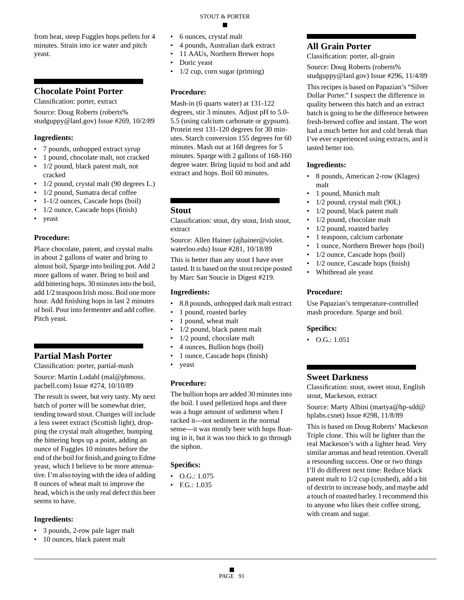from heat, steep Fuggles hops pellets for 4 minutes. Strain into ice water and pitch yeast.

### **Chocolate Point Porter**

Classification: porter, extract

Source: Doug Roberts (roberts% studguppy@lanl.gov) Issue #269, 10/2/89

#### **Ingredients:**

- 7 pounds, unhopped extract syrup
- 1 pound, chocolate malt, not cracked • 1/2 pound, black patent malt, not cracked
- 1/2 pound, crystal malt (90 degrees L.)
- 1/2 pound, Sumatra decaf coffee
- 1-1/2 ounces, Cascade hops (boil)
- 1/2 ounce, Cascade hops (finish)
- yeast

#### **Procedure:**

Place chocolate, patent, and crystal malts in about 2 gallons of water and bring to almost boil, Sparge into boiling pot. Add 2 more gallons of water. Bring to boil and add bittering hops. 30 minutes into the boil, add 1/2 teaspoon Irish moss. Boil one more hour. Add finishing hops in last 2 minutes of boil. Pour into fermenter and add coffee. Pitch yeast.

### **Partial Mash Porter**

Classification: porter, partial-mash

Source: Martin Lodahl (mal@pbmoss. pacbell.com) Issue #274, 10/10/89

The result is sweet, but very tasty. My next batch of porter will be somewhat drier, tending toward stout. Changes will include a less sweet extract (Scottish light), dropping the crystal malt altogether, bumping the bittering hops up a point, adding an ounce of Fuggles 10 minutes before the end of the boil for finish,and going to Edme yeast, which I believe to be more attenuative. I'm also toying with the idea of adding 8 ounces of wheat malt to improve the head, which is the only real defect this beer seems to have.

#### **Ingredients:**

- 3 pounds, 2-row pale lager malt
- 10 ounces, black patent malt
- 
- 6 ounces, crystal malt
- 4 pounds, Australian dark extract

STOUT & PORTER

- 11 AAUs, Northern Brewer hops
- Doric yeast
- $1/2$  cup, corn sugar (priming)

#### **Procedure:**

Mash-in (6 quarts water) at 131-122 degrees, stir 3 minutes. Adjust pH to 5.0- 5.5 (using calcium carbonate or gypsum). Protein rest 131-120 degrees for 30 minutes. Starch conversion 155 degrees for 60 minutes. Mash out at 168 degrees for 5 minutes. Sparge with 2 gallons of 168-160 degree water. Bring liquid to boil and add extract and hops. Boil 60 minutes.

#### **Stout**

Classification: stout, dry stout, Irish stout, extract

Source: Allen Hainer (ajhainer@violet. waterloo.edu) Issue #281, 10/18/89

This is better than any stout I have ever tasted. It is based on the stout recipe posted by Marc San Soucie in Digest #219.

#### **Ingredients:**

- 8.8 pounds, unhopped dark malt extract
- 1 pound, roasted barley
- 1 pound, wheat malt
- 1/2 pound, black patent malt
- 1/2 pound, chocolate malt
- 4 ounces, Bullion hops (boil)
- 1 ounce, Cascade hops (finish)
- yeast

#### **Procedure:**

The bullion hops are added 30 minutes into the boil. I used pelletized hops and there was a huge amount of sediment when I racked it---not sediment in the normal sense---it was mostly beer with hops floating in it, but it was too thick to go through the siphon.

#### **Specifics:**

- O.G.: 1.075
- F.G.: 1.035

### **All Grain Porter**

Classification: porter, all-grain

Source: Doug Roberts (roberts% studguppy@lanl.gov) Issue #296, 11/4/89

This recipes is based on Papazian's "Silver Dollar Porter." I suspect the difference in quality between this batch and an extract batch is going to be the difference between fresh-brewed coffee and instant. The wort had a much better hot and cold break than I've ever experienced using extracts, and it tasted better too.

#### **Ingredients:**

- 8 pounds, American 2-row (Klages) malt
- 1 pound, Munich malt
- 1/2 pound, crystal malt (90L)
- 1/2 pound, black patent malt
- 1/2 pound, chocolate malt
- 1/2 pound, roasted barley
- 1 teaspoon, calcium carbonate
- 1 ounce, Northern Brewer hops (boil)
- 1/2 ounce, Cascade hops (boil)
- 1/2 ounce, Cascade hops (finish)
- Whitbread ale yeast

#### **Procedure:**

Use Papazian's temperature-controlled mash procedure. Sparge and boil.

#### **Specifics:**

• O.G.: 1.051

#### **Sweet Darkness**

Classification: stout, sweet stout, English stout, Mackeson, extract

Source: Marty Albini (martya@hp-sdd@ hplabs.csnet) Issue #298, 11/8/89

This is based on Doug Roberts' Mackeson Triple clone. This will be lighter than the real Mackeson's with a lighter head. Very similar aromas and head retention. Overall a resounding success. One or two things I'll do different next time: Reduce black patent malt to 1/2 cup (crushed), add a bit of dextrin to increase body, and maybe add a touch of roasted barley. I recommend this to anyone who likes their coffee strong, with cream and sugar.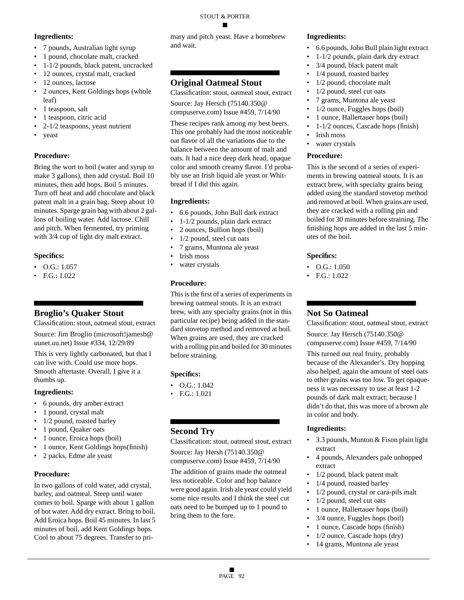#### STOUT & PORTER

#### **Ingredients:**

- 7 pounds, Australian light syrup
- 1 pound, chocolate malt, cracked
- 1-1/2 pounds, black patent, uncracked
- 12 ounces, crystal malt, cracked
- 12 ounces, lactose
- 2 ounces, Kent Goldings hops (whole leaf)
- 1 teaspoon, salt
- 1 teaspoon, citric acid
- 2-1/2 teaspoons, yeast nutrient
- yeast

### **Procedure:**

Bring the wort to boil (water and syrup to make 3 gallons), then add crystal. Boil 10 minutes, then add hops. Boil 5 minutes. Turn off heat and add chocolate and black patent malt in a grain bag. Steep about 10 minutes. Sparge grain bag with about 2 gallons of boiling water. Add lactose. Chill and pitch. When fermented, try priming with 3/4 cup of light dry malt extract.

### **Specifics:**

- O.G.: 1.057
- F.G.: 1.022

### **Broglio's Quaker Stout**

Classification: stout, oatmeal stout, extract Source: Jim Broglio (microsoft!jamesb@ uunet.uu.net) Issue #334, 12/29/89

This is very lightly carbonated, but that I can live with. Could use more hops. Smooth aftertaste. Overall, I give it a thumbs up.

#### **Ingredients:**

- 6 pounds, dry amber extract
- 1 pound, crystal malt
- 1/2 pound, roasted barley
- 1 pound, Quaker oats
- 1 ounce, Eroica hops (boil)
- 1 ounce, Kent Goldings hops(finish)
- 2 packs, Edme ale yeast

#### **Procedure:**

In two gallons of cold water, add crystal, barley, and oatmeal. Steep until water comes to boil. Sparge with about 1 gallon of hot water. Add dry extract. Bring to boil. Add Eroica hops. Boil 45 minutes. In last 5 minutes of boil, add Kent Goldings hops. Cool to about 75 degrees. Transfer to primary and pitch yeast. Have a homebrew and wait.

### **Original Oatmeal Stout**

Classification: stout, oatmeal stout, extract Source: Jay Hersch (75140.350@ compuserve.com) Issue #459, 7/14/90

These recipes rank among my best beers. This one probably had the most noticeable oat flavor of all the variations due to the balance between the amount of malt and oats. It had a nice deep dark head, opaque color and smooth creamy flavor. I'd probably use an Irish liquid ale yeast or Whitbread if I did this again.

#### **Ingredients:**

- 6.6 pounds, John Bull dark extract
- 1-1/2 pounds, plain dark extract
- 2 ounces, Bullion hops (boil)
- 1/2 pound, steel cut oats
- 7 grams, Muntona ale yeast
- Irish moss water crystals

### **Procedure:**

This is the first of a series of experiments in brewing oatmeal stouts. It is an extract brew, with any specialty grains (not in this particular recipe) being added in the standard stovetop method and removed at boil. When grains are used, they are cracked with a rolling pin and boiled for 30 minutes before straining.

#### **Specifics:**

- $\bullet$  O.G.: 1.042
- F.G.: 1.021

### **Second Try**

Classification: stout, oatmeal stout, extract Source: Jay Hersh (75140.350@ compuserve.com) Issue #459, 7/14/90

The addition of grains made the oatmeal less noticeable. Color and hop balance were good again. Irish ale yeast could yield some nice results and I think the steel cut oats need to be bumped up to 1 pound to bring them to the fore.

#### **Ingredients:**

- 6.6 pounds, John Bull plain light extract
- 1-1/2 pounds, plain dark dry extract
- 3/4 pound, black patent malt
- 1/4 pound, roasted barley
- 1/2 pound, chocolate malt
- 1/2 pound, steel cut oats
- 7 grams, Muntona ale yeast
- 1/2 ounce, Fuggles hops (boil)
- 1 ounce, Hallertauer hops (boil)
- 1-1/2 ounces, Cascade hops (finish)
- Irish moss
- water crystals

#### **Procedure:**

This is the second of a series of experiments in brewing oatmeal stouts. It is an extract brew, with specialty grains being added using the standard stovetop method and removed at boil. When grains are used, they are cracked with a rolling pin and boiled for 30 minutes before straining. The finishing hops are added in the last 5 minutes of the boil.

#### **Specifics:**

- O.G.: 1.050
- F.G.: 1.022

### **Not So Oatmeal**

Classification: stout, oatmeal stout, extract Source: Jay Hersch (75140.350@ compuserve.com) Issue #459, 7/14/90

This turned out real fruity, probably because of the Alexander's. Dry hopping also helped, again the amount of steel oats to other grains was too low. To get opaqueness it was necessary to use at least 1-2 pounds of dark malt extract; because I didn't do that, this was more of a brown ale in color and body.

- 3.3 pounds, Munton & Fison plain light extract
- 4 pounds, Alexanders pale unhopped extract
- 1/2 pound, black patent malt
- 1/4 pound, roasted barley
- 1/2 pound, crystal or cara-pils malt
- 1/2 pound, steel cut oats
- 1 ounce, Hallertauer hops (boil)
- 3/4 ounce, Fuggles hops (boil)
- 1 ounce, Cascade hops (finish)
- $1/2$  ounce, Cascade hops (dry)
- 14 grams, Muntona ale yeast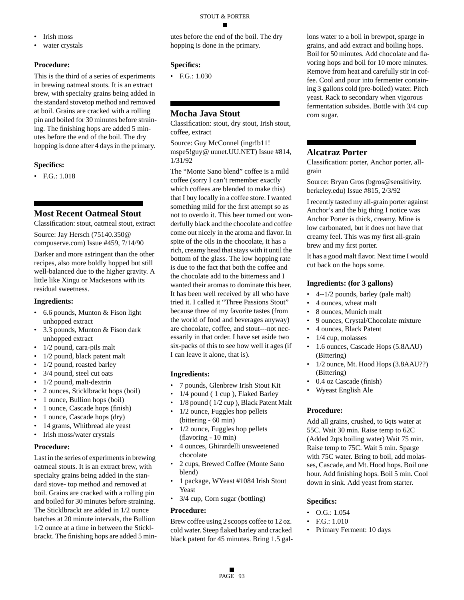- Irish moss
- water crystals

This is the third of a series of experiments in brewing oatmeal stouts. It is an extract brew, with specialty grains being added in the standard stovetop method and removed at boil. Grains are cracked with a rolling pin and boiled for 30 minutes before straining. The finishing hops are added 5 minutes before the end of the boil. The dry hopping is done after 4 days in the primary.

#### **Specifics:**

• F.G.: 1.018

### **Most Recent Oatmeal Stout**

Classification: stout, oatmeal stout, extract

Source: Jay Hersch (75140.350@ compuserve.com) Issue #459, 7/14/90

Darker and more astringent than the other recipes, also more boldly hopped but still well-balanced due to the higher gravity. A little like Xingu or Mackesons with its residual sweetness.

#### **Ingredients:**

- 6.6 pounds, Munton & Fison light unhopped extract
- 3.3 pounds, Munton & Fison dark unhopped extract
- 1/2 pound, cara-pils malt
- 1/2 pound, black patent malt
- 1/2 pound, roasted barley
- 3/4 pound, steel cut oats
- 1/2 pound, malt-dextrin
- 2 ounces, Sticklbrackt hops (boil)
- 1 ounce, Bullion hops (boil)
- 1 ounce, Cascade hops (finish)
- 1 ounce, Cascade hops (dry)
- 14 grams, Whitbread ale yeast
- Irish moss/water crystals

#### **Procedure:**

Last in the series of experiments in brewing oatmeal stouts. It is an extract brew, with specialty grains being added in the standard stove- top method and removed at boil. Grains are cracked with a rolling pin and boiled for 30 minutes before straining. The Sticklbrackt are added in 1/2 ounce batches at 20 minute intervals, the Bullion 1/2 ounce at a time in between the Sticklbrackt. The finishing hops are added 5 minutes before the end of the boil. The dry hopping is done in the primary.

#### **Specifics:**

• F.G.: 1.030

### **Mocha Java Stout**

Classification: stout, dry stout, Irish stout, coffee, extract

Source: Guy McConnel (ingr!b11! mspe5!guy@ uunet.UU.NET) Issue #814, 1/31/92

The "Monte Sano blend" coffee is a mild coffee (sorry I can't remember exactly which coffees are blended to make this) that I buy locally in a coffee store. I wanted something mild for the first attempt so as not to overdo it. This beer turned out wonderfully black and the chocolate and coffee come out nicely in the aroma and flavor. In spite of the oils in the chocolate, it has a rich, creamy head that stays with it until the bottom of the glass. The low hopping rate is due to the fact that both the coffee and the chocolate add to the bitterness and I wanted their aromas to dominate this beer. It has been well received by all who have tried it. I called it "Three Passions Stout" because three of my favorite tastes (from the world of food and beverages anyway) are chocolate, coffee, and stout---not necessarily in that order. I have set aside two six-packs of this to see how well it ages (if I can leave it alone, that is).

#### **Ingredients:**

- 7 pounds, Glenbrew Irish Stout Kit
- 1/4 pound ( 1 cup ), Flaked Barley
- 1/8 pound ( 1/2 cup ), Black Patent Malt
- 1/2 ounce, Fuggles hop pellets (bittering - 60 min)
- 1/2 ounce, Fuggles hop pellets (flavoring - 10 min)
- 4 ounces, Ghirardelli unsweetened chocolate
- 2 cups, Brewed Coffee (Monte Sano blend)
- 1 package, WYeast #1084 Irish Stout Yeast
- 3/4 cup, Corn sugar (bottling)

#### **Procedure:**

Brew coffee using 2 scoops coffee to 12 oz. cold water. Steep flaked barley and cracked black patent for 45 minutes. Bring 1.5 gal-

lons water to a boil in brewpot, sparge in grains, and add extract and boiling hops. Boil for 50 minutes. Add chocolate and flavoring hops and boil for 10 more minutes. Remove from heat and carefully stir in coffee. Cool and pour into fermenter containing 3 gallons cold (pre-boiled) water. Pitch yeast. Rack to secondary when vigorous fermentation subsides. Bottle with 3/4 cup corn sugar.

### **Alcatraz Porter**

Classification: porter, Anchor porter, allgrain

Source: Bryan Gros (bgros@sensitivity. berkeley.edu) Issue #815, 2/3/92

I recently tasted my all-grain porter against Anchor's and the big thing I notice was Anchor Porter is thick, creamy. Mine is low carbonated, but it does not have that creamy feel. This was my first all-grain brew and my first porter.

It has a good malt flavor. Next time I would cut back on the hops some.

#### **Ingredients: (for 3 gallons)**

- 4--1/2 pounds, barley (pale malt)
- 4 ounces, wheat malt
- 8 ounces, Munich malt
- 9 ounces, Crystal/Chocolate mixture
- 4 ounces, Black Patent
- 1/4 cup, molasses
- 1.6 ounces, Cascade Hops (5.8AAU) (Bittering)
- 1/2 ounce, Mt. Hood Hops (3.8AAU??) (Bittering)
- 0.4 oz Cascade (finish)
- Wyeast English Ale

#### **Procedure:**

Add all grains, crushed, to 6qts water at 55C. Wait 30 min. Raise temp to 62C (Added 2qts boiling water) Wait 75 min. Raise temp to 75C. Wait 5 min. Sparge with 75C water. Bring to boil, add molasses, Cascade, and Mt. Hood hops. Boil one hour. Add finishing hops. Boil 5 min. Cool down in sink. Add yeast from starter.

- O.G.: 1.054
- F.G.: 1.010
- Primary Ferment: 10 days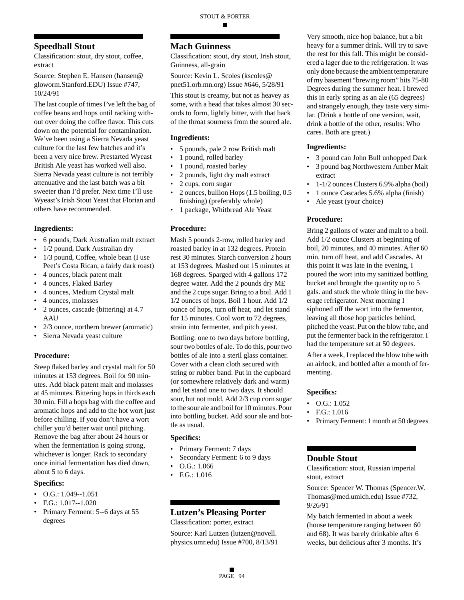### **Speedball Stout**

Classification: stout, dry stout, coffee, extract

Source: Stephen E. Hansen (hansen@ gloworm.Stanford.EDU) Issue #747, 10/24/91

The last couple of times I've left the bag of coffee beans and hops until racking without over doing the coffee flavor. This cuts down on the potential for contamination. We've been using a Sierra Nevada yeast culture for the last few batches and it's been a very nice brew. Prestarted Wyeast British Ale yeast has worked well also. Sierra Nevada yeast culture is not terribly attenuative and the last batch was a bit sweeter than I'd prefer. Next time I'll use Wyeast's Irish Stout Yeast that Florian and others have recommended.

#### **Ingredients:**

- 6 pounds, Dark Australian malt extract
- 1/2 pound, Dark Australian dry
- 1/3 pound, Coffee, whole bean (I use Peet's Costa Rican, a fairly dark roast)
- 4 ounces, black patent malt
- 4 ounces, Flaked Barley
- 4 ounces, Medium Crystal malt
- 4 ounces, molasses
- 2 ounces, cascade (bittering) at 4.7 **AAU**
- 2/3 ounce, northern brewer (aromatic)
- Sierra Nevada yeast culture

#### **Procedure:**

Steep flaked barley and crystal malt for 50 minutes at 153 degrees. Boil for 90 minutes. Add black patent malt and molasses at 45 minutes. Bittering hops in thirds each 30 min. Fill a hops bag with the coffee and aromatic hops and add to the hot wort just before chilling. If you don't have a wort chiller you'd better wait until pitching. Remove the bag after about 24 hours or when the fermentation is going strong, whichever is longer. Rack to secondary once initial fermentation has died down, about 5 to 6 days.

#### **Specifics:**

- O.G.:  $1.049 1.051$
- F.G.: 1.017--1.020
- Primary Ferment: 5--6 days at 55 degrees

#### **Mach Guinness**

Classification: stout, dry stout, Irish stout, Guinness, all-grain

Source: Kevin L. Scoles (kscoles@ pnet51.orb.mn.org) Issue #646, 5/28/91

This stout is creamy, but not as heavey as some, with a head that takes almost 30 seconds to form, lightly bitter, with that back of the throat sourness from the soured ale.

#### **Ingredients:**

- 5 pounds, pale 2 row British malt
- 1 pound, rolled barley
- 1 pound, roasted barley
- 2 pounds, light dry malt extract
- 2 cups, corn sugar
- 2 ounces, bullion Hops (1.5 boiling, 0.5) finishing) (preferably whole)
- 1 package, Whitbread Ale Yeast

#### **Procedure:**

Mash 5 pounds 2-row, rolled barley and roasted barley in at 132 degrees. Protein rest 30 minutes. Starch conversion 2 hours at 153 degrees. Mashed out 15 minutes at 168 degrees. Sparged with 4 gallons 172 degree water. Add the 2 pounds dry ME and the 2 cups sugar. Bring to a boil. Add 1 1/2 ounces of hops. Boil 1 hour. Add 1/2 ounce of hops, turn off heat, and let stand for 15 minutes. Cool wort to 72 degrees, strain into fermenter, and pitch yeast.

Bottling: one to two days before bottling, sour two bottles of ale. To do this, pour two bottles of ale into a steril glass container. Cover with a clean cloth secured with string or rubber band. Put in the cupboard (or somewhere relatively dark and warm) and let stand one to two days. It should sour, but not mold. Add 2/3 cup corn sugar to the sour ale and boil for 10 minutes. Pour into bottling bucket. Add sour ale and bottle as usual.

#### **Specifics:**

- Primary Ferment: 7 days
- Secondary Ferment: 6 to 9 days
- O.G.: 1.066
- F.G.: 1.016

### **Lutzen's Pleasing Porter**

Classification: porter, extract

Source: Karl Lutzen (lutzen@novell. physics.umr.edu) Issue #700, 8/13/91

Very smooth, nice hop balance, but a bit heavy for a summer drink. Will try to save the rest for this fall. This might be considered a lager due to the refrigeration. It was only done because the ambient temperature of my basement "brewing room" hits 75-80 Degrees during the summer heat. I brewed this in early spring as an ale (65 degrees) and strangely enough, they taste very similar. (Drink a bottle of one version, wait, drink a bottle of the other, results: Who cares. Both are great.)

#### **Ingredients:**

- 3 pound can John Bull unhopped Dark
- 3 pound bag Northwestern Amber Malt extract
- 1-1/2 ounces Clusters 6.9% alpha (boil)
- 1 ounce Cascades 5.6% alpha (finish)
- Ale yeast (your choice)

#### **Procedure:**

Bring 2 gallons of water and malt to a boil. Add 1/2 ounce Clusters at beginning of boil, 20 minutes, and 40 minutes. After 60 min. turn off heat, and add Cascades. At this point it was late in the evening, I poured the wort into my sanitized bottling bucket and brought the quantity up to 5 gals. and stuck the whole thing in the beverage refrigerator. Next morning I siphoned off the wort into the fermentor, leaving all those hop particles behind, pitched the yeast. Put on the blow tube, and put the fermenter back in the refrigerator. I had the temperature set at 50 degrees.

After a week, I replaced the blow tube with an airlock, and bottled after a month of fermenting.

#### **Specifics:**

- $\bullet$  O.G.: 1.052
- F.G.: 1.016
- Primary Ferment: 1 month at 50 degrees

#### **Double Stout**

Classification: stout, Russian imperial stout, extract

Source: Spencer W. Thomas (Spencer.W. Thomas@med.umich.edu) Issue #732, 9/26/91

My batch fermented in about a week (house temperature ranging between 60 and 68). It was barely drinkable after 6 weeks, but delicious after 3 months. It's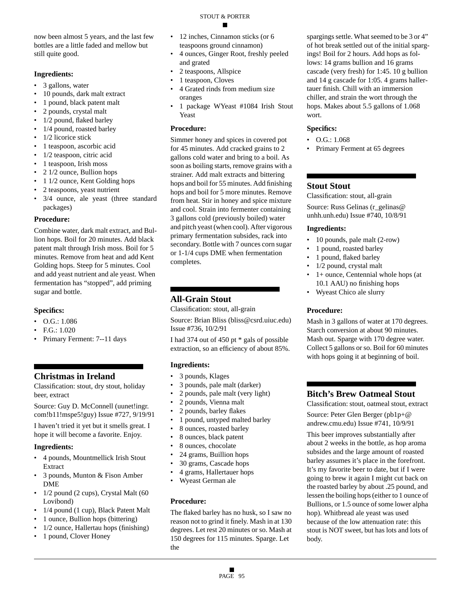now been almost 5 years, and the last few bottles are a little faded and mellow but still quite good.

#### **Ingredients:**

- 3 gallons, water
- 10 pounds, dark malt extract
- 1 pound, black patent malt
- 2 pounds, crystal malt
- 1/2 pound, flaked barley
- 1/4 pound, roasted barley
- 1/2 licorice stick
- 1 teaspoon, ascorbic acid
- 1/2 teaspoon, citric acid • 1 teaspoon, Irish moss
- 2 1/2 ounce, Bullion hops
- 1 1/2 ounce, Kent Golding hops
- 2 teaspoons, yeast nutrient
- 3/4 ounce, ale yeast (three standard packages)

#### **Procedure:**

Combine water, dark malt extract, and Bullion hops. Boil for 20 minutes. Add black patent malt through Irish moss. Boil for 5 minutes. Remove from heat and add Kent Golding hops. Steep for 5 minutes. Cool and add yeast nutrient and ale yeast. When fermentation has "stopped", add priming sugar and bottle.

#### **Specifics:**

- O.G.: 1.086
- F.G.: 1.020
- Primary Ferment: 7--11 days

### **Christmas in Ireland**

Classification: stout, dry stout, holiday beer, extract

Source: Guy D. McConnell (uunet!ingr. com!b11!mspe5!guy) Issue #727, 9/19/91

I haven't tried it yet but it smells great. I hope it will become a favorite. Enjoy.

#### **Ingredients:**

- 4 pounds, Mountmellick Irish Stout Extract
- 3 pounds, Munton & Fison Amber DME
- 1/2 pound (2 cups), Crystal Malt (60 Lovibond)
- 1/4 pound (1 cup), Black Patent Malt
- 1 ounce, Bullion hops (bittering)
- 1/2 ounce, Hallertau hops (finishing)
- 1 pound, Clover Honey
- 12 inches, Cinnamon sticks (or 6 teaspoons ground cinnamon)
- 4 ounces, Ginger Root, freshly peeled and grated
- 2 teaspoons, Allspice
- 1 teaspoon, Cloves
- 4 Grated rinds from medium size oranges
- 1 package WYeast #1084 Irish Stout Yeast

#### **Procedure:**

Simmer honey and spices in covered pot for 45 minutes. Add cracked grains to 2 gallons cold water and bring to a boil. As soon as boiling starts, remove grains with a strainer. Add malt extracts and bittering hops and boil for 55 minutes. Add finishing hops and boil for 5 more minutes. Remove from heat. Stir in honey and spice mixture and cool. Strain into fermenter containing 3 gallons cold (previously boiled) water and pitch yeast (when cool). After vigorous primary fermentation subsides, rack into secondary. Bottle with 7 ounces corn sugar or 1-1/4 cups DME when fermentation completes.

### **All-Grain Stout**

Classification: stout, all-grain

Source: Brian Bliss (bliss@csrd.uiuc.edu) Issue #736, 10/2/91

I had 374 out of 450 pt \* gals of possible extraction, so an efficiency of about 85%.

#### **Ingredients:**

- 3 pounds, Klages
- 3 pounds, pale malt (darker)
- 2 pounds, pale malt (very light)
- 2 pounds, Vienna malt
- 2 pounds, barley flakes
- 1 pound, untyped malted barley
- 8 ounces, roasted barley
- 8 ounces, black patent
- 8 ounces, chocolate
- 24 grams, Buillion hops
- 30 grams, Cascade hops
- 4 grams, Hallertauer hops
- Wyeast German ale

#### **Procedure:**

The flaked barley has no husk, so I saw no reason not to grind it finely. Mash in at 130 degrees. Let rest 20 minutes or so. Mash at 150 degrees for 115 minutes. Sparge. Let the

spargings settle. What seemed to be 3 or 4" of hot break settled out of the initial spargings! Boil for 2 hours. Add hops as follows: 14 grams bullion and 16 grams cascade (very fresh) for 1:45. 10 g bullion and 14 g cascade for 1:05. 4 grams hallertauer finish. Chill with an immersion chiller, and strain the wort through the hops. Makes about 5.5 gallons of 1.068 wort.

#### **Specifics:**

- O.G.: 1.068
- Primary Ferment at 65 degrees

### **Stout Stout**

Classification: stout, all-grain Source: Russ Gelinas (r\_gelinas@ unhh.unh.edu) Issue #740, 10/8/91

#### **Ingredients:**

- 10 pounds, pale malt (2-row)
- 1 pound, roasted barley
- 1 pound, flaked barley
- 1/2 pound, crystal malt
- 1+ ounce, Centennial whole hops (at 10.1 AAU) no finishing hops
- Wyeast Chico ale slurry

#### **Procedure:**

Mash in 3 gallons of water at 170 degrees. Starch conversion at about 90 minutes. Mash out. Sparge with 170 degree water. Collect 5 gallons or so. Boil for 60 minutes with hops going it at beginning of boil.

### **Bitch's Brew Oatmeal Stout**

Classification: stout, oatmeal stout, extract

Source: Peter Glen Berger (pb1p+@ andrew.cmu.edu) Issue #741, 10/9/91

This beer improves substantially after about 2 weeks in the bottle, as hop aroma subsides and the large amount of roasted barley assumes it's place in the forefront. It's my favorite beer to date, but if I were going to brew it again I might cut back on the roasted barley by about .25 pound, and lessen the boiling hops (either to 1 ounce of Bullions, or 1.5 ounce of some lower alpha hop). Whitbread ale yeast was used because of the low attenuation rate: this stout is NOT sweet, but has lots and lots of body.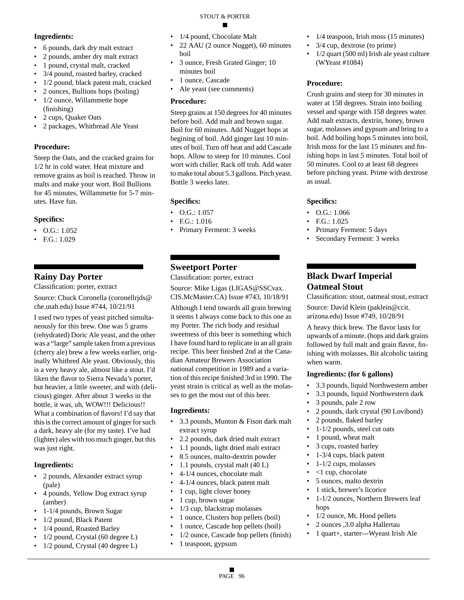#### STOUT & PORTER

#### **Ingredients:**

- 6 pounds, dark dry malt extract
- 2 pounds, amber dry malt extract
- 1 pound, crystal malt, cracked
- 3/4 pound, roasted barley, cracked
- 1/2 pound, black patent malt, cracked
- 2 ounces, Bullions hops (boiling)
- 1/2 ounce, Willammette hope (finishing)
- 2 cups, Quaker Oats
- 2 packages, Whitbread Ale Yeast

#### **Procedure:**

Steep the Oats, and the cracked grains for 1/2 hr in cold water. Heat mixture and remove grains as boil is reached. Throw in malts and make your wort. Boil Bullions for 45 minutes, Willammette for 5-7 minutes. Have fun.

#### **Specifics:**

- $\bullet$  O.G.: 1.052
- F.G.: 1.029

### **Rainy Day Porter**

Classification: porter, extract

Source: Chuck Coronella (coronellrjds@ che.utah.edu) Issue #744, 10/21/91

I used two types of yeast pitched simultaneously for this brew. One was 5 grams (rehydrated) Doric Ale yeast, and the other was a "large" sample taken from a previous (cherry ale) brew a few weeks earlier, originally Whitbred Ale yeast. Obviously, this is a very heavy ale, almost like a stout. I'd liken the flavor to Sierra Nevada's porter, but heavier, a little sweeter, and with (delicious) ginger. After about 3 weeks in the bottle, it was, uh, WOW!!! Delicious!! What a combination of flavors! I'd say that this is the correct amount of ginger for such a dark, heavy ale (for my taste). I've had (lighter) ales with too much ginger, but this was just right.

#### **Ingredients:**

- 2 pounds, Alexander extract syrup (pale)
- 4 pounds, Yellow Dog extract syrup (amber)
- 1-1/4 pounds, Brown Sugar
- 1/2 pound, Black Patent
- 1/4 pound, Roasted Barley
- 1/2 pound, Crystal (60 degree L)
- 1/2 pound, Crystal (40 degree L)
- 1/4 pound, Chocolate Malt
- 22 AAU (2 ounce Nugget), 60 minutes boil
- 3 ounce, Fresh Grated Ginger; 10 minutes boil
- 1 ounce, Cascade
- Ale yeast (see comments)

#### **Procedure:**

Steep grains at 150 degrees for 40 minutes before boil. Add malt and brown sugar. Boil for 60 minutes. Add Nugget hops at begining of boil. Add ginger last 10 minutes of boil. Turn off heat and add Cascade hops. Allow to steep for 10 minutes. Cool wort with chiller. Rack off trub. Add water to make total about 5.3 gallons. Pitch yeast. Bottle 3 weeks later.

#### **Specifics:**

- $O.G.: 1.057$
- F.G.: 1.016
- Primary Ferment: 3 weeks

### **Sweetport Porter**

Classification: porter, extract

Source: Mike Ligas (LIGAS@SSCvax. CIS.McMaster.CA) Issue #743, 10/18/91

Although I tend towards all grain brewing it seems I always come back to this one as my Porter. The rich body and residual sweetness of this beer is something which I have found hard to replicate in an all grain recipe. This beer finished 2nd at the Canadian Amateur Brewers Association national competition in 1989 and a variation of this recipe finished 3rd in 1990. The yeast strain is critical as well as the molasses to get the most out of this beer.

#### **Ingredients:**

- 3.3 pounds, Munton & Fison dark malt extract syrup
- 2.2 pounds, dark dried malt extract
- 1.1 pounds, light dried malt extract
- 8.5 ounces, malto-dextrin powder
- 1.1 pounds, crystal malt (40 L)
- 4-1/4 ounces, chocolate malt
- 4-1/4 ounces, black patent malt
- 1 cup, light clover honey
- 1 cup, brown sugar
- 1/3 cup, blackstrap molasses
- 1 ounce, Clusters hop pellets (boil)
- 1 ounce, Cascade hop pellets (boil)
- 1/2 ounce, Cascade hop pellets (finish)
- 1 teaspoon, gypsum
- 1/4 teaspoon, Irish moss (15 minutes)
- 3/4 cup, dextrose (to prime)
- 1/2 quart (500 ml) Irish ale yeast culture (WYeast #1084)

### **Procedure:**

Crush grains and steep for 30 minutes in water at 158 degrees. Strain into boiling vessel and sparge with 158 degrees water. Add malt extracts, dextrin, honey, brown sugar, molasses and gypsum and bring to a boil. Add boiling hops 5 minutes into boil, Irish moss for the last 15 minutes and finishing hops in last 5 minutes. Total boil of 50 minutes. Cool to at least 68 degrees before pitching yeast. Prime with dextrose as usual.

#### **Specifics:**

- O.G.: 1.066
- F.G.: 1.025
- Primary Ferment: 5 days
- Secondary Ferment: 3 weeks

### **Black Dwarf Imperial Oatmeal Stout**

Classification: stout, oatmeal stout, extract

Source: David Klein (paklein@ccit. arizona.edu) Issue #749, 10/28/91

A heavy thick brew. The flavor lasts for upwards of a minute. (hops and dark grains followed by full malt and grain flavor, finishing with molasses. Bit alcoholic tasting when warm.

#### **Ingredients: (for 6 gallons)**

- 3.3 pounds, liquid Northwestern amber
- 3.3 pounds, liquid Northwestern dark
- 3 pounds, pale 2 row
- 2 pounds, dark crystal (90 Lovibond)
- 2 pounds, flaked barley
- 1-1/2 pounds, steel cut oats
- 1 pound, wheat malt
- 3 cups, roasted barley
- 1-3/4 cups, black patent
- $\cdot$  1-1/2 cups, molasses
- <1 cup, chocolate
- 5 ounces, malto dextrin
- 1 stick, brewer's licorice
- 1-1/2 ounces, Northern Brewers leaf hops
- 1/2 ounce, Mt. Hood pellets
- 2 ounces ,3.0 alpha Hallertau
- 1 quart+, starter---Wyeast Irish Ale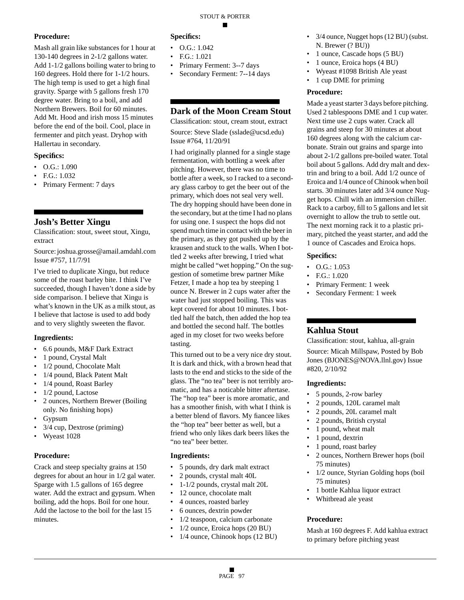Mash all grain like substances for 1 hour at 130-140 degrees in 2-1/2 gallons water. Add 1-1/2 gallons boiling water to bring to 160 degrees. Hold there for 1-1/2 hours. The high temp is used to get a high final gravity. Sparge with 5 gallons fresh 170 degree water. Bring to a boil, and add Northern Brewers. Boil for 60 minutes. Add Mt. Hood and irish moss 15 minutes before the end of the boil. Cool, place in fermenter and pitch yeast. Dryhop with Hallertau in secondary.

#### **Specifics:**

- O.G.: 1.090
- F.G.: 1.032
- Primary Ferment: 7 days

### **Josh's Better Xingu**

Classification: stout, sweet stout, Xingu, extract

Source: joshua.grosse@amail.amdahl.com Issue #757, 11/7/91

I've tried to duplicate Xingu, but reduce some of the roast barley bite. I think I've succeeded, though I haven't done a side by side comparison. I believe that Xingu is what's known in the UK as a milk stout, as I believe that lactose is used to add body and to very slightly sweeten the flavor.

#### **Ingredients:**

- 6.6 pounds, M&F Dark Extract
- 1 pound, Crystal Malt
- 1/2 pound, Chocolate Malt
- 1/4 pound, Black Patent Malt
- 1/4 pound, Roast Barley
- 1/2 pound, Lactose
- 2 ounces, Northern Brewer (Boiling) only. No finishing hops)
- Gypsum
- 3/4 cup, Dextrose (priming)
- Wyeast 1028

#### **Procedure:**

Crack and steep specialty grains at 150 degrees for about an hour in 1/2 gal water. Sparge with 1.5 gallons of 165 degree water. Add the extract and gypsum. When boiling, add the hops. Boil for one hour. Add the lactose to the boil for the last 15 minutes.

#### **Specifics:**

- O.G.: 1.042
- F.G.: 1.021
- Primary Ferment: 3--7 days
- Secondary Ferment: 7--14 days

### **Dark of the Moon Cream Stout**

Classification: stout, cream stout, extract Source: Steve Slade (sslade@ucsd.edu)

Issue #764, 11/20/91

I had originally planned for a single stage fermentation, with bottling a week after pitching. However, there was no time to bottle after a week, so I racked to a secondary glass carboy to get the beer out of the primary, which does not seal very well. The dry hopping should have been done in the secondary, but at the time I had no plans for using one. I suspect the hops did not spend much time in contact with the beer in the primary, as they got pushed up by the krausen and stuck to the walls. When I bottled 2 weeks after brewing, I tried what might be called "wet hopping." On the suggestion of sometime brew partner Mike Fetzer, I made a hop tea by steeping 1 ounce N. Brewer in 2 cups water after the water had just stopped boiling. This was kept covered for about 10 minutes. I bottled half the batch, then added the hop tea and bottled the second half. The bottles aged in my closet for two weeks before tasting.

This turned out to be a very nice dry stout. It is dark and thick, with a brown head that lasts to the end and sticks to the side of the glass. The "no tea" beer is not terribly aromatic, and has a noticable bitter aftertase. The "hop tea" beer is more aromatic, and has a smoother finish, with what I think is a better blend of flavors. My fiancee likes the "hop tea" beer better as well, but a friend who only likes dark beers likes the "no tea" beer better.

#### **Ingredients:**

- 5 pounds, dry dark malt extract
- 2 pounds, crystal malt 40L
- 1-1/2 pounds, crystal malt 20L
- 12 ounce, chocolate malt
- 4 ounces, roasted barley
- 6 ounces, dextrin powder
- 1/2 teaspoon, calcium carbonate
- 1/2 ounce, Eroica hops (20 BU)
- 1/4 ounce, Chinook hops (12 BU)
- 3/4 ounce, Nugget hops (12 BU) (subst. N. Brewer (? BU))
- 1 ounce, Cascade hops (5 BU)
- 1 ounce, Eroica hops (4 BU)
- Wyeast #1098 British Ale yeast
- 1 cup DME for priming

#### **Procedure:**

Made a yeast starter 3 days before pitching. Used 2 tablespoons DME and 1 cup water. Next time use 2 cups water. Crack all grains and steep for 30 minutes at about 160 degrees along with the calcium carbonate. Strain out grains and sparge into about 2-1/2 gallons pre-boiled water. Total boil about 5 gallons. Add dry malt and dextrin and bring to a boil. Add 1/2 ounce of Eroica and 1/4 ounce of Chinook when boil starts. 30 minutes later add 3/4 ounce Nugget hops. Chill with an immersion chiller. Rack to a carboy, fill to 5 gallons and let sit overnight to allow the trub to settle out. The next morning rack it to a plastic primary, pitched the yeast starter, and add the 1 ounce of Cascades and Eroica hops.

#### **Specifics:**

- O.G.: 1.053
- F.G.: 1.020
- Primary Ferment: 1 week
- Secondary Ferment: 1 week

#### **Kahlua Stout**

Classification: stout, kahlua, all-grain

Source: Micah Millspaw, Posted by Bob Jones (BJONES@NOVA.llnl.gov) Issue #820, 2/10/92

#### **Ingredients:**

- 5 pounds, 2-row barley
- 2 pounds, 120L caramel malt
- 2 pounds, 20L caramel malt
- 2 pounds, British crystal
- 1 pound, wheat malt
- 1 pound, dextrin
- 1 pound, roast barley
- 2 ounces, Northern Brewer hops (boil 75 minutes)
- 1/2 ounce, Styrian Golding hops (boil 75 minutes)
- 1 bottle Kahlua liquor extract
- Whitbread ale yeast

#### **Procedure:**

Mash at 160 degrees F. Add kahlua extract to primary before pitching yeast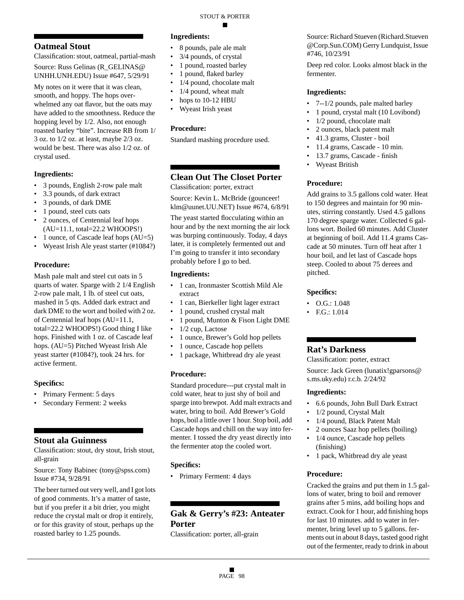### **Oatmeal Stout**

Classification: stout, oatmeal, partial-mash

Source: Russ Gelinas (R\_GELINAS@ UNHH.UNH.EDU) Issue #647, 5/29/91

My notes on it were that it was clean, smooth, and hoppy. The hops overwhelmed any oat flavor, but the oats may have added to the smoothness. Reduce the hopping level by 1/2. Also, not enough roasted barley "bite". Increase RB from 1/ 3 oz. to 1/2 oz. at least, maybe 2/3 oz. would be best. There was also 1/2 oz. of crystal used.

#### **Ingredients:**

- 3 pounds, English 2-row pale malt
- 3.3 pounds, of dark extract
- 3 pounds, of dark DME
- 1 pound, steel cuts oats
- 2 ounces, of Centennial leaf hops (AU=11.1, total=22.2 WHOOPS!)
- 1 ounce, of Cascade leaf hops (AU=5)
- Wyeast Irish Ale yeast starter (#1084?)

#### **Procedure:**

Mash pale malt and steel cut oats in 5 quarts of water. Sparge with 2 1/4 English 2-row pale malt, 1 lb. of steel cut oats, mashed in 5 qts. Added dark extract and dark DME to the wort and boiled with 2 oz. of Centennial leaf hops (AU=11.1, total=22.2 WHOOPS!) Good thing I like hops. Finished with 1 oz. of Cascade leaf hops. (AU=5) Pitched Wyeast Irish Ale yeast starter (#1084?), took 24 hrs. for active ferment.

#### **Specifics:**

- Primary Ferment: 5 days
- Secondary Ferment: 2 weeks

#### **Stout ala Guinness**

Classification: stout, dry stout, Irish stout, all-grain

Source: Tony Babinec (tony@spss.com) Issue #734, 9/28/91

The beer turned out very well, and I got lots of good comments. It's a matter of taste, but if you prefer it a bit drier, you might reduce the crystal malt or drop it entirely, or for this gravity of stout, perhaps up the roasted barley to 1.25 pounds.

#### **Ingredients:**

- 8 pounds, pale ale malt
- 3/4 pounds, of crystal
- 1 pound, roasted barley
- 1 pound, flaked barley
- 1/4 pound, chocolate malt
- 1/4 pound, wheat malt
- hops to 10-12 HBU
- Wyeast Irish yeast

#### **Procedure:**

Standard mashing procedure used.

### **Clean Out The Closet Porter**

Classification: porter, extract

Source: Kevin L. McBride (gounceer! klm@uunet.UU.NET) Issue #674, 6/8/91

The yeast started flocculating within an hour and by the next morning the air lock was burping continuously. Today, 4 days later, it is completely fermented out and I'm going to transfer it into secondary probably before I go to bed.

#### **Ingredients:**

- 1 can, Ironmaster Scottish Mild Ale extract
- 1 can, Bierkeller light lager extract
- 1 pound, crushed crystal malt
- 1 pound, Munton & Fison Light DME
- 1/2 cup, Lactose
- 1 ounce, Brewer's Gold hop pellets
- 1 ounce, Cascade hop pellets
- 1 package, Whitbread dry ale yeast

#### **Procedure:**

Standard procedure---put crystal malt in cold water, heat to just shy of boil and sparge into brewpot. Add malt extracts and water, bring to boil. Add Brewer's Gold hops, boil a little over 1 hour. Stop boil, add Cascade hops and chill on the way into fermenter. I tossed the dry yeast directly into the fermenter atop the cooled wort.

#### **Specifics:**

• Primary Ferment: 4 days

### **Gak & Gerry's #23: Anteater Porter**

Classification: porter, all-grain

Source: Richard Stueven (Richard.Stueven @Corp.Sun.COM) Gerry Lundquist, Issue #746, 10/23/91

Deep red color. Looks almost black in the fermenter.

#### **Ingredients:**

- 7--1/2 pounds, pale malted barley
- 1 pound, crystal malt (10 Lovibond)
- 1/2 pound, chocolate malt
- 2 ounces, black patent malt
- 41.3 grams, Cluster boil
- 11.4 grams, Cascade 10 min.
- 13.7 grams, Cascade finish
- Wyeast British

#### **Procedure:**

Add grains to 3.5 gallons cold water. Heat to 150 degrees and maintain for 90 minutes, stirring constantly. Used 4.5 gallons 170 degree sparge water. Collected 6 gallons wort. Boiled 60 minutes. Add Cluster at beginning of boil. Add 11.4 grams Cascade at 50 minutes. Turn off heat after 1 hour boil, and let last of Cascade hops steep. Cooled to about 75 derees and pitched.

#### **Specifics:**

- O.G.: 1.048
- F.G.: 1.014

### **Rat's Darkness**

Classification: porter, extract Source: Jack Green (lunatix!gparsons@ s.ms.uky.edu) r.c.b. 2/24/92

#### **Ingredients:**

- 6.6 pounds, John Bull Dark Extract
- 1/2 pound, Crystal Malt
- 1/4 pound, Black Patent Malt
- 2 ounces Saaz hop pellets (boiling)
- 1/4 ounce, Cascade hop pellets (finishing)
- 1 pack, Whitbread dry ale yeast

#### **Procedure:**

Cracked the grains and put them in 1.5 gallons of water, bring to boil and remover grains after 5 mins, add boiling hops and extract. Cook for 1 hour, add finishing hops for last 10 minutes. add to water in fermenter, bring level up to 5 gallons. ferments out in about 8 days, tasted good right out of the fermenter, ready to drink in about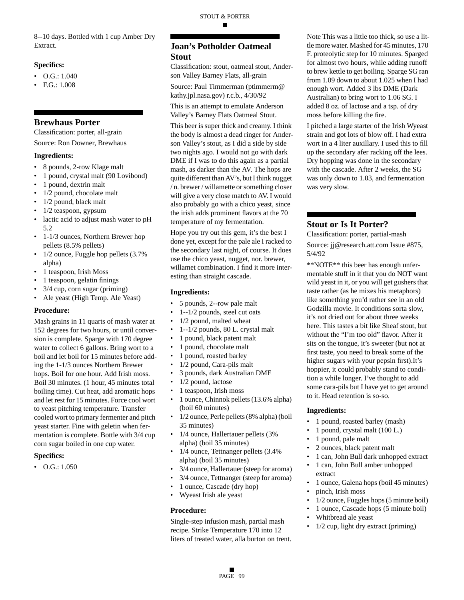8--10 days. Bottled with 1 cup Amber Dry Extract.

#### **Specifics:**

- O.G.: 1.040
- F.G.: 1.008

#### **Brewhaus Porter**

Classification: porter, all-grain Source: Ron Downer, Brewhaus

#### **Ingredients:**

- 8 pounds, 2-row Klage malt
- 1 pound, crystal malt (90 Lovibond)
- 1 pound, dextrin malt
- 1/2 pound, chocolate malt
- 1/2 pound, black malt
- 1/2 teaspoon, gypsum
- lactic acid to adjust mash water to pH 5.2
- 1-1/3 ounces, Northern Brewer hop pellets (8.5% pellets)
- 1/2 ounce, Fuggle hop pellets (3.7% alpha)
- 1 teaspoon, Irish Moss
- 1 teaspoon, gelatin finings
- $3/4$  cup, corn sugar (priming)
- Ale yeast (High Temp. Ale Yeast)

#### **Procedure:**

Mash grains in 11 quarts of mash water at 152 degrees for two hours, or until conversion is complete. Sparge with 170 degree water to collect 6 gallons. Bring wort to a boil and let boil for 15 minutes before adding the 1-1/3 ounces Northern Brewer hops. Boil for one hour. Add Irish moss. Boil 30 minutes. (1 hour, 45 minutes total boiling time). Cut heat, add aromatic hops and let rest for 15 minutes. Force cool wort to yeast pitching temperature. Transfer cooled wort to primary fermenter and pitch yeast starter. Fine with geletin when fermentation is complete. Bottle with 3/4 cup corn sugar boiled in one cup water.

#### **Specifics:**

 $\bullet$  O.G.: 1.050

### **Joan's Potholder Oatmeal Stout**

Classification: stout, oatmeal stout, Anderson Valley Barney Flats, all-grain

Source: Paul Timmerman (ptimmerm@ kathy.jpl.nasa.gov) r.c.b., 4/30/92

This is an attempt to emulate Anderson Valley's Barney Flats Oatmeal Stout.

This beer is super thick and creamy. I think the body is almost a dead ringer for Anderson Valley's stout, as I did a side by side two nights ago. I would not go with dark DME if I was to do this again as a partial mash, as darker than the AV. The hops are quite different than AV's, but I think nugget / n. brewer / willamette or something closer will give a very close match to AV. I would also probably go with a chico yeast, since the irish adds prominent flavors at the 70 temperature of my fermentation.

Hope you try out this gem, it's the best I done yet, except for the pale ale I racked to the secondary last night, of course. It does use the chico yeast, nugget, nor. brewer, willamet combination. I find it more interesting than straight cascade.

#### **Ingredients:**

- 5 pounds, 2--row pale malt
- 1--1/2 pounds, steel cut oats
- 1/2 pound, malted wheat
- 1--1/2 pounds, 80 L. crystal malt
- 1 pound, black patent malt
- 1 pound, chocolate malt
- 1 pound, roasted barley
- 1/2 pound, Cara-pils malt
- 3 pounds, dark Australian DME
- 1/2 pound, lactose
- 1 teaspoon, Irish moss
- 1 ounce, Chinnok pellets (13.6% alpha) (boil 60 minutes)
- 1/2 ounce, Perle pellets (8% alpha) (boil 35 minutes)
- 1/4 ounce, Hallertauer pellets (3% alpha) (boil 35 minutes)
- 1/4 ounce, Tettnanger pellets (3.4%) alpha) (boil 35 minutes)
- 3/4 ounce, Hallertauer (steep for aroma)
- 3/4 ounce, Tettnanger (steep for aroma)
- 1 ounce, Cascade (dry hop)
- Wyeast Irish ale yeast

#### **Procedure:**

Single-step infusion mash, partial mash recipe. Strike Temperature 170 into 12 liters of treated water, alla burton on trent. Note This was a little too thick, so use a little more water. Mashed for 45 minutes, 170 F. proteolytic step for 10 minutes. Sparged for almost two hours, while adding runoff to brew kettle to get boiling. Sparge SG ran from 1.09 down to about 1.025 when I had enough wort. Added 3 lbs DME (Dark Australian) to bring wort to 1.06 SG. I added 8 oz. of lactose and a tsp. of dry moss before killing the fire.

I pitched a large starter of the Irish Wyeast strain and got lots of blow off. I had extra wort in a 4 liter auxillary. I used this to fill up the secondary afer racking off the lees. Dry hopping was done in the secondary with the cascade. After 2 weeks, the SG was only down to 1.03, and fermentation was very slow.

### **Stout or Is It Porter?**

Classification: porter, partial-mash

Source: jj@research.att.com Issue #875, 5/4/92

\*\*NOTE\*\* this beer has enough unfermentable stuff in it that you do NOT want wild yeast in it, or you will get gushers that taste rather (as he mixes his metaphors) like something you'd rather see in an old Godzilla movie. It conditions sorta slow, it's not dried out for about three weeks here. This tastes a bit like Sheaf stout, but without the "I'm too old" flavor. After it sits on the tongue, it's sweeter (but not at first taste, you need to break some of the higher sugars with your pepsin first).It's hoppier, it could probably stand to condition a while longer. I've thought to add some cara-pils but I have yet to get around to it. Head retention is so-so.

- 1 pound, roasted barley (mash)
- 1 pound, crystal malt (100 L.)
- 1 pound, pale malt
- 2 ounces, black patent malt
- 1 can, John Bull dark unhopped extract
- 1 can, John Bull amber unhopped extract
- 1 ounce, Galena hops (boil 45 minutes)
- pinch, Irish moss
- 1/2 ounce, Fuggles hops (5 minute boil)
- 1 ounce, Cascade hops (5 minute boil)
- Whitbread ale yeast
- $1/2$  cup, light dry extract (priming)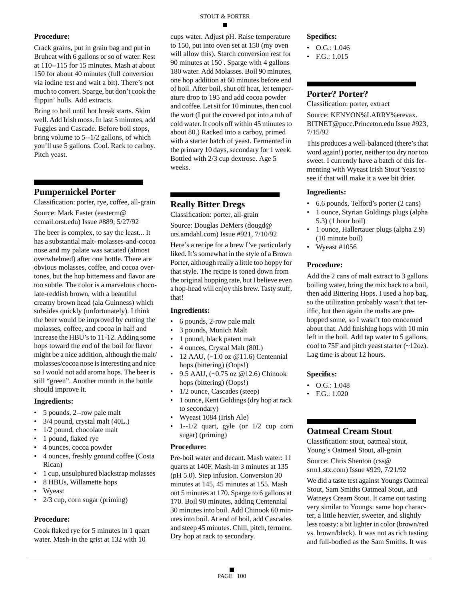Crack grains, put in grain bag and put in Bruheat with 6 gallons or so of water. Rest at 110--115 for 15 minutes. Mash at about 150 for about 40 minutes (full conversion via iodine test and wait a bit). There's not much to convert. Sparge, but don't cook the flippin' hulls. Add extracts.

Bring to boil until hot break starts. Skim well. Add Irish moss. In last 5 minutes, add Fuggles and Cascade. Before boil stops, bring volume to 5--1/2 gallons, of which you'll use 5 gallons. Cool. Rack to carboy. Pitch yeast.

### **Pumpernickel Porter**

Classification: porter, rye, coffee, all-grain Source: Mark Easter (easterm@ ccmail.orst.edu) Issue #889, 5/27/92

The beer is complex, to say the least... It has a substantial malt- molasses-and-cocoa nose and my palate was satiated (almost overwhelmed) after one bottle. There are obvious molasses, coffee, and cocoa overtones, but the hop bitterness and flavor are too subtle. The color is a marvelous chocolate-reddish brown, with a beautiful creamy brown head (ala Guinness) which subsides quickly (unfortunately). I think the beer would be improved by cutting the molasses, coffee, and cocoa in half and increase the HBU's to 11-12. Adding some hops toward the end of the boil for flavor might be a nice addition, although the malt/ molasses/cocoa nose is interesting and nice so I would not add aroma hops. The beer is still "green". Another month in the bottle should improve it.

#### **Ingredients:**

- 5 pounds, 2--row pale malt
- 3/4 pound, crystal malt (40L.)
- 1/2 pound, chocolate malt
- 1 pound, flaked rye
- 4 ounces, cocoa powder
- 4 ounces, freshly ground coffee (Costa Rican)
- 1 cup, unsulphured blackstrap molasses
- 8 HBUs, Willamette hops
- **Wyeast**
- 2/3 cup, corn sugar (priming)

#### **Procedure:**

Cook flaked rye for 5 minutes in 1 quart water. Mash-in the grist at 132 with 10

cups water. Adjust pH. Raise temperature to 150, put into oven set at 150 (my oven will allow this). Starch conversion rest for 90 minutes at 150 . Sparge with 4 gallons 180 water. Add Molasses. Boil 90 minutes, one hop addition at 60 minutes before end of boil. After boil, shut off heat, let temperature drop to 195 and add cocoa powder and coffee. Let sit for 10 minutes, then cool the wort (I put the covered pot into a tub of cold water. It cools off within 45 minutes to about 80.) Racked into a carboy, primed with a starter batch of yeast. Fermented in the primary 10 days, secondary for 1 week. Bottled with 2/3 cup dextrose. Age 5 weeks.

### **Really Bitter Dregs**

Classification: porter, all-grain Source: Douglas DeMers (dougd@ uts.amdahl.com) Issue #921, 7/10/92

Here's a recipe for a brew I've particularly liked. It's somewhat in the style of a Brown Porter, although really a little too hoppy for that style. The recipe is toned down from the original hopping rate, but I believe even a hop-head will enjoy this brew. Tasty stuff, that!

#### **Ingredients:**

- 6 pounds, 2-row pale malt
- 3 pounds, Munich Malt
- 1 pound, black patent malt
- 4 ounces, Crystal Malt (80L)
- 12 AAU, (~1.0 oz @11.6) Centennial hops (bittering) (Oops!)
- 9.5 AAU, (~0.75 oz @12.6) Chinook hops (bittering) (Oops!)
- 1/2 ounce, Cascades (steep)
- 1 ounce, Kent Goldings (dry hop at rack to secondary)
- Wyeast 1084 (Irish Ale)
- $1 1/2$  quart, gyle (or  $1/2$  cup corn sugar) (priming)

#### **Procedure:**

Pre-boil water and decant. Mash water: 11 quarts at 140F. Mash-in 3 minutes at 135 (pH 5.0). Step infusion. Conversion 30 minutes at 145, 45 minutes at 155. Mash out 5 minutes at 170. Sparge to 6 gallons at 170. Boil 90 minutes, adding Centennial 30 minutes into boil. Add Chinook 60 minutes into boil. At end of boil, add Cascades and steep 45 minutes. Chill, pitch, ferment. Dry hop at rack to secondary.

#### **Specifics:**

- $O.G.: 1.046$
- F.G.: 1.015

### **Porter? Porter?**

Classification: porter, extract

Source: KENYON%LARRY%erevax. BITNET@pucc.Princeton.edu Issue #923, 7/15/92

This produces a well-balanced (there's that word again!) porter, neither too dry nor too sweet. I currently have a batch of this fermenting with Wyeast Irish Stout Yeast to see if that will make it a wee bit drier.

#### **Ingredients:**

- 6.6 pounds, Telford's porter (2 cans)
- 1 ounce, Styrian Goldings plugs (alpha 5.3) (1 hour boil)
- 1 ounce, Hallertauer plugs (alpha 2.9) (10 minute boil)
- Wyeast #1056

#### **Procedure:**

Add the 2 cans of malt extract to 3 gallons boiling water, bring the mix back to a boil, then add Bittering Hops. I used a hop bag, so the utilization probably wasn't that teriffic, but then again the malts are prehopped some, so I wasn't too concerned about that. Add finishing hops with 10 min left in the boil. Add tap water to 5 gallons, cool to 75F and pitch yeast starter (~12oz). Lag time is about 12 hours.

#### **Specifics:**

- O.G.: 1.048
- F.G.: 1.020

#### **Oatmeal Cream Stout**

Classification: stout, oatmeal stout, Young's Oatmeal Stout, all-grain

Source: Chris Shenton (css@ srm1.stx.com) Issue #929, 7/21/92

We did a taste test against Youngs Oatmeal Stout, Sam Smiths Oatmeal Stout, and Watneys Cream Stout. It came out tasting very similar to Youngs: same hop character, a little heavier, sweeter, and slightly less roasty; a bit lighter in color (brown/red vs. brown/black). It was not as rich tasting and full-bodied as the Sam Smiths. It was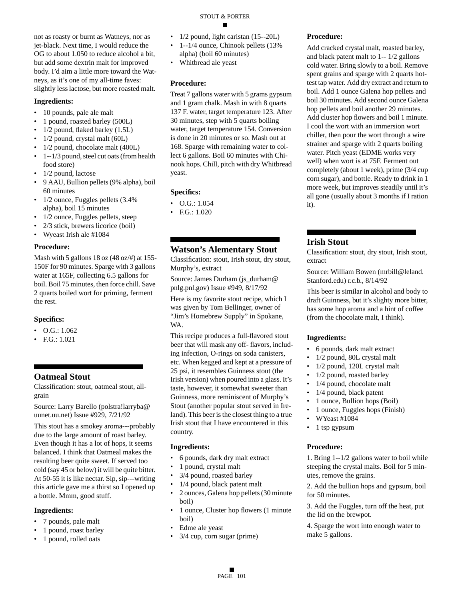### STOUT & PORTER

not as roasty or burnt as Watneys, nor as jet-black. Next time, I would reduce the OG to about 1.050 to reduce alcohol a bit, but add some dextrin malt for improved body. I'd aim a little more toward the Watneys, as it's one of my all-time faves: slightly less lactose, but more roasted malt.

#### **Ingredients:**

- 10 pounds, pale ale malt
- 1 pound, roasted barley (500L)
- $1/2$  pound, flaked barley  $(1.5L)$
- 1/2 pound, crystal malt (60L)
- 1/2 pound, chocolate malt (400L)
- 1--1/3 pound, steel cut oats (from health food store)
- 1/2 pound, lactose
- 9 AAU, Bullion pellets (9% alpha), boil 60 minutes
- 1/2 ounce, Fuggles pellets (3.4% alpha), boil 15 minutes
- 1/2 ounce, Fuggles pellets, steep
- 2/3 stick, brewers licorice (boil)
- Wyeast Irish ale #1084

#### **Procedure:**

Mash with 5 gallons 18 oz (48 oz/#) at 155-150F for 90 minutes. Sparge with 3 gallons water at 165F, collecting 6.5 gallons for boil. Boil 75 minutes, then force chill. Save 2 quarts boiled wort for priming, ferment the rest.

#### **Specifics:**

- O.G.: 1.062
- F.G.: 1.021

### **Oatmeal Stout**

Classification: stout, oatmeal stout, allgrain

Source: Larry Barello (polstra!larryba@ uunet.uu.net) Issue #929, 7/21/92

This stout has a smokey aroma---probably due to the large amount of roast barley. Even though it has a lot of hops, it seems balanced. I think that Oatmeal makes the resulting beer quite sweet. If served too cold (say 45 or below) it will be quite bitter. At 50-55 it is like nectar. Sip, sip---writing this article gave me a thirst so I opened up a bottle. Mmm, good stuff.

#### **Ingredients:**

- 7 pounds, pale malt
- 1 pound, roast barley
- 1 pound, rolled oats
- 1/2 pound, light caristan (15--20L)
- 1--1/4 ounce, Chinook pellets (13%) alpha) (boil 60 minutes)
- Whitbread ale yeast

#### **Procedure:**

Treat 7 gallons water with 5 grams gypsum and 1 gram chalk. Mash in with 8 quarts 137 F. water, target temperature 123. After 30 minutes, step with 5 quarts boiling water, target temperature 154. Conversion is done in 20 minutes or so. Mash out at 168. Sparge with remaining water to collect 6 gallons. Boil 60 minutes with Chinook hops. Chill, pitch with dry Whitbread yeast.

#### **Specifics:**

- O.G.: 1.054
- F.G.: 1.020

#### **Watson's Alementary Stout**

Classification: stout, Irish stout, dry stout, Murphy's, extract

Source: James Durham (js\_durham@ pnlg.pnl.gov) Issue #949, 8/17/92

Here is my favorite stout recipe, which I was given by Tom Bellinger, owner of "Jim's Homebrew Supply" in Spokane, WA.

This recipe produces a full-flavored stout beer that will mask any off- flavors, including infection, O-rings on soda canisters, etc. When kegged and kept at a pressure of 25 psi, it resembles Guinness stout (the Irish version) when poured into a glass. It's taste, however, it somewhat sweeter than Guinness, more reminiscent of Murphy's Stout (another popular stout served in Ireland). This beer is the closest thing to a true Irish stout that I have encountered in this country.

#### **Ingredients:**

- 6 pounds, dark dry malt extract
- 1 pound, crystal malt
- 3/4 pound, roasted barley
- 1/4 pound, black patent malt
- 2 ounces, Galena hop pellets (30 minute boil)
- 1 ounce, Cluster hop flowers (1 minute boil)
- Edme ale yeast
- 3/4 cup, corn sugar (prime)

#### **Procedure:**

Add cracked crystal malt, roasted barley, and black patent malt to 1-- 1/2 gallons cold water. Bring slowly to a boil. Remove spent grains and sparge with 2 quarts hottest tap water. Add dry extract and return to boil. Add 1 ounce Galena hop pellets and boil 30 minutes. Add second ounce Galena hop pellets and boil another 29 minutes. Add cluster hop flowers and boil 1 minute. I cool the wort with an immersion wort chiller, then pour the wort through a wire strainer and sparge with 2 quarts boiling water. Pitch yeast (EDME works very well) when wort is at 75F. Ferment out completely (about 1 week), prime (3/4 cup corn sugar), and bottle. Ready to drink in 1 more week, but improves steadily until it's all gone (usually about 3 months if I ration it).

#### **Irish Stout**

Classification: stout, dry stout, Irish stout, extract

Source: William Bowen (mrbill@leland. Stanford.edu) r.c.b., 8/14/92

This beer is similar in alcohol and body to draft Guinness, but it's slighty more bitter, has some hop aroma and a hint of coffee (from the chocolate malt, I think).

#### **Ingredients:**

- 6 pounds, dark malt extract
- 1/2 pound, 80L crystal malt
- 1/2 pound, 120L crystal malt
- 1/2 pound, roasted barley
- 1/4 pound, chocolate malt
- 1/4 pound, black patent
- 1 ounce, Bullion hops (Boil)
- 1 ounce, Fuggles hops (Finish)
- WYeast #1084
- 1 tsp gypsum

#### **Procedure:**

1. Bring 1--1/2 gallons water to boil while steeping the crystal malts. Boil for 5 minutes, remove the grains.

2. Add the bullion hops and gypsum, boil for 50 minutes.

3. Add the Fuggles, turn off the heat, put the lid on the brewpot.

4. Sparge the wort into enough water to make 5 gallons.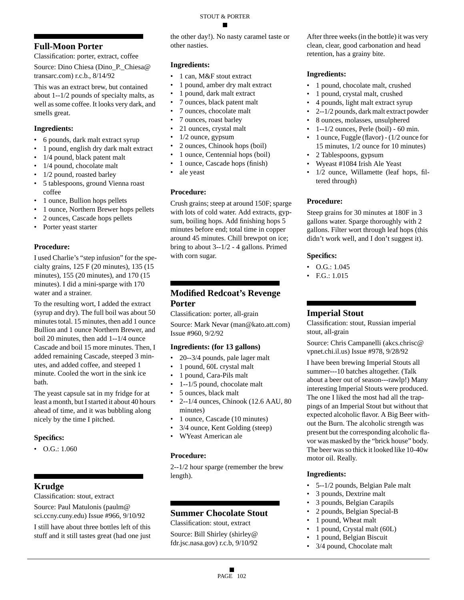### **Full-Moon Porter**

Classification: porter, extract, coffee

Source: Dino Chiesa (Dino\_P.\_Chiesa@ transarc.com) r.c.b., 8/14/92

This was an extract brew, but contained about 1--1/2 pounds of specialty malts, as well as some coffee. It looks very dark, and smells great.

#### **Ingredients:**

- 6 pounds, dark malt extract syrup
- 1 pound, english dry dark malt extract
- 1/4 pound, black patent malt
- 1/4 pound, chocolate malt
- 1/2 pound, roasted barley
- 5 tablespoons, ground Vienna roast coffee
- 1 ounce, Bullion hops pellets
- 1 ounce, Northern Brewer hops pellets
- 2 ounces, Cascade hops pellets
- Porter yeast starter

#### **Procedure:**

I used Charlie's "step infusion" for the specialty grains, 125 F (20 minutes), 135 (15 minutes), 155 (20 minutes), and 170 (15 minutes). I did a mini-sparge with 170 water and a strainer.

To the resulting wort, I added the extract (syrup and dry). The full boil was about 50 minutes total. 15 minutes, then add 1 ounce Bullion and 1 ounce Northern Brewer, and boil 20 minutes, then add 1--1/4 ounce Cascade and boil 15 more minutes. Then, I added remaining Cascade, steeped 3 minutes, and added coffee, and steeped 1 minute. Cooled the wort in the sink ice bath.

The yeast capsule sat in my fridge for at least a month, but I started it about 40 hours ahead of time, and it was bubbling along nicely by the time I pitched.

#### **Specifics:**

• O.G.: 1.060

### **Krudge**

Classification: stout, extract

Source: Paul Matulonis (paulm@ sci.ccny.cuny.edu) Issue #966, 9/10/92

I still have about three bottles left of this stuff and it still tastes great (had one just the other day!). No nasty caramel taste or other nasties.

#### **Ingredients:**

- 1 can, M&F stout extract
- 1 pound, amber dry malt extract
- 1 pound, dark malt extract
- 7 ounces, black patent malt
- 7 ounces, chocolate malt
- 7 ounces, roast barley
- 21 ounces, crystal malt
- 1/2 ounce, gypsum
- 2 ounces, Chinook hops (boil)
- 1 ounce, Centennial hops (boil)
- 1 ounce, Cascade hops (finish)
- ale yeast

### **Procedure:**

Crush grains; steep at around 150F; sparge with lots of cold water. Add extracts, gypsum, boiling hops. Add finishing hops 5 minutes before end; total time in copper around 45 minutes. Chill brewpot on ice; bring to about 3--1/2 - 4 gallons. Primed with corn sugar.

### **Modified Redcoat's Revenge Porter**

Classification: porter, all-grain

Source: Mark Nevar (man@kato.att.com) Issue #960, 9/2/92

#### **Ingredients: (for 13 gallons)**

- 20--3/4 pounds, pale lager malt
- 1 pound, 60L crystal malt
- 1 pound, Cara-Pils malt
- 1--1/5 pound, chocolate malt
- 5 ounces, black malt
- 2--1/4 ounces, Chinook (12.6 AAU, 80 minutes)
- 1 ounce, Cascade (10 minutes)
- 3/4 ounce, Kent Golding (steep)
- WYeast American ale

#### **Procedure:**

2--1/2 hour sparge (remember the brew length).

### **Summer Chocolate Stout**

Classification: stout, extract Source: Bill Shirley (shirley@ fdr.jsc.nasa.gov) r.c.b, 9/10/92

After three weeks (in the bottle) it was very clean, clear, good carbonation and head retention, has a grainy bite.

#### **Ingredients:**

- 1 pound, chocolate malt, crushed
- 1 pound, crystal malt, crushed
- 4 pounds, light malt extract syrup
- 2--1/2 pounds, dark malt extract powder
- 8 ounces, molasses, unsulphered
- 1--1/2 ounces, Perle (boil) 60 min.
- 1 ounce, Fuggle (flavor) (1/2 ounce for 15 minutes, 1/2 ounce for 10 minutes)
- 2 Tablespoons, gypsum
- Wyeast #1084 Irish Ale Yeast
- 1/2 ounce, Willamette (leaf hops, filtered through)

#### **Procedure:**

Steep grains for 30 minutes at 180F in 3 gallons water. Sparge thoroughly with 2 gallons. Filter wort through leaf hops (this didn't work well, and I don't suggest it).

#### **Specifics:**

- O.G.: 1.045
- F.G.: 1.015

### **Imperial Stout**

Classification: stout, Russian imperial stout, all-grain

Source: Chris Campanelli (akcs.chrisc@ vpnet.chi.il.us) Issue #978, 9/28/92

I have been brewing Imperial Stouts all summer---10 batches altogether. (Talk about a beer out of season---rawlp!) Many interesting Imperial Stouts were produced. The one I liked the most had all the trappings of an Imperial Stout but without that expected alcoholic flavor. A Big Beer without the Burn. The alcoholic strength was present but the corresponding alcoholic flavor was masked by the "brick house" body. The beer was so thick it looked like 10-40w motor oil. Really.

- 5--1/2 pounds, Belgian Pale malt
- 3 pounds, Dextrine malt
- 3 pounds, Belgian Carapils
- 2 pounds, Belgian Special-B
- 1 pound, Wheat malt
- 1 pound, Crystal malt (60L)
- 1 pound, Belgian Biscuit
- 3/4 pound, Chocolate malt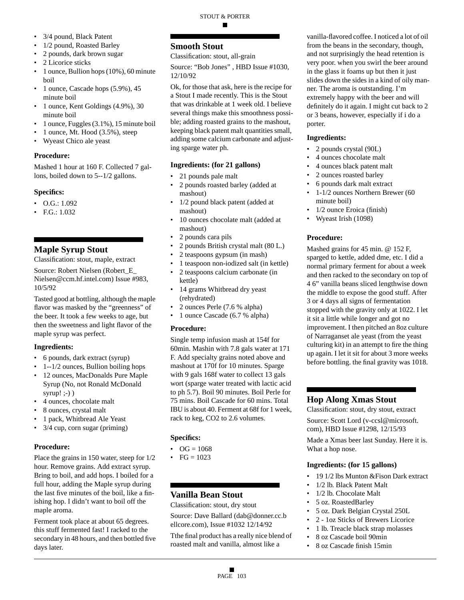- 3/4 pound, Black Patent
- 1/2 pound, Roasted Barley
- 2 pounds, dark brown sugar
- 2 Licorice sticks
- 1 ounce, Bullion hops (10%), 60 minute boil
- 1 ounce, Cascade hops (5.9%), 45 minute boil
- 1 ounce, Kent Goldings (4.9%), 30 minute boil
- 1 ounce, Fuggles (3.1%), 15 minute boil
- 1 ounce, Mt. Hood (3.5%), steep
- Wyeast Chico ale yeast

Mashed 1 hour at 160 F. Collected 7 gallons, boiled down to 5--1/2 gallons.

### **Specifics:**

- O.G.: 1.092
- F.G.: 1.032

### **Maple Syrup Stout**

Classification: stout, maple, extract

Source: Robert Nielsen (Robert\_E\_ Nielsen@ccm.hf.intel.com) Issue #983, 10/5/92

Tasted good at bottling, although the maple flavor was masked by the "greenness" of the beer. It took a few weeks to age, but then the sweetness and light flavor of the maple syrup was perfect.

### **Ingredients:**

- 6 pounds, dark extract (syrup)
- 1--1/2 ounces, Bullion boiling hops
- 12 ounces, MacDonalds Pure Maple Syrup (No, not Ronald McDonald syrup! $:-)$ )
- 4 ounces, chocolate malt
- 8 ounces, crystal malt
- 1 pack, Whitbread Ale Yeast
- 3/4 cup, corn sugar (priming)

### **Procedure:**

Place the grains in 150 water, steep for 1/2 hour. Remove grains. Add extract syrup. Bring to boil, and add hops. I boiled for a full hour, adding the Maple syrup during the last five minutes of the boil, like a finishing hop. I didn't want to boil off the maple aroma.

Ferment took place at about 65 degrees. this stuff fermented fast! I racked to the secondary in 48 hours, and then bottled five days later.

### **Smooth Stout**

Classification: stout, all-grain

Source: "Bob Jones" , HBD Issue #1030, 12/10/92

Ok, for those that ask, here is the recipe for a Stout I made recently. This is the Stout that was drinkable at 1 week old. I believe several things make this smoothness possible; adding roasted grains to the mashout, keeping black patent malt quantities small, adding some calcium carbonate and adjusting sparge water ph.

### **Ingredients: (for 21 gallons)**

- 21 pounds pale malt
- 2 pounds roasted barley (added at mashout)
- 1/2 pound black patent (added at mashout)
- 10 ounces chocolate malt (added at mashout)
- 2 pounds cara pils
- 2 pounds British crystal malt (80 L.)
- 2 teaspoons gypsum (in mash)
- 1 teaspoon non-iodized salt (in kettle)
- 2 teaspoons calcium carbonate (in kettle)
- 14 grams Whitbread dry yeast (rehydrated)
- 2 ounces Perle (7.6 % alpha)
- 1 ounce Cascade (6.7 % alpha)

### **Procedure:**

Single temp infusion mash at 154f for 60min. Mashin with 7.8 gals water at 171 F. Add specialty grains noted above and mashout at 170f for 10 minutes. Sparge with 9 gals 168f water to collect 13 gals wort (sparge water treated with lactic acid to ph 5.7). Boil 90 minutes. Boil Perle for 75 mins. Boil Cascade for 60 mins. Total IBU is about 40. Ferment at 68f for 1 week, rack to keg, CO2 to 2.6 volumes.

### **Specifics:**

- $OG = 1068$
- $FG = 1023$

### **Vanilla Bean Stout**

Classification: stout, dry stout

Source: Dave Ballard (dab@donner.cc.b ellcore.com), Issue #1032 12/14/92

Tthe final product has a really nice blend of roasted malt and vanilla, almost like a

vanilla-flavored coffee. I noticed a lot of oil from the beans in the secondary, though, and not surprisingly the head retention is very poor. when you swirl the beer around in the glass it foams up but then it just slides down the sides in a kind of oily manner. The aroma is outstanding. I'm extremely happy with the beer and will definitely do it again. I might cut back to 2 or 3 beans, however, especially if i do a porter.

### **Ingredients:**

- 2 pounds crystal (90L)
- 4 ounces chocolate malt
- 4 ounces black patent malt
- 2 ounces roasted barley
- 6 pounds dark malt extract
- 1-1/2 ounces Northern Brewer (60 minute boil)
- 1/2 ounce Eroica (finish)
- Wyeast Irish (1098)

### **Procedure:**

Mashed grains for 45 min. @ 152 F, sparged to kettle, added dme, etc. I did a normal primary ferment for about a week and then racked to the secondary on top of 4 6" vanilla beans sliced lengthwise down the middle to expose the good stuff. After 3 or 4 days all signs of fermentation stopped with the gravity only at 1022. I let it sit a little while longer and got no improvement. I then pitched an 8oz culture of Narraganset ale yeast (from the yeast culturing kit) in an attempt to fire the thing up again. I let it sit for about 3 more weeks before bottling. the final gravity was 1018.

### **Hop Along Xmas Stout**

Classification: stout, dry stout, extract Source: Scott Lord (v-ccsl@microsoft. com), HBD Issue #1298, 12/15/93 Made a Xmas beer last Sunday. Here it is. What a hop nose.

### **Ingredients: (for 15 gallons)**

- 19 1/2 lbs Munton & Fison Dark extract
- 1/2 lb. Black Patent Malt
- 1/2 lb. Chocolate Malt
- 5 oz. RoastedBarley
- 5 oz. Dark Belgian Crystal 250L
- 2 1oz Sticks of Brewers Licorice
- 1 lb. Treacle black strap molasses
- 8 oz Cascade boil 90min
- 8 oz Cascade finish 15min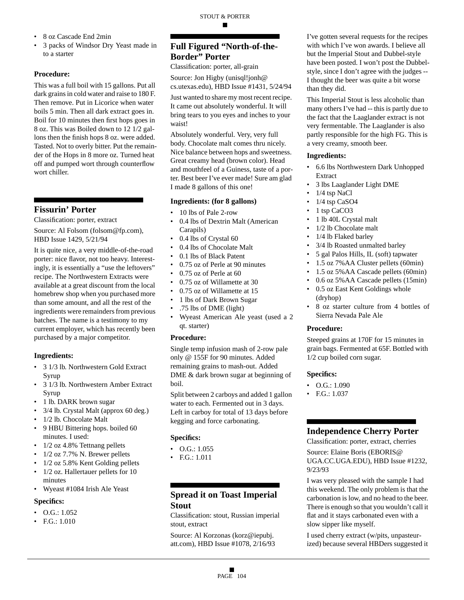- 8 oz Cascade End 2min
- 3 packs of Windsor Dry Yeast made in to a starter

This was a full boil with 15 gallons. Put all dark grains in cold water and raise to 180 F. Then remove. Put in Licorice when water boils 5 min. Then all dark extract goes in. Boil for 10 minutes then first hops goes in 8 oz. This was Boiled down to 12 1/2 gallons then the finish hops 8 oz. were added. Tasted. Not to overly bitter. Put the remainder of the Hops in 8 more oz. Turned heat off and pumped wort through counterflow wort chiller.

### **Fissurin' Porter**

Classification: porter, extract

Source: Al Folsom (folsom@fp.com), HBD Issue 1429, 5/21/94

It is quite nice, a very middle-of-the-road porter: nice flavor, not too heavy. Interestingly, it is essentially a "use the leftovers" recipe. The Northwestern Extracts were available at a great discount from the local homebrew shop when you purchased more than some amount, and all the rest of the ingredients were remainders from previous batches. The name is a testimony to my current employer, which has recently been purchased by a major competitor.

#### **Ingredients:**

- 3 1/3 lb. Northwestern Gold Extract Syrup
- 3 1/3 lb. Northwestern Amber Extract Syrup
- 1 lb. DARK brown sugar
- 3/4 lb. Crystal Malt (approx 60 deg.)
- 1/2 lb. Chocolate Malt
- 9 HBU Bittering hops. boiled 60 minutes. I used:
- 1/2 oz 4.8% Tettnang pellets
- 1/2 oz 7.7% N. Brewer pellets
- 1/2 oz 5.8% Kent Golding pellets
- 1/2 oz. Hallertauer pellets for 10 minutes
- Wyeast #1084 Irish Ale Yeast

#### **Specifics:**

- $\bullet$  O.G.: 1.052
- F.G.: 1.010

### **Full Figured "North-of-the-Border" Porter**

Classification: porter, all-grain

Source: Jon Higby (unisql!jonh@ cs.utexas.edu), HBD Issue #1431, 5/24/94

Just wanted to share my most recent recipe. It came out absolutely wonderful. It will bring tears to you eyes and inches to your waist!

Absolutely wonderful. Very, very full body. Chocolate malt comes thru nicely. Nice balance between hops and sweetness. Great creamy head (brown color). Head and mouthfeel of a Guiness, taste of a porter. Best beer I've ever made! Sure am glad I made 8 gallons of this one!

#### **Ingredients: (for 8 gallons)**

- 10 lbs of Pale 2-row
- 0.4 lbs of Dextrin Malt (American Carapils)
- 0.4 lbs of Crystal 60
- 0.4 lbs of Chocolate Malt
- 0.1 lbs of Black Patent
- 0.75 oz of Perle at 90 minutes
- 0.75 oz of Perle at 60
- 0.75 oz of Willamette at 30
- 0.75 oz of Willamette at 15
- 1 lbs of Dark Brown Sugar
- .75 lbs of DME (light)
- Wyeast American Ale yeast (used a 2 qt. starter)

#### **Procedure:**

Single temp infusion mash of 2-row pale only @ 155F for 90 minutes. Added remaining grains to mash-out. Added DME & dark brown sugar at beginning of boil.

Split between 2 carboys and added 1 gallon water to each. Fermented out in 3 days. Left in carboy for total of 13 days before kegging and force carbonating.

#### **Specifics:**

- $\bullet$  O.G.: 1.055
- F.G.: 1.011

### **Spread it on Toast Imperial Stout**

Classification: stout, Russian imperial stout, extract

Source: Al Korzonas (korz@iepubj. att.com), HBD Issue #1078, 2/16/93

I've gotten several requests for the recipes with which I've won awards. I believe all but the Imperial Stout and Dubbel-style have been posted. I won't post the Dubbelstyle, since I don't agree with the judges -- I thought the beer was quite a bit worse than they did.

This Imperial Stout is less alcoholic than many others I've had -- this is partly due to the fact that the Laaglander extract is not very fermentable. The Laaglander is also partly responsible for the high FG. This is a very creamy, smooth beer.

#### **Ingredients:**

- 6.6 lbs Northwestern Dark Unhopped Extract
- 3 lbs Laaglander Light DME
- 1/4 tsp NaCl
- 1/4 tsp CaSO4
- 1 tsp CaCO3
- 1 lb 40L Crystal malt
- 1/2 lb Chocolate malt
- 1/4 lb Flaked barley
- 3/4 lb Roasted unmalted barley
- 5 gal Palos Hills, IL (soft) tapwater
- 1.5 oz 7%AA Cluster pellets (60min)
- 1.5 oz 5%AA Cascade pellets (60min)
- 0.6 oz 5%AA Cascade pellets (15min)
- 0.5 oz East Kent Goldings whole (dryhop)
- 8 oz starter culture from 4 bottles of Sierra Nevada Pale Ale

#### **Procedure:**

Steeped grains at 170F for 15 minutes in grain bags. Fermented at 65F. Bottled with 1/2 cup boiled corn sugar.

#### **Specifics:**

- $\bullet$  O.G.: 1.090
- F.G.: 1.037

### **Independence Cherry Porter**

Classification: porter, extract, cherries

Source: Elaine Boris (EBORIS@ UGA.CC.UGA.EDU), HBD Issue #1232, 9/23/93

I was very pleased with the sample I had this weekend. The only problem is that the carbonation is low, and no head to the beer. There is enough so that you wouldn't call it flat and it stays carbonated even with a slow sipper like myself.

I used cherry extract (w/pits, unpasteurized) because several HBDers suggested it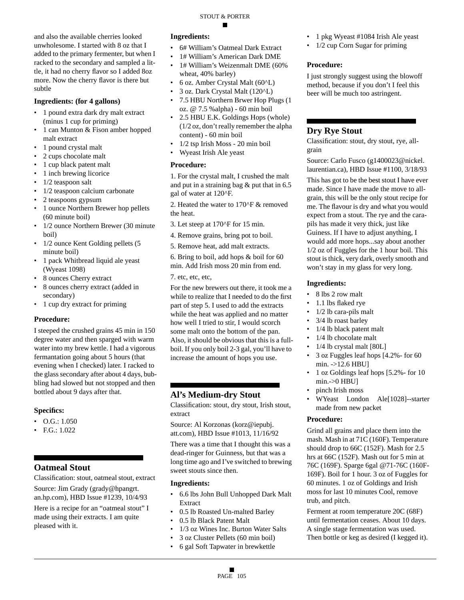and also the available cherries looked unwholesome. I started with 8 oz that I added to the primary fermenter, but when I racked to the secondary and sampled a little, it had no cherry flavor so I added 8oz more. Now the cherry flavor is there but subtle

#### **Ingredients: (for 4 gallons)**

- 1 pound extra dark dry malt extract (minus 1 cup for priming)
- 1 can Munton & Fison amber hopped malt extract
- 1 pound crystal malt
- 2 cups chocolate malt
- 1 cup black patent malt
- 1 inch brewing licorice
- 1/2 teaspoon salt
- 1/2 teaspoon calcium carbonate
- 2 teaspoons gypsum
- 1 ounce Northern Brewer hop pellets (60 minute boil)
- 1/2 ounce Northern Brewer (30 minute) boil)
- 1/2 ounce Kent Golding pellets (5 minute boil)
- 1 pack Whitbread liquid ale yeast (Wyeast 1098)
- 8 ounces Cherry extract
- 8 ounces cherry extract (added in secondary)
- 1 cup dry extract for priming

#### **Procedure:**

I steeped the crushed grains 45 min in 150 degree water and then sparged with warm water into my brew kettle. I had a vigorous fermantation going about 5 hours (that evening when I checked) later. I racked to the glass secondary after about 4 days, bubbling had slowed but not stopped and then bottled about 9 days after that.

#### **Specifics:**

- O.G.: 1.050
- F.G.: 1.022

### **Oatmeal Stout**

Classification: stout, oatmeal stout, extract Source: Jim Grady (grady@hpangrt. an.hp.com), HBD Issue #1239, 10/4/93

Here is a recipe for an "oatmeal stout" I made using their extracts. I am quite pleased with it.

### **Ingredients:**

- 6# William's Oatmeal Dark Extract
- 1# William's American Dark DME

STOUT & PORTER

- 1# William's Weizenmalt DME (60% wheat, 40% barley)
- 6 oz. Amber Crystal Malt (60^L)
- 3 oz. Dark Crystal Malt (120^L)
- 7.5 HBU Northern Brwer Hop Plugs (1 oz. @ 7.5 %alpha) - 60 min boil
- 2.5 HBU E.K. Goldings Hops (whole) (1/2 oz, don't really remember the alpha content) - 60 min boil
- 1/2 tsp Irish Moss 20 min boil
- Wyeast Irish Ale yeast

#### **Procedure:**

1. For the crystal malt, I crushed the malt and put in a straining bag & put that in 6.5 gal of water at 120^F.

2. Heated the water to 170^F & removed the heat.

3. Let steep at 170^F for 15 min.

- 4. Remove grains, bring pot to boil.
- 5. Remove heat, add malt extracts.

6. Bring to boil, add hops & boil for 60 min. Add Irish moss 20 min from end.

7. etc, etc, etc,

For the new brewers out there, it took me a while to realize that I needed to do the first part of step 5. I used to add the extracts while the heat was applied and no matter how well I tried to stir, I would scorch some malt onto the bottom of the pan. Also, it should be obvious that this is a fullboil. If you only boil 2-3 gal, you'll have to increase the amount of hops you use.

### **Al's Medium-dry Stout**

Classification: stout, dry stout, Irish stout, extract

Source: Al Korzonas (korz@iepubj. att.com), HBD Issue #1013, 11/16/92

There was a time that I thought this was a dead-ringer for Guinness, but that was a long time ago and I've switched to brewing sweet stouts since then.

#### **Ingredients:**

- 6.6 lbs John Bull Unhopped Dark Malt Extract
- 0.5 lb Roasted Un-malted Barley
- 0.5 lb Black Patent Malt
- 1/3 oz Wines Inc. Burton Water Salts
- 3 oz Cluster Pellets (60 min boil)
- 6 gal Soft Tapwater in brewkettle
- 1 pkg Wyeast #1084 Irish Ale yeast
- 1/2 cup Corn Sugar for priming

#### **Procedure:**

I just strongly suggest using the blowoff method, because if you don't I feel this beer will be much too astringent.

#### **Dry Rye Stout**

Classification: stout, dry stout, rye, allgrain

Source: Carlo Fusco (g1400023@nickel. laurentian.ca), HBD Issue #1100, 3/18/93

This has got to be the best stout I have ever made. Since I have made the move to allgrain, this will be the only stout recipe for me. The flavour is dry and what you would expect from a stout. The rye and the carapils has made it very thick, just like Guiness. If I have to adjust anything, I would add more hops...say about another 1/2 oz of Fuggles for the 1 hour boil. This stout is thick, very dark, overly smooth and won't stay in my glass for very long.

#### **Ingredients:**

- 8 lbs 2 row malt
- 1.1 lbs flaked rye
- 1/2 lb cara-pils malt
- 3/4 lb roast barley
- 1/4 lb black patent malt
- 1/4 lb chocolate malt
- 1/4 lb crystal malt [80L]
- 3 oz Fuggles leaf hops [4.2%- for 60  $min. ->12.6$  HBU]
- 1 oz Goldings leaf hops [5.2%- for 10  $min.->0$  HBU]
- pinch Irish moss
- WYeast London Ale[1028]--starter made from new packet

#### **Procedure:**

Grind all grains and place them into the mash. Mash in at 71C (160F). Temperature should drop to 66C (152F). Mash for 2.5 hrs at 66C (152F). Mash out for 5 min at 76C (169F). Sparge 6gal @71-76C (160F-169F). Boil for 1 hour. 3 oz of Fuggles for 60 minutes. 1 oz of Goldings and Irish moss for last 10 minutes Cool, remove trub, and pitch.

Ferment at room temperature 20C (68F) until fermentation ceases. About 10 days. A single stage fermentation was used. Then bottle or keg as desired (I kegged it).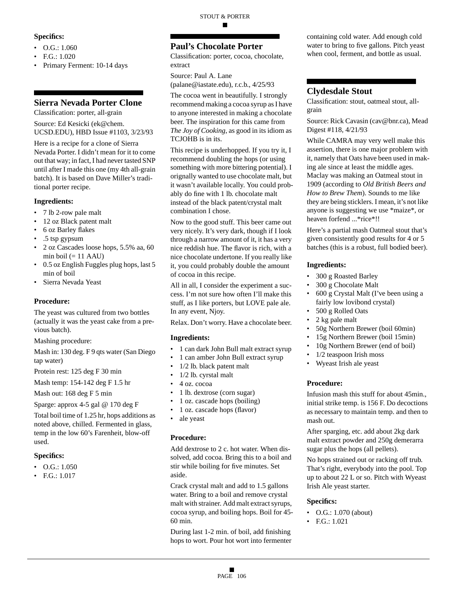#### **Specifics:**

- $\bullet$  O.G.: 1.060
- F.G.: 1.020
- Primary Ferment: 10-14 days

### **Sierra Nevada Porter Clone**

Classification: porter, all-grain

Source: Ed Kesicki (ek@chem. UCSD.EDU), HBD Issue #1103, 3/23/93

Here is a recipe for a clone of Sierra Nevada Porter. I didn't mean for it to come out that way; in fact, I had never tasted SNP until after I made this one (my 4th all-grain batch). It is based on Dave Miller's traditional porter recipe.

#### **Ingredients:**

- 7 lb 2-row pale malt
- 12 oz Black patent malt
- 6 oz Barley flakes
- .5 tsp gypsum
- 2 oz Cascades loose hops, 5.5% aa, 60 min boil  $(= 11$  AAU)
- 0.5 oz English Fuggles plug hops, last 5 min of boil
- Sierra Nevada Yeast

#### **Procedure:**

The yeast was cultured from two bottles (actually it was the yeast cake from a previous batch).

Mashing procedure:

Mash in: 130 deg. F 9 qts water (San Diego tap water)

Protein rest: 125 deg F 30 min

Mash temp: 154-142 deg F 1.5 hr

Mash out: 168 deg F 5 min

Sparge: approx 4-5 gal @ 170 deg F

Total boil time of 1.25 hr, hops additions as noted above, chilled. Fermented in glass, temp in the low 60's Farenheit, blow-off used.

#### **Specifics:**

- O.G.: 1.050
- F.G.: 1.017

### **Paul's Chocolate Porter**

Classification: porter, cocoa, chocolate, extract

Source: Paul A. Lane (palane@iastate.edu), r.c.b., 4/25/93

The cocoa went in beautifully. I strongly recommend making a cocoa syrup as I have to anyone interested in making a chocolate beer. The inspiration for this came from *The Joy of Cooking*, as good in its idiom as TCJOHB is in its.

This recipe is underhopped. If you try it, I recommend doubling the hops (or using something with more bittering potential). I orignally wanted to use chocolate malt, but it wasn't available locally. You could probably do fine with 1 lb. chocolate malt instead of the black patent/crystal malt combination I chose.

Now to the good stuff. This beer came out very nicely. It's very dark, though if I look through a narrow amount of it, it has a very nice reddish hue. The flavor is rich, with a nice chocolate undertone. If you really like it, you could probably double the amount of cocoa in this recipe.

All in all, I consider the experiment a success. I'm not sure how often I'll make this stuff, as I like porters, but LOVE pale ale. In any event, Njoy.

Relax. Don't worry. Have a chocolate beer.

#### **Ingredients:**

- 1 can dark John Bull malt extract syrup
- 1 can amber John Bull extract syrup
- 1/2 lb. black patent malt
- 1/2 lb. cyrstal malt
- 4 oz. cocoa
- 1 lb. dextrose (corn sugar)
- 1 oz. cascade hops (boiling)
- 1 oz. cascade hops (flavor)
- ale yeast

#### **Procedure:**

Add dextrose to 2 c. hot water. When dissolved, add cocoa. Bring this to a boil and stir while boiling for five minutes. Set aside.

Crack crystal malt and add to 1.5 gallons water. Bring to a boil and remove crystal malt with strainer. Add malt extract syrups, cocoa syrup, and boiling hops. Boil for 45- 60 min.

During last 1-2 min. of boil, add finishing hops to wort. Pour hot wort into fermenter containing cold water. Add enough cold water to bring to five gallons. Pitch yeast when cool, ferment, and bottle as usual.

#### **Clydesdale Stout**

Classification: stout, oatmeal stout, allgrain

Source: Rick Cavasin (cav@bnr.ca), Mead Digest #118, 4/21/93

While CAMRA may very well make this assertion, there is one major problem with it, namely that Oats have been used in making ale since at least the middle ages. Maclay was making an Oatmeal stout in 1909 (according to *Old British Beers and How to Brew Them*). Sounds to me like they are being sticklers. I mean, it's not like anyone is suggesting we use \*maize\*, or heaven forfend ...\*rice\*!!

Here's a partial mash Oatmeal stout that's given consistently good results for 4 or 5 batches (this is a robust, full bodied beer).

#### **Ingredients:**

- 300 g Roasted Barley
- 300 g Chocolate Malt
- 600 g Crystal Malt (I've been using a fairly low lovibond crystal)
- 500 g Rolled Oats
- 2 kg pale malt
- 50g Northern Brewer (boil 60min)
- 15g Northern Brewer (boil 15min)
- 10g Northern Brewer (end of boil)
- 1/2 teaspoon Irish moss
- Wyeast Irish ale yeast

#### **Procedure:**

Infusion mash this stuff for about 45min., initial strike temp. is 156 F. Do decoctions as necessary to maintain temp. and then to mash out.

After sparging, etc. add about 2kg dark malt extract powder and 250g demerarra sugar plus the hops (all pellets).

No hops strained out or racking off trub. That's right, everybody into the pool. Top up to about 22 L or so. Pitch with Wyeast Irish Ale yeast starter.

- O.G.: 1.070 (about)
- F.G.: 1.021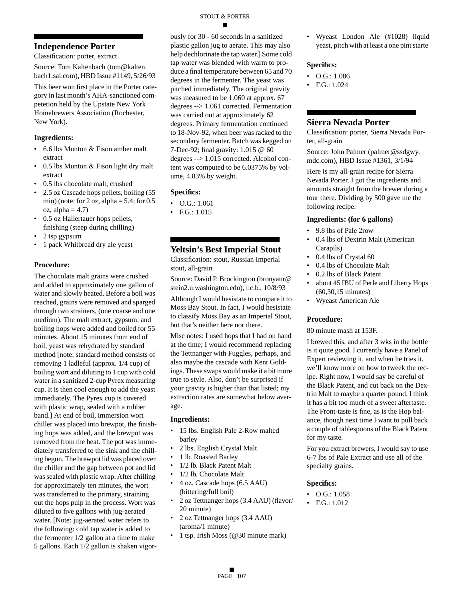### **Independence Porter**

Classification: porter, extract

Source: Tom Kaltenbach (tom@kalten. bach1.sai.com), HBD Issue #1149, 5/26/93

This beer won first place in the Porter category in last month's AHA-sanctioned competetion held by the Upstate New York Homebrewers Association (Rochester, New York).

#### **Ingredients:**

- 6.6 lbs Munton & Fison amber malt extract
- 0.5 lbs Munton & Fison light dry malt extract
- 0.5 lbs chocolate malt, crushed
- 2.5 oz Cascade hops pellets, boiling (55 min) (note: for  $2$  oz, alpha =  $5.4$ ; for  $0.5$  $oz$ , alpha = 4.7)
- 0.5 oz Hallertauer hops pellets, finishing (steep during chilling)
- 2 tsp gypsum
- 1 pack Whitbread dry ale yeast

#### **Procedure:**

The chocolate malt grains were crushed and added to approximately one gallon of water and slowly heated. Before a boil was reached, grains were removed and sparged through two strainers, (one coarse and one medium). The malt extract, gypsum, and boiling hops were added and boiled for 55 minutes. About 15 minutes from end of boil, yeast was rehydrated by standard method [note: standard method consists of removing 1 ladleful (approx. 1/4 cup) of boiling wort and diluting to 1 cup with cold water in a sanitized 2-cup Pyrex measuring cup. It is then cool enough to add the yeast immediately. The Pyrex cup is covered with plastic wrap, sealed with a rubber band.] At end of boil, immersion wort chiller was placed into brewpot, the finishing hops was added, and the brewpot was removed from the heat. The pot was immediately transferred to the sink and the chilling begun. The brewpot lid was placed over the chiller and the gap between pot and lid was sealed with plastic wrap. After chilling for approximately ten minutes, the wort was transferred to the primary, straining out the hops pulp in the process. Wort was diluted to five gallons with jug-aerated water. [Note: jug-aerated water refers to the following: cold tap water is added to the fermenter 1/2 gallon at a time to make 5 gallons. Each 1/2 gallon is shaken vigorously for 30 - 60 seconds in a sanitized plastic gallon jug to aerate. This may also help dechlorinate the tap water.] Some cold tap water was blended with warm to produce a final temperature between 65 and 70 degrees in the fermenter. The yeast was pitched immediately. The original gravity was measured to be 1.060 at approx. 67 degrees --> 1.061 corrected. Fermentation was carried out at approximately 62 degrees. Primary fermentation continued to 18-Nov-92, when beer was racked to the secondary fermenter. Batch was kegged on 7-Dec-92; final gravity: 1.015 @ 60 degrees --> 1.015 corrected. Alcohol content was computed to be 6.0375% by volume, 4.83% by weight.

#### **Specifics:**

- O.G.: 1.061
- F.G.: 1.015

### **Yeltsin's Best Imperial Stout**

Classification: stout, Russian Imperial stout, all-grain

Source: David P. Brockington (bronyaur@ stein2.u.washington.edu), r.c.b., 10/8/93

Although I would hesistate to compare it to Moss Bay Stout. In fact, I would hesistate to classify Moss Bay as an Imperial Stout, but that's neither here nor there.

Misc notes: I used hops that I had on hand at the time; I would recommend replacing the Tettnanger with Fuggles, perhaps, and also maybe the cascade with Kent Goldings. These swaps would make it a bit more true to style. Also, don't be surprised if your gravity is higher than that listed; my extraction rates are somewhat below average.

#### **Ingredients:**

- 15 lbs. English Pale 2-Row malted barley
- 2 lbs. English Crystal Malt
- 1 lb. Roasted Barley
- 1/2 lb. Black Patent Malt
- 1/2 lb. Chocolate Malt
- 4 oz. Cascade hops (6.5 AAU) (bittering/full boil)
- 2 oz Tettnanger hops (3.4 AAU) (flavor/ 20 minute)
- 2 oz Tettnanger hops (3.4 AAU) (aroma/1 minute)
- 1 tsp. Irish Moss (@30 minute mark)

• Wyeast London Ale (#1028) liquid yeast, pitch with at least a one pint starte

#### **Specifics:**

- O.G.: 1.086
- F.G.: 1.024

#### **Sierra Nevada Porter**

Classification: porter, Sierra Nevada Porter, all-grain

Source: John Palmer (palmer@ssdgwy. mdc.com), HBD Issue #1361, 3/1/94

Here is my all-grain recipe for Sierra Nevada Porter. I got the ingredients and amounts straight from the brewer during a tour there. Dividing by 500 gave me the following recipe.

#### **Ingredients: (for 6 gallons)**

- 9.8 lbs of Pale 2row
- 0.4 lbs of Dextrin Malt (American Carapils)
- 0.4 lbs of Crystal 60
- 0.4 lbs of Chocolate Malt
- 0.2 lbs of Black Patent
- about 45 IBU of Perle and Liberty Hops (60,30,15 minutes)
- Wyeast American Ale

#### **Procedure:**

80 minute mash at 153F.

I brewed this, and after 3 wks in the bottle is it quite good. I currently have a Panel of Expert reviewing it, and when he tries it, we'll know more on how to tweek the recipe. Right now, I would say be careful of the Black Patent, and cut back on the Dextrin Malt to maybe a quarter pound. I think it has a bit too much of a sweet aftertaste. The Front-taste is fine, as is the Hop balance, though next time I want to pull back a couple of tablespoons of the Black Patent for my taste.

For you extract brewers, I would say to use 6-7 lbs of Pale Extract and use all of the specialty grains.

- O.G.: 1.058
- F.G.: 1.012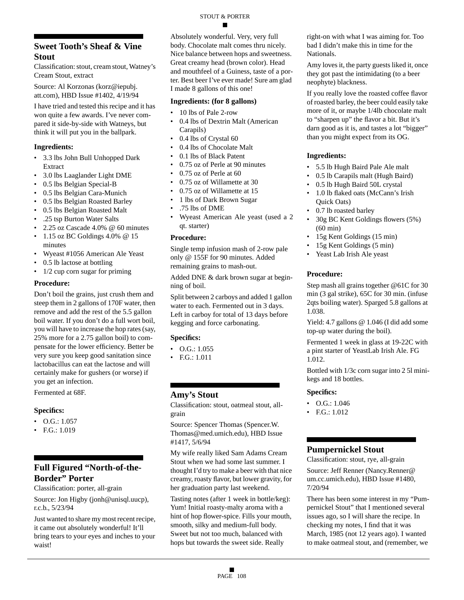### **Sweet Tooth's Sheaf & Vine Stout**

Classification: stout, cream stout, Watney's Cream Stout, extract

Source: Al Korzonas (korz@iepubj. att.com), HBD Issue #1402, 4/19/94

I have tried and tested this recipe and it has won quite a few awards. I've never compared it side-by-side with Watneys, but think it will put you in the ballpark.

#### **Ingredients:**

- 3.3 lbs John Bull Unhopped Dark Extract
- 3.0 lbs Laaglander Light DME
- 0.5 lbs Belgian Special-B
- 0.5 lbs Belgian Cara-Munich
- 0.5 lbs Belgian Roasted Barley
- 0.5 lbs Belgian Roasted Malt
- .25 tsp Burton Water Salts
- 2.25 oz Cascade 4.0% @ 60 minutes
- 1.15 oz BC Goldings  $4.0\%$  @ 15 minutes
- Wyeast #1056 American Ale Yeast
- 0.5 lb lactose at bottling
- $1/2$  cup corn sugar for priming

#### **Procedure:**

Don't boil the grains, just crush them and steep them in 2 gallons of 170F water, then remove and add the rest of the 5.5 gallon boil water. If you don't do a full wort boil, you will have to increase the hop rates (say, 25% more for a 2.75 gallon boil) to compensate for the lower efficiency. Better be very sure you keep good sanitation since lactobacillus can eat the lactose and will certainly make for gushers (or worse) if you get an infection.

Fermented at 68F.

#### **Specifics:**

- O.G.: 1.057
- F.G.: 1.019

### **Full Figured "North-of-the-Border" Porter**

Classification: porter, all-grain

Source: Jon Higby (jonh@unisql.uucp), r.c.b., 5/23/94

Just wanted to share my most recent recipe, it came out absolutely wonderful! It'll bring tears to your eyes and inches to your waist!

Absolutely wonderful. Very, very full body. Chocolate malt comes thru nicely. Nice balance between hops and sweetness. Great creamy head (brown color). Head and mouthfeel of a Guiness, taste of a porter. Best beer I've ever made! Sure am glad I made 8 gallons of this one!

### **Ingredients: (for 8 gallons)**

- 10 lbs of Pale 2-row
- 0.4 lbs of Dextrin Malt (American Carapils)
- 0.4 lbs of Crystal 60
- 0.4 lbs of Chocolate Malt
- 0.1 lbs of Black Patent
- 0.75 oz of Perle at 90 minutes
- 0.75 oz of Perle at 60
- 0.75 oz of Willamette at 30
- 0.75 oz of Willamette at 15
- 1 lbs of Dark Brown Sugar
- .75 lbs of DME
- Wyeast American Ale yeast (used a 2 qt. starter)

#### **Procedure:**

Single temp infusion mash of 2-row pale only @ 155F for 90 minutes. Added remaining grains to mash-out.

Added DNE & dark brown sugar at beginning of boil.

Split between 2 carboys and added 1 gallon water to each. Fermented out in 3 days. Left in carboy for total of 13 days before kegging and force carbonating.

#### **Specifics:**

- $O.G.: 1.055$
- F.G.: 1.011

#### **Amy's Stout**

Classification: stout, oatmeal stout, allgrain

Source: Spencer Thomas (Spencer.W. Thomas@med.umich.edu), HBD Issue #1417, 5/6/94

My wife really liked Sam Adams Cream Stout when we had some last summer. I thought I'd try to make a beer with that nice creamy, roasty flavor, but lower gravity, for her graduation party last weekend.

Tasting notes (after 1 week in bottle/keg): Yum! Initial roasty-malty aroma with a hint of hop flower-spice. Fills your mouth, smooth, silky and medium-full body. Sweet but not too much, balanced with hops but towards the sweet side. Really

right-on with what I was aiming for. Too bad I didn't make this in time for the Nationals.

Amy loves it, the party guests liked it, once they got past the intimidating (to a beer neophyte) blackness.

If you really love the roasted coffee flavor of roasted barley, the beer could easily take more of it, or maybe 1/4lb chocolate malt to "sharpen up" the flavor a bit. But it's darn good as it is, and tastes a lot "bigger" than you might expect from its OG.

#### **Ingredients:**

- 5.5 lb Hugh Baird Pale Ale malt
- 0.5 lb Carapils malt (Hugh Baird)
- 0.5 lb Hugh Baird 50L crystal
- 1.0 lb flaked oats (McCann's Irish Quick Oats)
- 0.7 lb roasted barley
- 30g BC Kent Goldings flowers (5%) (60 min)
- 15g Kent Goldings (15 min)
- 15g Kent Goldings (5 min)
- Yeast Lab Irish Ale yeast

#### **Procedure:**

Step mash all grains together @61C for 30 min (3 gal strike), 65C for 30 min. (infuse 2qts boiling water). Sparged 5.8 gallons at 1.038.

Yield: 4.7 gallons @ 1.046 (I did add some top-up water during the boil).

Fermented 1 week in glass at 19-22C with a pint starter of YeastLab Irish Ale. FG 1.012.

Bottled with 1/3c corn sugar into 2 5l minikegs and 18 bottles.

#### **Specifics:**

- O.G.: 1.046
- F.G.: 1.012

#### **Pumpernickel Stout**

Classification: stout, rye, all-grain

Source: Jeff Renner (Nancy.Renner@ um.cc.umich.edu), HBD Issue #1480, 7/20/94

There has been some interest in my "Pumpernickel Stout" that I mentioned several issues ago, so I will share the recipe. In checking my notes, I find that it was March, 1985 (not 12 years ago). I wanted to make oatmeal stout, and (remember, we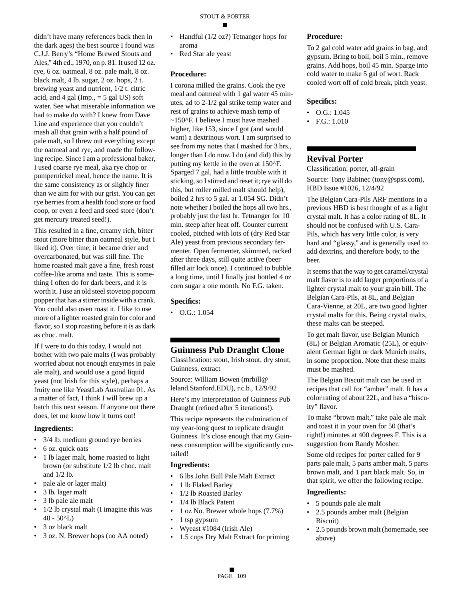didn't have many references back then in the dark ages) the best source I found was C.J.J. Berry's "Home Brewed Stouts and Ales," 4th ed., 1970, on p. 81. It used 12 oz. rye, 6 oz. oatmeal, 8 oz. pale malt, 8 oz. black malt, 4 lb. sugar, 2 oz. hops, 2 t. brewing yeast and nutrient, 1/2 t. citric acid, and 4 gal (Imp.,  $=$  5 gal US) soft water. See what miserable information we had to make do with? I knew from Dave Line and experience that you couldn't mash all that grain with a half pound of pale malt, so I threw out everything except the oatmeal and rye, and made the following recipe. Since I am a professional baker, I used coarse rye meal, aka rye chop or pumpernickel meal, hence the name. It is the same consistency as or slightly finer than we aim for with our grist. You can get rye berries from a health food store or food coop, or even a feed and seed store (don't get mercury treated seed!).

This resulted in a fine, creamy rich, bitter stout (more bitter than oatmeal style, but I liked it). Over time, it became drier and overcarbonated, but was still fine. The home roasted malt gave a fine, fresh roast coffee-like aroma and taste. This is something I often do for dark beers, and it is worth it. I use an old steel stovetop popcorn popper that has a stirrer inside with a crank. You could also oven roast it. I like to use more of a lighter roasted grain for color and flavor, so I stop roasting before it is as dark as choc. malt.

If I were to do this today, I would not bother with two pale malts (I was probably worried about not enough enzymes in pale ale malt), and would use a good liquid yeast (not Irish for this style), perhaps a fruity one like YeastLab Australian 01. As a matter of fact, I think I will brew up a batch this next season. If anyone out there does, let me know how it turns out!

#### **Ingredients:**

- 3/4 lb. medium ground rye berries
- 6 oz. quick oats
- 1 lb lager malt, home roasted to light brown (or substitute 1/2 lb choc. malt and 1/2 lb.
- pale ale or lager malt)
- 3 lb. lager malt
- 3 lb pale ale malt
- 1/2 lb crystal malt (I imagine this was  $40 - 50^{\circ}L$
- 3 oz black malt
- 3 oz. N. Brewer hops (no AA noted)
- Handful (1/2 oz?) Tetnanger hops for aroma
- Red Star ale yeast

#### **Procedure:**

I corona milled the grains. Cook the rye meal and oatmeal with 1 gal water 45 minutes, ad to 2-1/2 gal strike temp water and rest of grains to achieve mash temp of ~150^F. I believe I must have mashed higher, like 153, since I got (and would want) a dextrinous wort. I am surprised to see from my notes that I mashed for 3 hrs., longer than I do now. I do (and did) this by putting my kettle in the oven at 150^F. Sparged 7 gal, had a little trouble with it sticking, so I stirred and reset it; rye will do this, but roller milled malt should help), boiled 2 hrs to 5 gal. at 1.054 SG. Didn't note whether I boiled the hops all two hrs., probably just the last hr. Tetnanger for 10 min. steep after heat off. Counter current cooled, pitched with lots of (dry Red Star Ale) yeast from previous secondary fermenter. Open fermenter, skimmed, racked after three days, still quite active (beer filled air lock once). I continued to bubble a long time, until I finally just bottled 4 oz corn sugar a one month. No F.G. taken.

#### **Specifics:**

 $\bullet$  O.G.: 1.054

### **Guinness Pub Draught Clone**

Classification: stout, Irish stout, dry stout, Guinness, extract

Source: William Bowen (mrbill@ leland.Stanford.EDU), r.c.b., 12/9/92

Here's my interpretation of Guinness Pub Draught (refined after 5 iterations!).

This recipe represents the culmination of my year-long quest to replicate draught Guinness. It's close enough that my Guinness consumption will be significantly curtailed!

#### **Ingredients:**

- 6 lbs John Bull Pale Malt Extract
- 1 lb Flaked Barley
- 1/2 lb Roasted Barley
- 1/4 lb Black Patent
- 1 oz No. Brewer whole hops (7.7%)
- 1 tsp gypsum
- Wyeast #1084 (Irish Ale)
- 1.5 cups Dry Malt Extract for priming

#### **Procedure:**

To 2 gal cold water add grains in bag, and gypsum. Bring to boil, boil 5 min., remove grains. Add hops, boil 45 min. Sparge into cold water to make 5 gal of wort. Rack cooled wort off of cold break, pitch yeast.

#### **Specifics:**

- $\bullet$  O.G.: 1.045
- F.G.: 1.010

### **Revival Porter**

Classification: porter, all-grain

Source: Tony Babinec (tony@spss.com), HBD Issue #1026, 12/4/92

The Belgian Cara-Pils ARF mentions in a previous HBD is best thought of as a light crystal malt. It has a color rating of 8L. It should not be confused with U.S. Cara-Pils, which has very little color, is very hard and "glassy," and is generally used to add dextrins, and therefore body, to the beer.

It seems that the way to get caramel/crystal malt flavor is to add larger proportions of a lighter crystal malt to your grain bill. The Belgian Cara-Pils, at 8L, and Belgian Cara-Vienne, at 20L, are two good lighter crystal malts for this. Being crystal malts, these malts can be steeped.

To get malt flavor, use Belgian Munich (8L) or Belgian Aromatic (25L), or equivalent German light or dark Munich malts, in some proportion. Note that these malts must be mashed.

The Belgian Biscuit malt can be used in recipes that call for "amber" malt. It has a color rating of about 22L, and has a "biscuity" flavor.

To make "brown malt," take pale ale malt and toast it in your oven for 50 (that's right!) minutes at 400 degrees F. This is a suggestion from Randy Mosher.

Some old recipes for porter called for 9 parts pale malt, 5 parts amber malt, 5 parts brown malt, and 1 part black malt. So, in that spirit, we offer the following recipe.

- 5 pounds pale ale malt
- 2.5 pounds amber malt (Belgian Biscuit)
- 2.5 pounds brown malt (homemade, see above)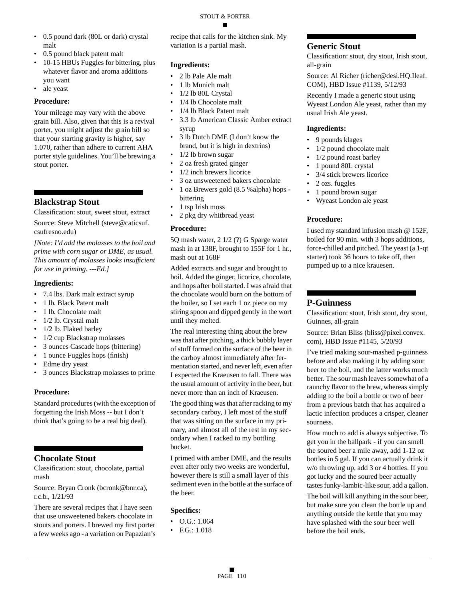#### STOUT & PORTER

- 0.5 pound dark (80L or dark) crystal malt
- 0.5 pound black patent malt
- 10-15 HBUs Fuggles for bittering, plus whatever flavor and aroma additions you want
- ale yeast

#### **Procedure:**

Your mileage may vary with the above grain bill. Also, given that this is a revival porter, you might adjust the grain bill so that your starting gravity is higher, say 1.070, rather than adhere to current AHA porter style guidelines. You'll be brewing a stout porter.

### **Blackstrap Stout**

Classification: stout, sweet stout, extract

Source: Steve Mitchell (steve@caticsuf. csufresno.edu)

*[Note: I'd add the molasses to the boil and prime with corn sugar or DME, as usual. This amount of molasses looks insufficient for use in priming. ---Ed.]*

#### **Ingredients:**

- 7.4 lbs. Dark malt extract syrup
- 1 lb. Black Patent malt
- 1 lb. Chocolate malt
- 1/2 lb. Crystal malt
- 1/2 lb. Flaked barley
- 1/2 cup Blackstrap molasses
- 3 ounces Cascade hops (bittering)
- 1 ounce Fuggles hops (finish)
- Edme dry yeast
- 3 ounces Blackstrap molasses to prime

#### **Procedure:**

Standard procedures (with the exception of forgetting the Irish Moss -- but I don't think that's going to be a real big deal).

#### **Chocolate Stout**

Classification: stout, chocolate, partial mash

Source: Bryan Cronk (bcronk@bnr.ca), r.c.b., 1/21/93

There are several recipes that I have seen that use unsweetened bakers chocolate in stouts and porters. I brewed my first porter a few weeks ago - a variation on Papazian's recipe that calls for the kitchen sink. My variation is a partial mash.

#### **Ingredients:**

- 2 lb Pale Ale malt
- 1 lb Munich malt
- 1/2 lb 80L Crystal
- 1/4 lb Chocolate malt
- 1/4 lb Black Patent malt
- 3.3 lb American Classic Amber extract syrup
- 3 lb Dutch DME (I don't know the brand, but it is high in dextrins)
- 1/2 lb brown sugar
- 2 oz fresh grated ginger
- 1/2 inch brewers licorice
- 3 oz unsweetened bakers chocolate
- 1 oz Brewers gold (8.5 %alpha) hops bittering
- 1 tsp Irish moss
- 2 pkg dry whitbread yeast

#### **Procedure:**

5Q mash water, 2 1/2 (?) G Sparge water mash in at 138F, brought to 155F for 1 hr., mash out at 168F

Added extracts and sugar and brought to boil. Added the ginger, licorice, chocolate, and hops after boil started. I was afraid that the chocolate would burn on the bottom of the boiler, so I set each 1 oz piece on my stiring spoon and dipped gently in the wort until they melted.

The real interesting thing about the brew was that after pitching, a thick bubbly layer of stuff formed on the surface of the beer in the carboy almost immediately after fermentation started, and never left, even after I expected the Kraeusen to fall. There was the usual amount of activity in the beer, but never more than an inch of Kraeusen.

The good thing was that after racking to my secondary carboy, I left most of the stuff that was sitting on the surface in my primary, and almost all of the rest in my secondary when I racked to my bottling bucket.

I primed with amber DME, and the results even after only two weeks are wonderful, however there is still a small layer of this sediment even in the bottle at the surface of the beer.

#### **Specifics:**

- O.G.: 1.064
- F.G.: 1.018

#### **Generic Stout**

Classification: stout, dry stout, Irish stout, all-grain

Source: Al Richer (richer@desi.HQ.Ileaf. COM), HBD Issue #1139, 5/12/93

Recently I made a generic stout using Wyeast London Ale yeast, rather than my usual Irish Ale yeast.

#### **Ingredients:**

- 9 pounds klages
- 1/2 pound chocolate malt
- 1/2 pound roast barley
- 1 pound 80L crystal
- 3/4 stick brewers licorice
- 2 ozs. fuggles
- 1 pound brown sugar
- Wyeast London ale yeast

#### **Procedure:**

I used my standard infusion mash @ 152F, boiled for 90 min. with 3 hops additions, force-chilled and pitched. The yeast (a 1-qt starter) took 36 hours to take off, then pumped up to a nice krauesen.

#### **P-Guinness**

Classification: stout, Irish stout, dry stout, Guinnes, all-grain

Source: Brian Bliss (bliss@pixel.convex. com), HBD Issue #1145, 5/20/93

I've tried making sour-mashed p-guinness before and also making it by adding sour beer to the boil, and the latter works much better. The sour mash leaves somewhat of a raunchy flavor to the brew, whereas simply adding to the boil a bottle or two of beer from a previous batch that has acquired a lactic infection produces a crisper, cleaner sourness.

How much to add is always subjective. To get you in the ballpark - if you can smell the soured beer a mile away, add 1-12 oz bottles in 5 gal. If you can actually drink it w/o throwing up, add 3 or 4 bottles. If you got lucky and the soured beer actually tastes funky-lambic-like sour, add a gallon.

The boil will kill anything in the sour beer, but make sure you clean the bottle up and anything outside the kettle that you may have splashed with the sour beer well before the boil ends.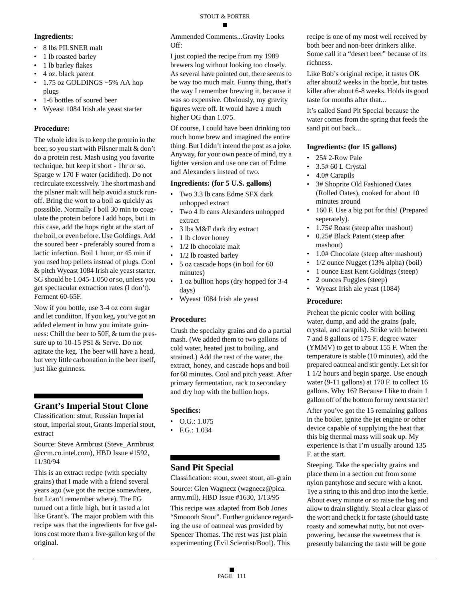#### **Ingredients:**

- 8 lbs PILSNER malt
- 1 lb roasted barley
- 1 lb barley flakes
- 4 oz. black patent
- 1.75 oz GOLDINGS ~5% AA hop plugs
- 1-6 bottles of soured beer
- Wyeast 1084 Irish ale yeast starter

### **Procedure:**

The whole idea is to keep the protein in the beer, so you start with Pilsner malt & don't do a protein rest. Mash using you favorite technique, but keep it short - 1hr or so. Sparge w 170 F water (acidified). Do not recirculate excessively. The short mash and the pilsner malt will help avoid a stuck runoff. Bring the wort to a boil as quickly as posssible. Normally I boil 30 min to coagulate the protein before I add hops, but i in this case, add the hops right at the start of the boil, or even before. Use Goldings. Add the soured beer - preferably soured from a lactic infection. Boil 1 hour, or 45 min if you used hop pellets instead of plugs. Cool & pitch Wyeast 1084 Irish ale yeast starter. SG should be 1.045-1.050 or so, unless you get spectacular extraction rates (I don't). Ferment 60-65F.

Now if you bottle, use 3-4 oz corn sugar and let condiiton. If you keg, you've got an added element in how you imitate guinness: Chill the beer to 50F, & turn the pressure up to 10-15 PSI & Serve. Do not agitate the keg. The beer will have a head, but very little carbonation in the beer itself, just like guinness.

### **Grant's Imperial Stout Clone**

Classification: stout, Russian Imperial stout, imperial stout, Grants Imperial stout, extract

Source: Steve Armbrust (Steve\_Armbrust @ccm.co.intel.com), HBD Issue #1592, 11/30/94

This is an extract recipe (with specialty grains) that I made with a friend several years ago (we got the recipe somewhere, but I can't remember where). The FG turned out a little high, but it tasted a lot like Grant's. The major problem with this recipe was that the ingredients for five gallons cost more than a five-gallon keg of the original.

Ammended Comments...Gravity Looks Off:

I just copied the recipe from my 1989 brewers log without looking too closely. As several have pointed out, there seems to be way too much malt. Funny thing, that's the way I remember brewing it, because it was so expensive. Obviously, my gravity figures were off. It would have a much higher OG than 1.075.

Of course, I could have been drinking too much home brew and imagined the entire thing. But I didn't intend the post as a joke. Anyway, for your own peace of mind, try a lighter version and use one can of Edme and Alexanders instead of two.

### **Ingredients: (for 5 U.S. gallons)**

- Two 3.3 lb cans Edme SFX dark unhopped extract
- Two 4 lb cans Alexanders unhopped extract
- 3 lbs M&F dark dry extract
- 1 lb clover honey
- 1/2 lb chocolate malt
- 1/2 lb roasted barley
- 5 oz cascade hops (in boil for 60 minutes)
- 1 oz bullion hops (dry hopped for 3-4 days)
- Wyeast 1084 Irish ale yeast

### **Procedure:**

Crush the specialty grains and do a partial mash. (We added them to two gallons of cold water, heated just to boiling, and strained.) Add the rest of the water, the extract, honey, and cascade hops and boil for 60 minutes. Cool and pitch yeast. After primary fermentation, rack to secondary and dry hop with the bullion hops.

### **Specifics:**

- O.G.: 1.075
- F.G.: 1.034

### **Sand Pit Special**

Classification: stout, sweet stout, all-grain Source: Glen Wagnecz (wagnecz@pica. army.mil), HBD Issue #1630, 1/13/95

This recipe was adapted from Bob Jones "Smoooth Stout". Further guidance regarding the use of oatmeal was provided by Spencer Thomas. The rest was just plain experimenting (Evil Scientist/Boo!). This

recipe is one of my most well received by both beer and non-beer drinkers alike. Some call it a "desert beer" because of its richness.

Like Bob's original recipe, it tastes OK after about2 weeks in the bottle, but tastes killer after about 6-8 weeks. Holds its good taste for months after that...

It's called Sand Pit Special because the water comes from the spring that feeds the sand pit out back...

### **Ingredients: (for 15 gallons)**

- 25# 2-Row Pale
- 3.5# 60 L Crystal
- 4.0# Carapils
- 3# Shoprite Old Fashioned Oates (Rolled Oates), cooked for about 10 minutes around
- 160 F. Use a big pot for this! (Prepared seperately).
- 1.75# Roast (steep after mashout)
- 0.25# Black Patent (steep after mashout)
- 1.0# Chocolate (steep after mashout)
- 1/2 ounce Nugget (13% alpha) (boil)
- 1 ounce East Kent Goldings (steep)
- 2 ounces Fuggles (steep)
- Wyeast Irish ale yeast (1084)

### **Procedure:**

Preheat the picnic cooler with boiling water, dump, and add the grains (pale, crystal, and carapils). Strike with between 7 and 8 gallons of 175 F. degree water (YMMV) to get to about 155 F. When the temperature is stable (10 minutes), add the prepared oatmeal and stir gently. Let sit for 1 1/2 hours and begin sparge. Use enough water (9-11 gallons) at 170 F. to collect 16 gallons. Why 16? Because I like to drain 1 gallon off of the bottom for my next starter!

After you've got the 15 remaining gallons in the boiler, ignite the jet engine or other device capable of supplying the heat that this big thermal mass will soak up. My experience is that I'm usually around 135 F. at the start.

Steeping. Take the specialty grains and place them in a section cut from some nylon pantyhose and secure with a knot. Tye a string to this and drop into the kettle. About every minute or so raise the bag and allow to drain slightly. Steal a clear glass of the wort and check it for taste (should taste roasty and somewhat nutty, but not overpowering, because the sweetness that is presently balancing the taste will be gone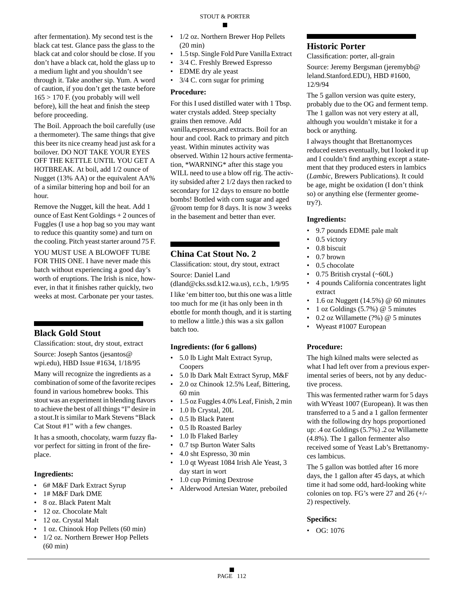after fermentation). My second test is the black cat test. Glance pass the glass to the black cat and color should be close. If you don't have a black cat, hold the glass up to a medium light and you shouldn't see through it. Take another sip. Yum. A word of caution, if you don't get the taste before  $165 > 170$  F. (you probably will well before), kill the heat and finish the steep before proceeding.

The Boil. Approach the boil carefully (use a thermometer). The same things that give this beer its nice creamy head just ask for a boilover. DO NOT TAKE YOUR EYES OFF THE KETTLE UNTIL YOU GET A HOTBREAK. At boil, add 1/2 ounce of Nugget (13% AA) or the equivalent AA% of a similar bittering hop and boil for an hour.

Remove the Nugget, kill the heat. Add 1 ounce of East Kent Goldings + 2 ounces of Fuggles (I use a hop bag so you may want to reduce this quantity some) and turn on the cooling. Pitch yeast starter around 75 F.

YOU MUST USE A BLOWOFF TUBE FOR THIS ONE. I have never made this batch without experiencing a good day's worth of eruptions. The Irish is nice, however, in that it finishes rather quickly, two weeks at most. Carbonate per your tastes.

**Black Gold Stout**

Classification: stout, dry stout, extract

Source: Joseph Santos (jesantos@ wpi.edu), HBD Issue #1634, 1/18/95

Many will recognize the ingredients as a combination of some of the favorite recipes found in various homebrew books. This stout was an experiment in blending flavors to achieve the best of all things "I" desire in a stout.It is similar to Mark Stevens "Black Cat Stout #1" with a few changes.

It has a smooth, chocolaty, warm fuzzy flavor perfect for sitting in front of the fireplace.

#### **Ingredients:**

- 6# M&F Dark Extract Syrup
- 1# M&F Dark DME
- 8 oz. Black Patent Malt
- 12 oz. Chocolate Malt
- 12 oz. Crystal Malt
- 1 oz. Chinook Hop Pellets (60 min)
- 1/2 oz. Northern Brewer Hop Pellets (60 min)
- 1/2 oz. Northern Brewer Hop Pellets (20 min)
- 1.5 tsp. Single Fold Pure Vanilla Extract
- 3/4 C. Freshly Brewed Espresso
- EDME dry ale yeast
- 3/4 C. corn sugar for priming

#### **Procedure:**

For this I used distilled water with 1 Tbsp. water crystals added. Steep specialty grains then remove. Add vanilla,espresso,and extracts. Boil for an hour and cool. Rack to primary and pitch yeast. Within minutes activity was observed. Within 12 hours active fermentation, \*WARNING\* after this stage you WILL need to use a blow off rig. The activity subsided after 2 1/2 days then racked to secondary for 12 days to ensure no bottle bombs! Bottled with corn sugar and aged @room temp for 8 days. It is now 3 weeks in the basement and better than ever.

### **China Cat Stout No. 2**

Classification: stout, dry stout, extract

Source: Daniel Land (dland@cks.ssd.k12.wa.us), r.c.b., 1/9/95

I like 'em bitter too, but this one was a little too much for me (it has only been in th ebottle for month though, and it is starting to mellow a little.) this was a six gallon batch too.

#### **Ingredients: (for 6 gallons)**

- 5.0 lb Light Malt Extract Syrup, Coopers
- 5.0 lb Dark Malt Extract Syrup, M&F
- 2.0 oz Chinook 12.5% Leaf, Bittering, 60 min
- 1.5 oz Fuggles 4.0% Leaf, Finish, 2 min
- 1.0 lb Crystal, 20L
- 0.5 lb Black Patent
- 0.5 lb Roasted Barley
- 1.0 lb Flaked Barley
- 0.7 tsp Burton Water Salts
- 4.0 sht Espresso, 30 min
- 1.0 qt Wyeast 1084 Irish Ale Yeast, 3 day start in wort
- 1.0 cup Priming Dextrose
- Alderwood Artesian Water, preboiled

### **Historic Porter**

Classification: porter, all-grain

Source: Jeremy Bergsman (jeremybb@ leland.Stanford.EDU), HBD #1600, 12/9/94

The 5 gallon version was quite estery, probably due to the OG and ferment temp. The 1 gallon was not very estery at all, although you wouldn't mistake it for a bock or anything.

I always thought that Brettanomyces reduced esters eventually, but I looked it up and I couldn't find anything except a statement that they produced esters in lambics (*Lambic*, Brewers Publications). It could be age, might be oxidation (I don't think so) or anything else (fermenter geometry?).

#### **Ingredients:**

- 9.7 pounds EDME pale malt
- 0.5 victory
- 0.8 biscuit
- 0.7 brown
- 0.5 chocolate • 0.75 British crystal (~60L)
- 4 pounds California concentrates light
- extract • 1.6 oz Nuggett (14.5%) @ 60 minutes
- 1 oz Goldings  $(5.7\%)$  @ 5 minutes
- 0.2 oz Willamette (?%) @ 5 minutes
- Wyeast #1007 European

#### **Procedure:**

The high kilned malts were selected as what I had left over from a previous experimental series of beers, not by any deductive process.

This was fermented rather warm for 5 days with WYeast 1007 (European). It was then transferred to a 5 and a 1 gallon fermenter with the following dry hops proportioned up: .4 oz Goldings (5.7%) .2 oz Willamette (4.8%). The 1 gallon fermenter also received some of Yeast Lab's Brettanomyces lambicus.

The 5 gallon was bottled after 16 more days, the 1 gallon after 45 days, at which time it had some odd, hard-looking white colonies on top. FG's were 27 and 26 (+/- 2) respectively.

#### **Specifics:**

• OG: 1076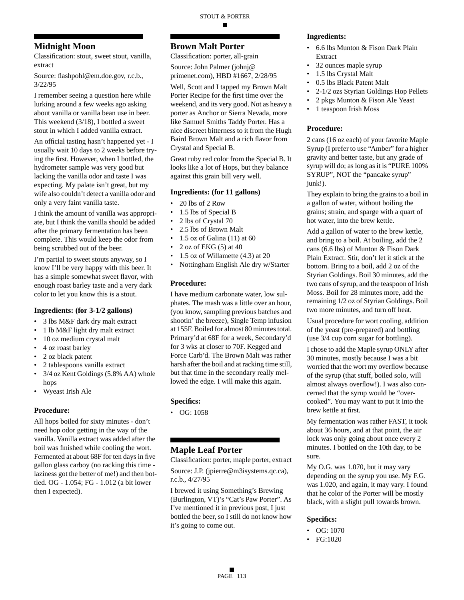### **Midnight Moon**

Classification: stout, sweet stout, vanilla, extract

Source: flashpohl@em.doe.gov, r.c.b., 3/22/95

I remember seeing a question here while lurking around a few weeks ago asking about vanilla or vanilla bean use in beer. This weekend (3/18), I bottled a sweet stout in which I added vanilla extract.

An official tasting hasn't happened yet - I usually wait 10 days to 2 weeks before trying the first. However, when I bottled, the hydrometer sample was very good but lacking the vanilla odor and taste I was expecting. My palate isn't great, but my wife also couldn't detect a vanilla odor and only a very faint vanilla taste.

I think the amount of vanilla was appropriate, but I think the vanilla should be added after the primary fermentation has been complete. This would keep the odor from being scrubbed out of the beer.

I'm partial to sweet stouts anyway, so I know I'll be very happy with this beer. It has a simple somewhat sweet flavor, with enough roast barley taste and a very dark color to let you know this is a stout.

#### **Ingredients: (for 3-1/2 gallons)**

- 3 lbs M&F dark dry malt extract
- 1 lb M&F light dry malt extract
- 10 oz medium crystal malt
- 4 oz roast barley
- 2 oz black patent
- 2 tablespoons vanilla extract
- 3/4 oz Kent Goldings (5.8% AA) whole hops
- Wyeast Irish Ale

#### **Procedure:**

All hops boiled for sixty minutes - don't need hop odor getting in the way of the vanilla. Vanilla extract was added after the boil was finished while cooling the wort. Fermented at about 68F for ten days in five gallon glass carboy (no racking this time laziness got the better of me!) and then bottled. OG - 1.054; FG - 1.012 (a bit lower then I expected).

### **Brown Malt Porter**

Classification: porter, all-grain Source: John Palmer (johnj@ primenet.com), HBD #1667, 2/28/95

Well, Scott and I tapped my Brown Malt Porter Recipe for the first time over the weekend, and its very good. Not as heavy a porter as Anchor or Sierra Nevada, more like Samuel Smiths Taddy Porter. Has a nice discreet bitterness to it from the Hugh Baird Brown Malt and a rich flavor from Crystal and Special B.

Great ruby red color from the Special B. It looks like a lot of Hops, but they balance against this grain bill very well.

#### **Ingredients: (for 11 gallons)**

- 20 lbs of 2 Row
- 1.5 lbs of Special B
- 2 lbs of Crystal 70
- 2.5 lbs of Brown Malt
- 1.5 oz of Galina (11) at 60
- 2 oz of EKG (5) at 40
- 1.5 oz of Willamette (4.3) at 20
- Nottingham English Ale dry w/Starter

#### **Procedure:**

I have medium carbonate water, low sulphates. The mash was a little over an hour, (you know, sampling previous batches and shootin' the breeze), Single Temp infusion at 155F. Boiled for almost 80 minutes total. Primary'd at 68F for a week, Secondary'd for 3 wks at closer to 70F. Kegged and Force Carb'd. The Brown Malt was rather harsh after the boil and at racking time still, but that time in the secondary really mellowed the edge. I will make this again.

#### **Specifics:**

 $\bullet$  OG: 1058

### **Maple Leaf Porter**

Classification: porter, maple porter, extract

Source: J.P. (jpierre@m3isystems.qc.ca), r.c.b., 4/27/95

I brewed it using Something's Brewing (Burlington, VT)'s "Cat's Paw Porter". As I've mentioned it in previous post, I just bottled the beer, so I still do not know how it's going to come out.

#### **Ingredients:**

- 6.6 lbs Munton & Fison Dark Plain Extract
- 32 ounces maple syrup
- 1.5 lbs Crystal Malt
- 0.5 lbs Black Patent Malt
- 2-1/2 ozs Styrian Goldings Hop Pellets
- 2 pkgs Munton & Fison Ale Yeast
- 1 teaspoon Irish Moss

#### **Procedure:**

2 cans (16 oz each) of your favorite Maple Syrup (I prefer to use "Amber" for a higher gravity and better taste, but any grade of syrup will do; as long as it is "PURE 100% SYRUP", NOT the "pancake syrup" junk!).

They explain to bring the grains to a boil in a gallon of water, without boiling the grains; strain, and sparge with a quart of hot water, into the brew kettle.

Add a gallon of water to the brew kettle, and bring to a boil. At boiling, add the 2 cans (6.6 lbs) of Munton & Fison Dark Plain Extract. Stir, don't let it stick at the bottom. Bring to a boil, add 2 oz of the Styrian Goldings. Boil 30 minutes, add the two cans of syrup, and the teaspoon of Irish Moss. Boil for 28 minutes more, add the remaining 1/2 oz of Styrian Goldings. Boil two more minutes, and turn off heat.

Usual procedure for wort cooling, addition of the yeast (pre-prepared) and bottling (use 3/4 cup corn sugar for bottling).

I chose to add the Maple syrup ONLY after 30 minutes, mostly because I was a bit worried that the wort my overflow because of the syrup (that stuff, boiled solo, will almost always overflow!). I was also concerned that the syrup would be "overcooked". You may want to put it into the brew kettle at first.

My fermentation was rather FAST, it took about 36 hours, and at that point, the air lock was only going about once every 2 minutes. I bottled on the 10th day, to be sure.

My O.G. was 1.070, but it may vary depending on the syrup you use. My F.G. was 1.020, and again, it may vary. I found that he color of the Porter will be mostly black, with a slight pull towards brown.

- OG: 1070
- FG:1020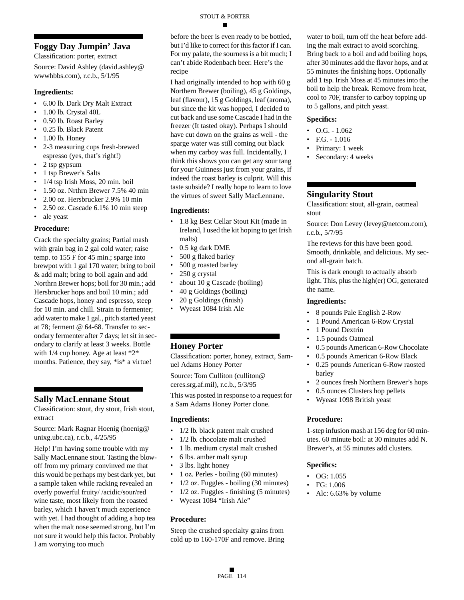### **Foggy Day Jumpin' Java**

Classification: porter, extract

Source: David Ashley (david.ashley@ wwwhbbs.com), r.c.b., 5/1/95

#### **Ingredients:**

- 6.00 lb. Dark Dry Malt Extract
- 1.00 lb. Crystal 40L
- 0.50 lb. Roast Barley
- 0.25 lb. Black Patent
- 1.00 lb. Honey
- 2-3 measuring cups fresh-brewed espresso (yes, that's right!)
- 2 tsp gypsum
- 1 tsp Brewer's Salts
- 1/4 tsp Irish Moss, 20 min. boil
- 1.50 oz. Nrthrn Brewer 7.5% 40 min
- 2.00 oz. Hersbrucker 2.9% 10 min
- 2.50 oz. Cascade 6.1% 10 min steep
- ale yeast

#### **Procedure:**

Crack the specialty grains; Partial mash with grain bag in 2 gal cold water; raise temp. to 155 F for 45 min.; sparge into brewpot with 1 gal 170 water; bring to boil & add malt; bring to boil again and add Northrn Brewer hops; boil for 30 min.; add Hersbrucker hops and boil 10 min.; add Cascade hops, honey and espresso, steep for 10 min. and chill. Strain to fermenter; add water to make 1 gal., pitch started yeast at 78; ferment @ 64-68. Transfer to secondary fermenter after 7 days; let sit in secondary to clarify at least 3 weeks. Bottle with 1/4 cup honey. Age at least \*2\* months. Patience, they say, \*is\* a virtue!

#### **Sally MacLennane Stout**

Classification: stout, dry stout, Irish stout, extract

Source: Mark Ragnar Hoenig (hoenig@ unixg.ubc.ca), r.c.b., 4/25/95

Help! I'm having some trouble with my Sally MacLennane stout. Tasting the blowoff from my primary convinved me that this would be perhaps my best dark yet, but a sample taken while racking revealed an overly powerful fruity/ /acidic/sour/red wine taste, most likely from the roasted barley, which I haven't much experience with yet. I had thought of adding a hop tea when the malt nose seemed strong, but I'm not sure it would help this factor. Probably I am worrying too much

before the beer is even ready to be bottled, but I'd like to correct for this factor if I can. For my palate, the sourness is a bit much; I can't abide Rodenbach beer. Here's the recipe

I had originally intended to hop with 60 g Northern Brewer (boiling), 45 g Goldings, leaf (flavour), 15 g Goldings, leaf (aroma), but since the kit was hopped, I decided to cut back and use some Cascade I had in the freezer (It tasted okay). Perhaps I should have cut down on the grains as well - the sparge water was still coming out black when my carboy was full. Incidentally, I think this shows you can get any sour tang for your Guinness just from your grains, if indeed the roast barley is culprit. Will this taste subside? I really hope to learn to love the virtues of sweet Sally MacLennane.

#### **Ingredients:**

- 1.8 kg Best Cellar Stout Kit (made in Ireland, I used the kit hoping to get Irish malts)
- 0.5 kg dark DME
- 500 g flaked barley
- 500 g roasted barley
- 250 g crystal
- about 10 g Cascade (boiling)
- 40 g Goldings (boiling)
- 20 g Goldings (finish)
- Wyeast 1084 Irish Ale

### **Honey Porter**

Classification: porter, honey, extract, Samuel Adams Honey Porter

Source: Tom Culliton (culliton@ ceres.srg.af.mil), r.c.b., 5/3/95

This was posted in response to a request for a Sam Adams Honey Porter clone.

#### **Ingredients:**

- 1/2 lb. black patent malt crushed
- 1/2 lb. chocolate malt crushed
- 1 lb. medium crystal malt crushed
- 6 lbs. amber malt syrup
- 3 lbs. light honey
- 1 oz. Perles boiling (60 minutes)
- 1/2 oz. Fuggles boiling (30 minutes)
- 1/2 oz. Fuggles finishing (5 minutes)
- Wyeast 1084 "Irish Ale"

#### **Procedure:**

Steep the crushed specialty grains from cold up to 160-170F and remove. Bring

water to boil, turn off the heat before adding the malt extract to avoid scorching. Bring back to a boil and add boiling hops, after 30 minutes add the flavor hops, and at 55 minutes the finishing hops. Optionally add 1 tsp. Irish Moss at 45 minutes into the boil to help the break. Remove from heat, cool to 70F, transfer to carboy topping up to 5 gallons, and pitch yeast.

#### **Specifics:**

- $\bullet$  O.G. 1.062
- F.G. 1.016
- Primary: 1 week
- Secondary: 4 weeks

### **Singularity Stout**

Classification: stout, all-grain, oatmeal stout

Source: Don Levey (levey@netcom.com), r.c.b., 5/7/95

The reviews for this have been good. Smooth, drinkable, and delicious. My second all-grain batch.

This is dark enough to actually absorb light. This, plus the high(er) OG, generated the name.

#### **Ingredients:**

- 8 pounds Pale English 2-Row
- 1 Pound American 6-Row Crystal
- 1 Pound Dextrin
- 1.5 pounds Oatmeal
- 0.5 pounds American 6-Row Chocolate
- 0.5 pounds American 6-Row Black
- 0.25 pounds American 6-Row raosted barley
- 2 ounces fresh Northern Brewer's hops
- 0.5 ounces Clusters hop pellets
- Wyeast 1098 British yeast

#### **Procedure:**

1-step infusion mash at 156 deg for 60 minutes. 60 minute boil: at 30 minutes add N. Brewer's, at 55 minutes add clusters.

- OG: 1.055
- FG: 1.006
- Alc: 6.63% by volume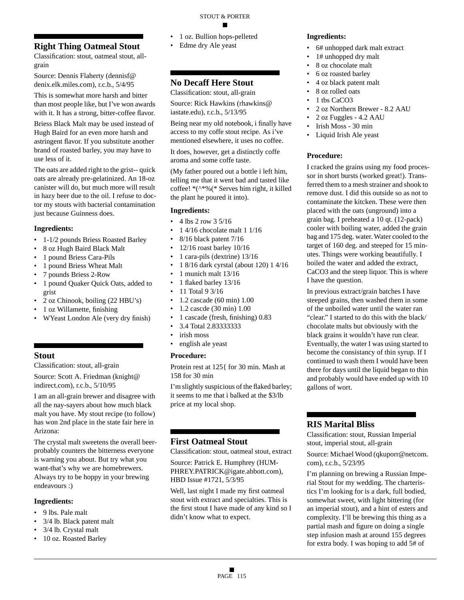### **Right Thing Oatmeal Stout**

Classification: stout, oatmeal stout, allgrain

Source: Dennis Flaherty (dennisf@ denix.elk.miles.com), r.c.b., 5/4/95

This is somewhat more harsh and bitter than most people like, but I've won awards with it. It has a strong, bitter-coffee flavor.

Briess Black Malt may be used instead of Hugh Baird for an even more harsh and astringent flavor. If you substitute another brand of roasted barley, you may have to use less of it.

The oats are added right to the grist-- quick oats are already pre-gelatinized. An 18-oz canister will do, but much more will result in hazy beer due to the oil. I refuse to doctor my stouts with bacterial contamination just because Guinness does.

#### **Ingredients:**

- 1-1/2 pounds Briess Roasted Barley
- 8 oz Hugh Baird Black Malt
- 1 pound Briess Cara-Pils
- 1 pound Briess Wheat Malt
- 7 pounds Briess 2-Row
- 1 pound Quaker Quick Oats, added to grist
- 2 oz Chinook, boiling (22 HBU's)
- 1 oz Willamette, finishing
- WYeast London Ale (very dry finish)

### **Stout**

Classification: stout, all-grain

Source: Scott A. Friedman (knight@ indirect.com), r.c.b., 5/10/95

I am an all-grain brewer and disagree with all the nay-sayers about how much black malt you have. My stout recipe (to follow) has won 2nd place in the state fair here in Arizona:

The crystal malt sweetens the overall beerprobably counters the bitterness everyone is warning you about. But try what you want-that's why we are homebrewers. Always try to be hoppy in your brewing endeavours :)

#### **Ingredients:**

- 9 lbs. Pale malt
- 3/4 lb. Black patent malt
- 3/4 lb. Crystal malt
- 10 oz. Roasted Barley
- 1 oz. Bullion hops-pelleted
- Edme dry Ale yeast

### **No Decaff Here Stout**

Classification: stout, all-grain

Source: Rick Hawkins (rhawkins@ iastate.edu), r.c.b., 5/13/95

Being near my old notebook, i finally have access to my coffe stout recipe. As i've mentioned elsewhere, it uses no coffee.

It does, however, get a distinctly coffe aroma and some coffe taste.

(My father poured out a bottle i left him, telling me that it went bad and tasted like coffee! \*(^\*%(\* Serves him right, it killed the plant he poured it into).

#### **Ingredients:**

- 4 lbs 2 row 3 5/16
- 1 4/16 chocolate malt 1 1/16
- 8/16 black patent 7/16
- 12/16 roast barley 10/16
- 1 cara-pils (dextrine) 13/16
- 1 8/16 dark cyrstal (about 120) 1 4/16
- 1 munich malt 13/16
- 1 flaked barley 13/16
- 11 Total 9 3/16
- 1.2 cascade (60 min) 1.00
- 1.2 cascde (30 min) 1.00
- 1 cascade (fresh, finishing) 0.83
- 3.4 Total 2.83333333
- irish moss
- english ale yeast

#### **Procedure:**

Protein rest at 125{ for 30 min. Mash at 158 for 30 min

I'm slightly suspicious of the flaked barley; it seems to me that i balked at the \$3/lb price at my local shop.

### **First Oatmeal Stout**

Classification: stout, oatmeal stout, extract

Source: Patrick E. Humphrey (HUM-PHREY.PATRICK@igate.abbott.com), HBD Issue #1721, 5/3/95

Well, last night I made my first oatmeal stout with extract and specialties. This is the first stout I have made of any kind so I didn't know what to expect.

#### **Ingredients:**

- 6# unhopped dark malt extract
- 1# unhopped dry malt
- 8 oz chocolate malt
- 6 oz roasted barley
- 4 oz black patent malt
- 8 oz rolled oats
- 1 tbs CaCO<sub>3</sub>
- 2 oz Northern Brewer 8.2 AAU
- 2 oz Fuggles 4.2 AAU
- Irish Moss 30 min
- Liquid Irish Ale yeast

#### **Procedure:**

I cracked the grains using my food processor in short bursts (worked great!). Transferred them to a mesh strainer and shook to remove dust. I did this outside so as not to contaminate the kitcken. These were then placed with the oats (unground) into a grain bag. I preheated a 10 qt. (12-pack) cooler with boiling water, added the grain bag and 175 deg. water. Water cooled to the target of 160 deg. and steeped for 15 minutes. Things were working beautifully. I boiled the water and added the extract, CaCO3 and the steep liquor. This is where I have the question.

In previous extract/grain batches I have steeped grains, then washed them in some of the unboiled water until the water ran "clear." I started to do this with the black/ chocolate malts but obviously with the black grains it wouldn't have run clear. Eventually, the water I was using started to become the consistancy of thin syrup. If I continued to wash them I would have been there for days until the liquid began to thin and probably would have ended up with 10 gallons of wort.

### **RIS Marital Bliss**

Classification: stout, Russian Imperial stout, imperial stout, all-grain

Source: Michael Wood (qkuporr@netcom. com), r.c.b., 5/23/95

I'm planning on brewing a Russian Imperial Stout for my wedding. The charteristics I'm looking for is a dark, full bodied, somewhat sweet, with light bittering (for an imperial stout), and a hint of esters and complexity. I'll be brewing this thing as a partial mash and figure on doing a single step infusion mash at around 155 degrees for extra body. I was hoping to add 5# of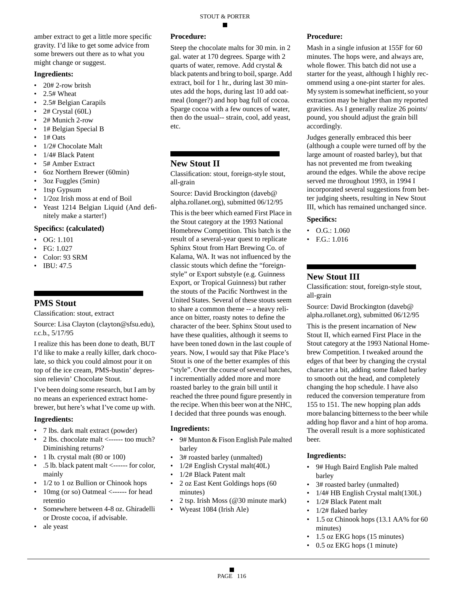amber extract to get a little more specific gravity. I'd like to get some advice from some brewers out there as to what you might change or suggest.

#### **Ingredients:**

- 20# 2-row britsh
- 2.5# Wheat
- 2.5# Belgian Carapils
- 2# Crystal (60L)
- 2# Munich 2-row
- 1# Belgian Special B
- $\bullet$  1# Oats
- 1/2# Chocolate Malt
- 1/4# Black Patent
- 5# Amber Extract
- 6oz Northern Brewer (60min)
- 3oz Fuggles (5min)
- 1tsp Gypsum
- 1/2oz Irish moss at end of Boil
- Yeast 1214 Belgian Liquid (And definitely make a starter!)

#### **Specifics: (calculated)**

- OG: 1.101
- FG:  $1.027$
- Color: 93 SRM
- IBU: 47.5

### **PMS Stout**

Classification: stout, extract

Source: Lisa Clayton (clayton@sfsu.edu), r.c.b., 5/17/95

I realize this has been done to death, BUT I'd like to make a really killer, dark chocolate, so thick you could almost pour it on top of the ice cream, PMS-bustin' depression relievin' Chocolate Stout.

I've been doing some research, but I am by no means an experienced extract homebrewer, but here's what I've come up with.

#### **Ingredients:**

- 7 lbs. dark malt extract (powder)
- 2 lbs. chocolate malt <------ too much? Diminishing returns?
- 1 lb. crystal malt (80 or 100)
- .5 lb. black patent malt <------ for color, mainly
- 1/2 to 1 oz Bullion or Chinook hops
- 10mg (or so) Oatmeal <------ for head retentio
- Somewhere between 4-8 oz. Ghiradelli or Droste cocoa, if advisable.
- ale yeast

#### **Procedure:**

Steep the chocolate malts for 30 min. in 2 gal. water at 170 degrees. Sparge with 2 quarts of water, remove. Add crystal & black patents and bring to boil, sparge. Add extract, boil for 1 hr., during last 30 minutes add the hops, during last 10 add oatmeal (longer?) and hop bag full of cocoa. Sparge cocoa with a few ounces of water, then do the usual-- strain, cool, add yeast, etc.

### **New Stout II**

Classification: stout, foreign-style stout, all-grain

Source: David Brockington (daveb@ alpha.rollanet.org), submitted 06/12/95 This is the beer which earned First Place in the Stout category at the 1993 National Homebrew Competition. This batch is the result of a several-year quest to replicate Sphinx Stout from Hart Brewing Co. of Kalama, WA. It was not influenced by the classic stouts which define the "foreignstyle" or Export substyle (e.g. Guinness Export, or Tropical Guinness) but rather the stouts of the Pacific Northwest in the United States. Several of these stouts seem to share a common theme -- a heavy reliance on bitter, roasty notes to define the character of the beer. Sphinx Stout used to have these qualities, although it seems to have been toned down in the last couple of years. Now, I would say that Pike Place's Stout is one of the better examples of this "style". Over the course of several batches, I incrementially added more and more roasted barley to the grain bill until it reached the three pound figure presently in the recipe. When this beer won at the NHC, I decided that three pounds was enough.

#### **Ingredients:**

- 9# Munton & Fison English Pale malted barley
- 3# roasted barley (unmalted)
- 1/2# English Crystal malt(40L)
- 1/2# Black Patent malt
- 2 oz East Kent Goldings hops (60 minutes)
- 2 tsp. Irish Moss (@30 minute mark)
- Wyeast 1084 (Irish Ale)

#### **Procedure:**

Mash in a single infusion at 155F for 60 minutes. The hops were, and always are, whole flower. This batch did not use a starter for the yeast, although I highly recommend using a one-pint starter for ales. My system is somewhat inefficient, so your extraction may be higher than my reported gravities. As I generally realize 26 points/ pound, you should adjust the grain bill accordingly.

Judges generally embraced this beer (although a couple were turned off by the large amount of roasted barley), but that has not prevented me from tweaking around the edges. While the above recipe served me throughout 1993, in 1994 I incorporated several suggestions from better judging sheets, resulting in New Stout III, which has remained unchanged since.

#### **Specifics:**

- O.G.: 1.060
- F.G.:  $1.016$

#### **New Stout III**

Classification: stout, foreign-style stout, all-grain

Source: David Brockington (daveb@ alpha.rollanet.org), submitted 06/12/95

This is the present incarnation of New Stout II, which earned First Place in the Stout category at the 1993 National Homebrew Competition. I tweaked around the edges of that beer by changing the crystal character a bit, adding some flaked barley to smooth out the head, and completely changing the hop schedule. I have also reduced the conversion temperature from 155 to 151. The new hopping plan adds more balancing bitterness to the beer while adding hop flavor and a hint of hop aroma. The overall result is a more sophisticated beer.

- 9# Hugh Baird English Pale malted barley
- 3# roasted barley (unmalted)
- 1/4# HB English Crystal malt(130L)
- 1/2# Black Patent malt
- 1/2# flaked barley
- 1.5 oz Chinook hops (13.1 AA% for 60 minutes)
- 1.5 oz EKG hops (15 minutes)
- 0.5 oz EKG hops (1 minute)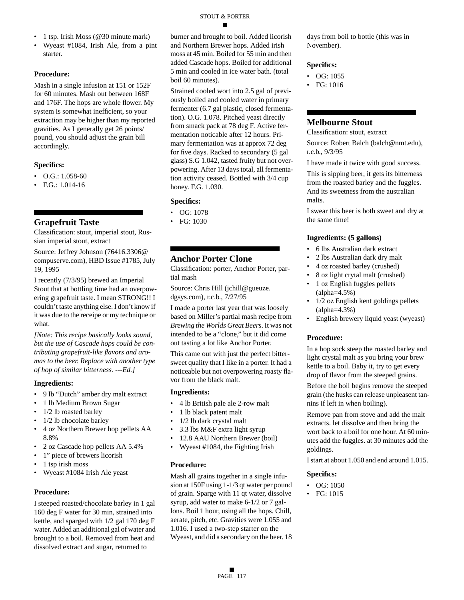- 1 tsp. Irish Moss (@30 minute mark)
- Wyeast #1084, Irish Ale, from a pint starter.

Mash in a single infusion at 151 or 152F for 60 minutes. Mash out between 168F and 176F. The hops are whole flower. My system is somewhat inefficient, so your extraction may be higher than my reported gravities. As I generally get 26 points/ pound, you should adjust the grain bill accordingly.

#### **Specifics:**

- O.G.: 1.058-60
- F.G.: 1.014-16

### **Grapefruit Taste**

Classification: stout, imperial stout, Russian imperial stout, extract

Source: Jeffrey Johnson (76416.3306@ compuserve.com), HBD Issue #1785, July 19, 1995

I recently (7/3/95) brewed an Imperial Stout that at bottling time had an overpowering grapefruit taste. I mean STRONG!! I couldn't taste anything else. I don't know if it was due to the receipe or my technique or what.

*[Note: This recipe basically looks sound, but the use of Cascade hops could be contributing grapefruit-like flavors and aromas to the beer. Replace with another type of hop of similar bitterness. ---Ed.]*

#### **Ingredients:**

- 9 lb "Dutch" amber dry malt extract
- 1 lb Medium Brown Sugar
- 1/2 lb roasted barley
- 1/2 lb chocolate barley
- 4 oz Northern Brewer hop pellets AA 8.8%
- 2 oz Cascade hop pellets AA 5.4%
- 1" piece of brewers licorish
- 1 tsp irish moss
- Wyeast #1084 Irish Ale yeast

#### **Procedure:**

I steeped roasted/chocolate barley in 1 gal 160 deg F water for 30 min, strained into kettle, and sparged with 1/2 gal 170 deg F water. Added an additional gal of water and brought to a boil. Removed from heat and dissolved extract and sugar, returned to

burner and brought to boil. Added licorish and Northern Brewer hops. Added irish moss at 45 min. Boiled for 55 min and then added Cascade hops. Boiled for additional 5 min and cooled in ice water bath. (total boil 60 minutes).

Strained cooled wort into 2.5 gal of previously boiled and cooled water in primary fermenter (6.7 gal plastic, closed fermentation). O.G. 1.078. Pitched yeast directly from smack pack at 78 deg F. Active fermentation noticable after 12 hours. Primary fermentation was at approx 72 deg for five days. Racked to secondary (5 gal glass) S.G 1.042, tasted fruity but not overpowering. After 13 days total, all fermentation activity ceased. Bottled with 3/4 cup honey. F.G. 1.030.

#### **Specifics:**

- OG: 1078
- FG: 1030

### **Anchor Porter Clone**

Classification: porter, Anchor Porter, partial mash

Source: Chris Hill (jchill@gueuze. dgsys.com), r.c.b., 7/27/95

I made a porter last year that was loosely based on Miller's partial mash recipe from *Brewing the Worlds Great Beers*. It was not intended to be a "clone," but it did come out tasting a lot like Anchor Porter.

This came out with just the perfect bittersweet quality that I like in a porter. It had a noticeable but not overpowering roasty flavor from the black malt.

#### **Ingredients:**

- 4 lb British pale ale 2-row malt
- 1 lb black patent malt
- 1/2 lb dark crystal malt
- 3.3 lbs M&F extra light syrup
- 12.8 AAU Northern Brewer (boil)
- Wyeast #1084, the Fighting Irish

#### **Procedure:**

Mash all grains together in a single infusion at 150F using 1-1/3 qt water per pound of grain. Sparge with 11 qt water, dissolve syrup, add water to make 6-1/2 or 7 gallons. Boil 1 hour, using all the hops. Chill, aerate, pitch, etc. Gravities were 1.055 and 1.016. I used a two-step starter on the Wyeast, and did a secondary on the beer. 18

days from boil to bottle (this was in November).

#### **Specifics:**

- OG: 1055
- FG: 1016

### **Melbourne Stout**

Classification: stout, extract

Source: Robert Balch (balch@nmt.edu), r.c.b., 9/3/95

I have made it twice with good success.

This is sipping beer, it gets its bitterness from the roasted barley and the fuggles. And its sweetness from the australian malts.

I swear this beer is both sweet and dry at the same time!

#### **Ingredients: (5 gallons)**

- 6 lbs Australian dark extract
- 2 lbs Australian dark dry malt
- 4 oz roasted barley (crushed)
- 8 oz light crytal malt (crushed) • 1 oz English fuggles pellets
- (alpha=4.5%)
- 1/2 oz English kent goldings pellets (alpha=4.3%)
- English brewery liquid yeast (wyeast)

#### **Procedure:**

In a hop sock steep the roasted barley and light crystal malt as you bring your brew kettle to a boil. Baby it, try to get every drop of flavor from the steeped grains.

Before the boil begins remove the steeped grain (the husks can release unpleasent tannins if left in when boiling).

Remove pan from stove and add the malt extracts. let dissolve and then bring the wort back to a boil for one hour. At 60 minutes add the fuggles. at 30 minutes add the goldings.

I start at about 1.050 and end around 1.015.

- OG:  $1050$
- FG: 1015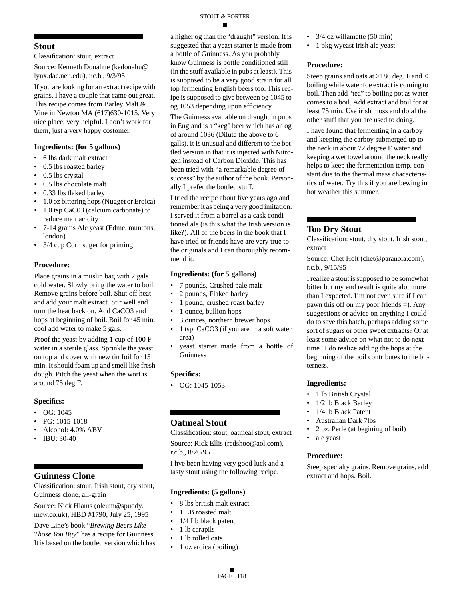### **Stout**

Classification: stout, extract

Source: Kenneth Donahue (kedonahu@ lynx.dac.neu.edu), r.c.b., 9/3/95

If you are looking for an extract recipe with grains, I have a couple that came out great. This recipe comes from Barley Malt & Vine in Newton MA (617)630-1015. Very nice place, very helpful. I don't work for them, just a very happy costomer.

#### **Ingredients: (for 5 gallons)**

- 6 lbs dark malt extract
- 0.5 lbs roasted barley
- 0.5 lbs crystal
- 0.5 lbs chocolate malt
- 0.33 lbs flaked barley
- 1.0 oz bittering hops (Nugget or Eroica)
- 1.0 tsp CaC03 (calcium carbonate) to reduce malt acidity
- 7-14 grams Ale yeast (Edme, muntons, london)
- 3/4 cup Corn suger for priming

#### **Procedure:**

Place grains in a muslin bag with 2 gals cold water. Slowly bring the water to boil. Remove grains before boil. Shut off heat and add your malt extract. Stir well and turn the heat back on. Add CaCO3 and hops at beginning of boil. Boil for 45 min. cool add water to make 5 gals.

Proof the yeast by adding 1 cup of 100 F water in a sterile glass. Sprinkle the yeast on top and cover with new tin foil for 15 min. It should foam up and smell like fresh dough. Pitch the yeast when the wort is around 75 deg F.

#### **Specifics:**

- OG: 1045
- FG: 1015-1018
- Alcohol: 4.0% ABV
- IBU: 30-40

### **Guinness Clone**

Classification: stout, Irish stout, dry stout, Guinness clone, all-grain

Source: Nick Hiams (oleum@spuddy. mew.co.uk), HBD #1790, July 25, 1995

Dave Line's book "*Brewing Beers Like Those You Buy*" has a recipe for Guinness. It is based on the bottled version which has a higher og than the "draught" version. It is suggested that a yeast starter is made from a bottle of Guinness. As you probably know Guinness is bottle conditioned still (in the stuff available in pubs at least). This is supposed to be a very good strain for all top fermenting English beers too. This recipe is supposed to give between og 1045 to og 1053 depending upon efficiency.

The Guinness available on draught in pubs in England is a "keg" beer which has an og of around 1036 (Dilute the above to 6 galls). It is unusual and different to the bottled version in that it is injected with Nitrogen instead of Carbon Dioxide. This has been tried with "a remarkable degree of success" by the author of the book. Personally I prefer the bottled stuff.

I tried the recipe about five years ago and remember it as being a very good imitation. I served it from a barrel as a cask conditioned ale (is this what the Irish version is like?). All of the beers in the book that I have tried or friends have are very true to the originals and I can thoroughly recommend it.

#### **Ingredients: (for 5 gallons)**

- 7 pounds, Crushed pale malt
- 2 pounds, Flaked barley
- 1 pound, crushed roast barley
- 1 ounce, bullion hops
- 3 ounces, northern brewer hops
- 1 tsp. CaCO3 (if you are in a soft water area)
- yeast starter made from a bottle of Guinness

#### **Specifics:**

 $\bullet$  OG: 1045-1053

### **Oatmeal Stout**

Classification: stout, oatmeal stout, extract Source: Rick Ellis (redshoo@aol.com),

r.c.b., 8/26/95

I hve been having very good luck and a tasty stout using the following recipe.

#### **Ingredients: (5 gallons)**

- 8 lbs british malt extract
- 1 LB roasted malt
- 1/4 Lb black patent
- 1 lb carapils
- 1 lb rolled oats
- 1 oz eroica (boiling)
- 3/4 oz willamette (50 min)
- 1 pkg wyeast irish ale yeast

#### **Procedure:**

Steep grains and oats at >180 deg. F and < boiling while water foe extract is coming to boil. Then add "tea" to boiling pot as water comes to a boil. Add extract and boil for at least 75 min. Use irish moss and do al the other stuff that you are used to doing.

I have found that fermenting in a carboy and keeping the carboy submerged up to the neck in about 72 degree F water and keeping a wet towel around the neck really helps to keep the fermentation temp. constant due to the thermal mass chacacteristics of water. Try this if you are bewing in hot weather this summer.

### **Too Dry Stout**

Classification: stout, dry stout, Irish stout, extract

Source: Chet Holt (chet@paranoia.com), r.c.b., 9/15/95

I realize a stout is supposed to be somewhat bitter but my end result is quite alot more than I expected. I'm not even sure if I can pawn this off on my poor friends =). Any suggestions or advice on anything I could do to save this batch, perhaps adding some sort of sugars or other sweet extracts? Or at least some advice on what not to do next time? I do realize adding the hops at the beginning of the boil contributes to the bitterness.

#### **Ingredients:**

- 1 lb British Crystal
- 1/2 lb Black Barley
- 1/4 lb Black Patent
- Australian Dark 7lbs
- 2 oz. Perle (at begining of boil)
- ale yeast

#### **Procedure:**

Steep specialty grains. Remove grains, add extract and hops. Boil.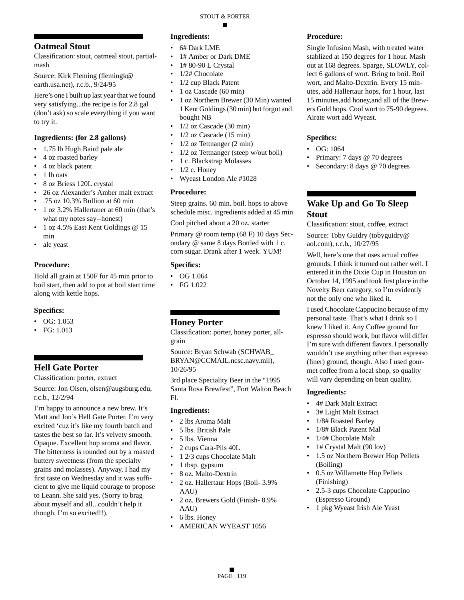### **Oatmeal Stout**

Classification: stout, oatmeal stout, partialmash

Source: Kirk Fleming (flemingk@ earth.usa.net), r.c.b., 9/24/95

Here's one I built up last year that we found very satisfying...the recipe is for 2.8 gal (don't ask) so scale everything if you want to try it.

#### **Ingredients: (for 2.8 gallons)**

- 1.75 lb Hugh Baird pale ale
- 4 oz roasted barley
- 4 oz black patent
- 1 lb oats
- 8 oz Briess 120L crystal
- 26 oz Alexander's Amber malt extract
- .75 oz 10.3% Bullion at 60 min
- 1 oz 3.2% Hallertauer at 60 min (that's what my notes say--honest)
- 1 oz 4.5% East Kent Goldings @ 15 min
- ale yeast

#### **Procedure:**

Hold all grain at 150F for 45 min prior to boil start, then add to pot at boil start time along with kettle hops.

#### **Specifics:**

- OG:  $1.053$
- FG: 1.013

### **Hell Gate Porter**

Classification: porter, extract

Source: Jon Olsen, olsen@augsburg.edu, r.c.b., 12/2/94

I'm happy to announce a new brew. It's Matt and Jon's Hell Gate Porter. I'm very excited 'cuz it's like my fourth batch and tastes the best so far. It's velvety smooth. Opaque. Excellent hop aroma and flavor. The bitterness is rounded out by a roasted buttery sweetness (from the specialty grains and molasses). Anyway, I had my first taste on Wednesday and it was sufficient to give me liquid courage to propose to Leann. She said yes. (Sorry to brag about myself and all...couldn't help it though, I'm so excited!!).

### **Ingredients:**

- 6# Dark LME
- 1# Amber or Dark DME
- 1# 80-90 L Crystal
- 1/2# Chocolate
- 1/2 cup Black Patent
- 1 oz Cascade (60 min)
- 1 oz Northern Brewer (30 Min) wanted 1 Kent Goldings (30 min) but forgot and bought NB
- $1/2$  oz Cascade (30 min)
- $1/2$  oz Cascade  $(15 \text{ min})$
- 1/2 oz Tettnanger (2 min)
- 1/2 oz Tettnanger (steep w/out boil)
- 1 c. Blackstrap Molasses
- $\bullet$  1/2 c. Honey
- Wyeast London Ale #1028

#### **Procedure:**

Steep grains. 60 min. boil. hops to above schedule misc. ingredients added at 45 min

Cool pitched about a 20 oz. starter

Primary @ room temp (68 F) 10 days Secondary @ same 8 days Bottled with 1 c. corn sugar. Drank after 1 week. YUM!

#### **Specifics:**

- OG 1.064
- FG 1.022

### **Honey Porter**

Classification: porter, honey porter, allgrain

Source: Bryan Schwab (SCHWAB\_ BRYAN@CCMAIL.ncsc.navy.mil), 10/26/95

3rd place Speciality Beer in the "1995 Santa Rosa Brewfest", Fort Walton Beach Fl.

#### **Ingredients:**

- 2 lbs Aroma Malt
- 5 lbs. British Pale
- 5 lbs. Vienna
- 2 cups Cara-Pils 40L
- 1 2/3 cups Chocolate Malt
- 1 tbsp. gypsum
- 8 oz. Malto-Dextrin
- 2 oz. Hallertaur Hops (Boil- 3.9% AAU)
- 2 oz. Brewers Gold (Finish- 8.9% AAU)
- 6 lbs. Honey
- AMERICAN WYEAST 1056

#### **Procedure:**

Single Infusion Mash, with treated water stablized at 150 degrees for 1 hour. Mash out at 168 degrees. Sparge, SLOWLY, collect 6 gallons of wort. Bring to boil. Boil wort, and Malto-Dextrin. Every 15 minutes, add Hallertaur hops, for 1 hour, last 15 minutes,add honey,and all of the Brewers Gold hops. Cool wort to 75-90 degrees. Airate wort add Wyeast.

#### **Specifics:**

- OG: 1064
- Primary: 7 days @ 70 degrees
- Secondary: 8 days @ 70 degrees

### **Wake Up and Go To Sleep Stout**

Classification: stout, coffee, extract

Source: Toby Guidry (tobyguidry@ aol.com), r.c.b., 10/27/95

Well, here's one that uses actual coffee grounds. I think it turned out rather well. I entered it in the Dixie Cup in Houston on October 14, 1995 and took first place in the Novelty Beer category, so I'm evidently not the only one who liked it.

I used Chocolate Cappucino because of my personal taste. That's what I drink so I knew I liked it. Any Coffee ground for espresso should work, but flavor will differ I'm sure with different flavors. I personally wouldn't use anything other than espresso (finer) ground, though. Also I used gourmet coffee from a local shop, so quality will vary depending on bean quality.

- 4# Dark Malt Extract
- 3# Light Malt Extract
- 1/8# Roasted Barley
- 1/8# Black Patent Mal
- 1/4# Chocolate Malt
- 1# Crystal Malt (90 lov)
- 1.5 oz Northern Brewer Hop Pellets (Boiling)
- 0.5 oz Willamette Hop Pellets (Finishing)
- 2.5-3 cups Chocolate Cappucino (Espresso Ground)
- 1 pkg Wyeast Irish Ale Yeast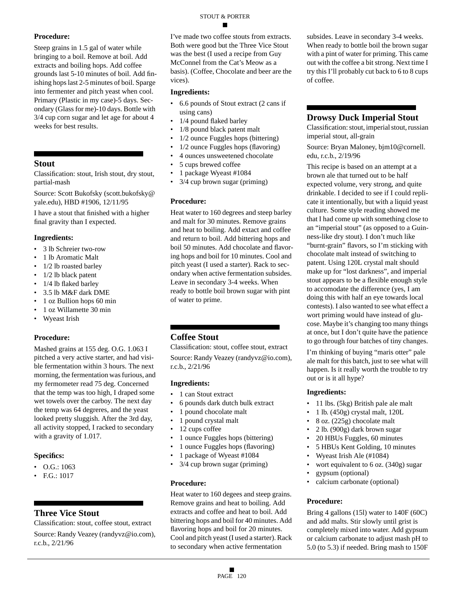Steep grains in 1.5 gal of water while bringing to a boil. Remove at boil. Add extracts and boiling hops. Add coffee grounds last 5-10 minutes of boil. Add finishing hops last 2-5 minutes of boil. Sparge into fermenter and pitch yeast when cool. Primary (Plastic in my case)-5 days. Secondary (Glass for me)-10 days. Bottle with 3/4 cup corn sugar and let age for about 4 weeks for best results.

#### **Stout**

Classification: stout, Irish stout, dry stout, partial-mash

Source: Scott Bukofsky (scott.bukofsky@ yale.edu), HBD #1906, 12/11/95

I have a stout that finished with a higher final gravity than I expected.

#### **Ingredients:**

- 3 lb Schreier two-row
- 1 lb Aromatic Malt
- 1/2 lb roasted barley
- 1/2 lb black patent
- 1/4 lb flaked barley
- 3.5 lb M&F dark DME
- 1 oz Bullion hops 60 min
- 1 oz Willamette 30 min
- Wyeast Irish

#### **Procedure:**

Mashed grains at 155 deg. O.G. 1.063 I pitched a very active starter, and had visible fermentation within 3 hours. The next morning, the fermentation was furious, and my fermometer read 75 deg. Concerned that the temp was too high, I draped some wet towels over the carboy. The next day the temp was 64 degreres, and the yeast looked pretty sluggish. After the 3rd day, all activity stopped, I racked to secondary with a gravity of 1.017.

#### **Specifics:**

- $\bullet$  O.G.: 1063
- F.G.: 1017

### **Three Vice Stout**

Classification: stout, coffee stout, extract Source: Randy Veazey (randyvz@io.com), r.c.b., 2/21/96

I've made two coffee stouts from extracts. Both were good but the Three Vice Stout was the best (I used a recipe from Guy McConnel from the Cat's Meow as a basis). (Coffee, Chocolate and beer are the vices).

#### **Ingredients:**

- 6.6 pounds of Stout extract (2 cans if using cans)
- 1/4 pound flaked barley
- 1/8 pound black patent malt
- 1/2 ounce Fuggles hops (bittering)
- 1/2 ounce Fuggles hops (flavoring)
- 4 ounces unsweetened chocolate
- 5 cups brewed coffee
- 1 package Wyeast #1084
- 3/4 cup brown sugar (priming)

#### **Procedure:**

Heat water to 160 degrees and steep barley and malt for 30 minutes. Remove grains and heat to boiling. Add extact and coffee and return to boil. Add bittering hops and boil 50 minutes. Add chocolate and flavoring hops and boil for 10 minutes. Cool and pitch yeast (I used a starter). Rack to secondary when active fermentation subsides. Leave in secondary 3-4 weeks. When ready to bottle boil brown sugar with pint of water to prime.

### **Coffee Stout**

Classification: stout, coffee stout, extract Source: Randy Veazey (randyvz@io.com), r.c.b., 2/21/96

#### **Ingredients:**

- 1 can Stout extract
- 6 pounds dark dutch bulk extract
- 1 pound chocolate malt
- 1 pound crystal malt
- 12 cups coffee
- 1 ounce Fuggles hops (bittering)
- 1 ounce Fuggles hops (flavoring)
- 1 package of Wyeast #1084
- 3/4 cup brown sugar (priming)

#### **Procedure:**

Heat water to 160 degees and steep grains. Remove grains and heat to boiling. Add extracts and coffee and heat to boil. Add bittering hops and boil for 40 minutes. Add flavoring hops and boil for 20 minutes. Cool and pitch yeast (I used a starter). Rack to secondary when active fermentation

subsides. Leave in secondary 3-4 weeks. When ready to bottle boil the brown sugar with a pint of water for priming. This came out with the coffee a bit strong. Next time I try this I'll probably cut back to 6 to 8 cups of coffee.

### **Drowsy Duck Imperial Stout**

Classification: stout, imperial stout, russian imperial stout, all-grain

Source: Bryan Maloney, bjm10@cornell. edu, r.c.b., 2/19/96

This recipe is based on an attempt at a brown ale that turned out to be half expected volume, very strong, and quite drinkable. I decided to see if I could replicate it intentionally, but with a liquid yeast culture. Some style reading showed me that I had come up with something close to an "imperial stout" (as opposed to a Guinness-like dry stout). I don't much like "burnt-grain" flavors, so I'm sticking with chocolate malt instead of switching to patent. Using 120L crystal malt should make up for "lost darkness", and imperial stout appears to be a flexible enough style to accomodate the difference (yes, I am doing this with half an eye towards local contests). I also wanted to see what effect a wort priming would have instead of glucose. Maybe it's changing too many things at once, but I don't quite have the patience to go through four batches of tiny changes.

I'm thinking of buying "maris otter" pale ale malt for this batch, just to see what will happen. Is it really worth the trouble to try out or is it all hype?

#### **Ingredients:**

- 11 lbs. (5kg) British pale ale malt
- 1 lb. (450g) crystal malt, 120L
- 8 oz. (225g) chocolate malt
- 2 lb. (900g) dark brown sugar
- 20 HBUs Fuggles, 60 minutes
- 5 HBUs Kent Golding, 10 minutes
- Wyeast Irish Ale (#1084)
- wort equivalent to 6 oz. (340g) sugar
- gypsum (optional)
- calcium carbonate (optional)

#### **Procedure:**

Bring 4 gallons (15l) water to 140F (60C) and add malts. Stir slowly until grist is completely mixed into water. Add gypsum or calcium carbonate to adjust mash pH to 5.0 (to 5.3) if needed. Bring mash to 150F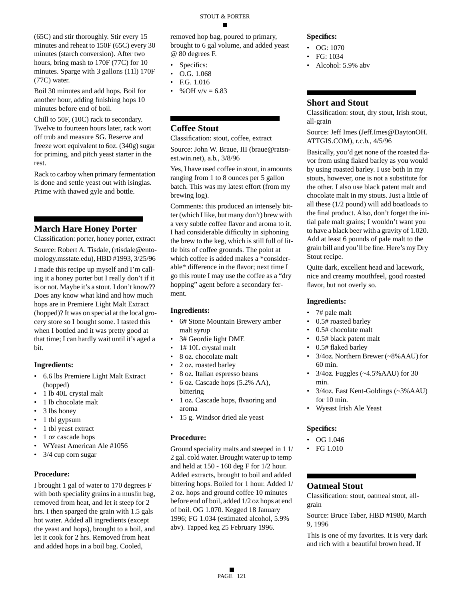(65C) and stir thoroughly. Stir every 15 minutes and reheat to 150F (65C) every 30 minutes (starch conversion). After two hours, bring mash to 170F (77C) for 10 minutes. Sparge with 3 gallons (11l) 170F (77C) water.

Boil 30 minutes and add hops. Boil for another hour, adding finishing hops 10 minutes before end of boil.

Chill to 50F, (10C) rack to secondary. Twelve to fourteen hours later, rack wort off trub and measure SG. Reserve and freeze wort equivalent to 6oz. (340g) sugar for priming, and pitch yeast starter in the rest.

Rack to carboy when primary fermentation is done and settle yeast out with isinglas. Prime with thawed gyle and bottle.

### **March Hare Honey Porter**

Classification: porter, honey porter, extract

Source: Robert A. Tisdale, (rtisdale@entomology.msstate.edu), HBD #1993, 3/25/96

I made this recipe up myself and I'm calling it a honey porter but I really don't if it is or not. Maybe it's a stout. I don't know?? Does any know what kind and how much hops are in Premiere Light Malt Extract (hopped)? It was on special at the local grocery store so I bought some. I tasted this when I bottled and it was pretty good at that time; I can hardly wait until it's aged a bit.

#### **Ingredients:**

- 6.6 lbs Premiere Light Malt Extract (hopped)
- 1 lb 40L crystal malt
- 1 lb chocolate malt
- 3 lbs honey
- 1 tbl gypsum
- 1 tbl yeast extract
- 1 oz cascade hops
- WYeast American Ale #1056
- 3/4 cup corn sugar

#### **Procedure:**

I brought 1 gal of water to 170 degrees F with both speciality grains in a muslin bag, removed from heat, and let it steep for 2 hrs. I then sparged the grain with 1.5 gals hot water. Added all ingredients (except the yeast and hops), brought to a boil, and let it cook for 2 hrs. Removed from heat and added hops in a boil bag. Cooled,

removed hop bag, poured to primary, brought to 6 gal volume, and added yeast @ 80 degrees F.

- Specifics:
- O.G. 1.068
- F.G. 1.016
- % OH  $v/v = 6.83$

### **Coffee Stout**

Classification: stout, coffee, extract

Source: John W. Braue, III (braue@ratsnest.win.net), a.b., 3/8/96

Yes, I have used coffee in stout, in amounts ranging from 1 to 8 ounces per 5 gallon batch. This was my latest effort (from my brewing log).

Comments: this produced an intensely bitter (which I like, but many don't) brew with a very subtle coffee flavor and aroma to it. I had considerable difficulty in siphoning the brew to the keg, which is still full of little bits of coffee grounds. The point at which coffee is added makes a \*considerable\* difference in the flavor; next time I go this route I may use the coffee as a "dry hopping" agent before a secondary ferment.

#### **Ingredients:**

- 6# Stone Mountain Brewery amber malt syrup
- 3# Geordie light DME
- 1# 10L crystal malt
- 8 oz. chocolate malt
- 2 oz. roasted barley
- 8 oz. Italian espresso beans
- 6 oz. Cascade hops (5.2% AA), bittering
- 1 oz. Cascade hops, flvaoring and aroma
- 15 g. Windsor dried ale yeast

#### **Procedure:**

Ground speciality malts and steeped in 1 1/ 2 gal. cold water. Brought water up to temp and held at 150 - 160 deg F for 1/2 hour. Added extracts, brought to boil and added bittering hops. Boiled for 1 hour. Added 1/ 2 oz. hops and ground coffee 10 minutes before end of boil, added 1/2 oz hops at end of boil. OG 1.070. Kegged 18 January 1996; FG 1.034 (estimated alcohol, 5.9% abv). Tapped keg 25 February 1996.

#### **Specifics:**

- OG: 1070
- FG: 1034
- Alcohol: 5.9% abv

### **Short and Stout**

Classification: stout, dry stout, Irish stout, all-grain

Source: Jeff Imes (Jeff.Imes@DaytonOH. ATTGIS.COM), r.c.b., 4/5/96

Basically, you'd get none of the roasted flavor from using flaked barley as you would by using roasted barley. I use both in my stouts, however, one is not a substitute for the other. I also use black patent malt and chocolate malt in my stouts. Just a little of all these (1/2 pound) will add boatloads to the final product. Also, don't forget the initial pale malt grains; I wouldn't want you to have a black beer with a gravity of 1.020. Add at least 6 pounds of pale malt to the grain bill and you'll be fine. Here's my Dry Stout recipe.

Quite dark, excellent head and lacework, nice and creamy mouthfeel, good roasted flavor, but not overly so.

#### **Ingredients:**

- 7# pale malt
- 0.5# roasted barley
- 0.5# chocolate malt
- 0.5# black patent malt
- 0.5# flaked barley
- 3/4oz. Northern Brewer (~8%AAU) for 60 min.
- 3/4oz. Fuggles (~4.5%AAU) for 30 min.
- 3/4oz. East Kent-Goldings (~3%AAU) for 10 min.
- Wyeast Irish Ale Yeast

#### **Specifics:**

- OG 1.046
- FG 1.010

#### **Oatmeal Stout**

Classification: stout, oatmeal stout, allgrain

Source: Bruce Taber, HBD #1980, March 9, 1996

This is one of my favorites. It is very dark and rich with a beautiful brown head. If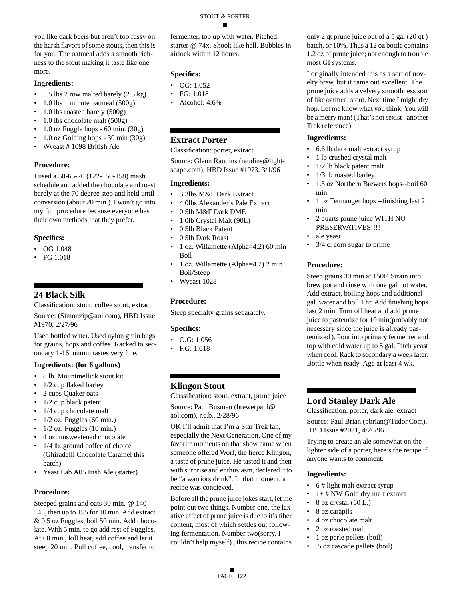you like dark beers but aren't too fussy on the harsh flavors of some stouts, then this is for you. The oatmeal adds a smooth richness to the stout making it taste like one more.

#### **Ingredients:**

- 5.5 lbs 2 row malted barely  $(2.5 \text{ kg})$
- 1.0 lbs 1 minute oatmeal (500g)
- 1.0 lbs roasted barely (500g)
- 1.0 lbs chocolate malt (500g)
- 1.0 oz Fuggle hops 60 min. (30g)
- 1.0 oz Golding hops 30 min (30g)
- Wyeast # 1098 British Ale

#### **Procedure:**

I used a 50-65-70 (122-150-158) mash schedule and added the chocolate and roast barely at the 70 degree step and held until conversion (about 20 min.). I won't go into my full procedure because everyone has their own methods that they prefer.

#### **Specifics:**

- OG 1.048
- FG 1.018

### **24 Black Silk**

Classification: stout, coffee stout, extract Source: (Simonzip@aol.com), HBD Issue #1970, 2/27/96

Used bottled water. Used nylon grain bags for grains, hops and coffee. Racked to secondary 1-16, uumm tastes very fine.

#### **Ingredients: (for 6 gallons)**

- 8 lb. Mountmellick stout kit
- 1/2 cup flaked barley
- 2 cups Quaker oats
- 1/2 cup black patent
- 1/4 cup chocolate malt
- $1/2$  oz. Fuggles (60 min.)
- $1/2$  oz. Fuggles (10 min.)
- 4 oz. unsweetened chocolate
- 1/4 lb. ground coffee of choice (Ghiradelli Chocolate Caramel this batch)
- Yeast Lab A05 Irish Ale (starter)

#### **Procedure:**

Steeped grains and oats 30 min. @ 140- 145, then up to 155 for 10 min. Add extract & 0.5 oz Fuggles, boil 50 min. Add chocolate. With 5 min. to go add rest of Fuggles. At 60 min., kill heat, add coffee and let it steep 20 min. Pull coffee, cool, transfer to

fermenter, top up with water. Pitched starter @ 74x. Shook like hell. Bubbles in airlock within 12 hours.

#### **Specifics:**

- OG: 1.052
- FG: 1.018
- Alcohol: 4.6%

#### **Extract Porter**

Classification: porter, extract

Source: Glenn Raudins (raudins@lightscape.com), HBD Issue #1973, 3/1/96

#### **Ingredients:**

- 3.3lbs M&F Dark Extract
- 4.0lbs Alexander's Pale Extract
- 0.5lb M&F Dark DME
- 1.0lb Crystal Malt (90L)
- 0.5lb Black Patent
- 0.5lb Dark Roast
- 1 oz. Willamette (Alpha=4.2) 60 min Boil
- 1 oz. Willamette (Alpha=4.2) 2 min Boil/Steep
- Wyeast 1028

#### **Procedure:**

Steep specialty grains separately.

#### **Specifics:**

- O.G: 1.056
- F.G: 1.018

### **Klingon Stout**

Classification: stout, extract, prune juice Source: Paul Busman (brewerpaul@ aol.com), r.c.b., 2/28/96

OK I'll admit that I'm a Star Trek fan, especially the Next Generation. One of my favorite moments on that show came when someone offered Worf, the fierce Klingon, a taste of prune juice. He tasted it and then with surprise and enthusiasm, declared it to be "a warriors drink". In that moment, a recipe was concieved.

Before all the prune juice jokes start, let me point out two things. Number one, the laxative effect of prune juice is due to it's fiber content, most of which settles out following fermentation. Number two(sorry, I couldn't help myself) , this recipe contains

only 2 qt prune juice out of a 5 gal (20 qt ) batch, or 10%. Thus a 12 oz bottle contains 1.2 oz of prune juice; not enough to trouble most GI systems.

I originally intended this as a sort of novelty brew, but it came out excellent. The prune juice adds a velvety smoothness sort of like oatmeal stout. Next time I might dry hop. Let me know what you think. You will be a merry man! (That's not sexist--another Trek reference).

#### **Ingredients:**

- 6.6 lb dark malt extract syrup
- 1 lb crushed crystal malt
- 1/2 lb black patent malt
- 1/3 lb roasted barley
- 1.5 oz Northern Brewers hops--boil 60 min.
- 1 oz Tettnanger hops --finishing last 2 min.
- 2 quarts prune juice WITH NO PRESERVATIVES!!!!
- ale yeast
- 3/4 c. corn sugar to prime

#### **Procedure:**

Steep grains 30 min at 150F. Strain into brew pot and rinse with one gal hot water. Add extract, boiling hops and additional gal. water and boil 1 hr. Add finishing hops last 2 min. Turn off heat and add prune juice to pasteurize for 10 min(probably not necessary since the juice is already pasteurized ). Pour into primary fermenter and top with cold water up to 5 gal. Pitch yeast when cool. Rack to secondary a week later. Bottle when ready. Age at least 4 wk.

### **Lord Stanley Dark Ale**

Classification: porter, dark ale, extract Source: Paul Brian (pbrian@Tudor.Com), HBD Issue #2021, 4/26/96

Trying to create an ale somewhat on the lighter side of a porter, here's the recipe if anyone wants to comment.

- 6 # light malt extract syrup
- $1+$  # NW Gold dry malt extract
- 8 oz crystal  $(60 L.)$
- 8 oz carapils
- 4 oz chocolate malt
- 2 oz roasted malt
- 1 oz perle pellets (boil)
- .5 oz cascade pellets (boil)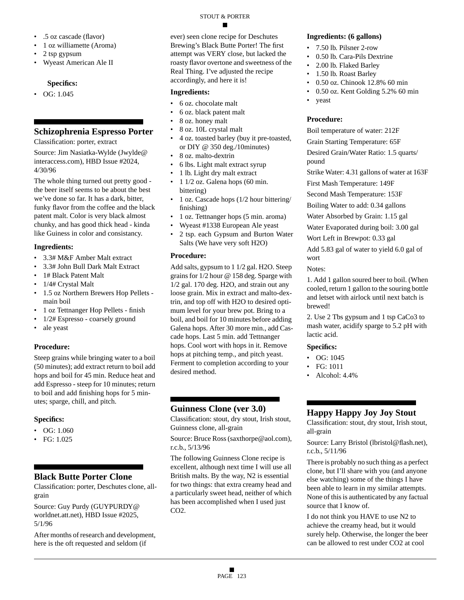- .5 oz cascade (flavor)
- 1 oz williamette (Aroma)
- 2 tsp gypsum
- Wyeast American Ale II

### **Specifics:**

• OG:  $1.045$ 

### **Schizophrenia Espresso Porter**

Classification: porter, extract

Source: Jim Nasiatka-Wylde (Jwylde@ interaccess.com), HBD Issue #2024, 4/30/96

The whole thing turned out pretty good the beer itself seems to be about the best we've done so far. It has a dark, bitter, funky flavor from the coffee and the black patent malt. Color is very black almost chunky, and has good thick head - kinda like Guiness in color and consistancy.

#### **Ingredients:**

- 3.3# M&F Amber Malt extract
- 3.3# John Bull Dark Malt Extract
- 1# Black Patent Malt
- 1/4# Crystal Malt
- 1.5 oz Northern Brewers Hop Pellets main boil
- 1 oz Tettnanger Hop Pellets finish
- 1/2# Espresso coarsely ground
- ale yeast

#### **Procedure:**

Steep grains while bringing water to a boil (50 minutes); add extract return to boil add hops and boil for 45 min. Reduce heat and add Espresso - steep for 10 minutes; return to boil and add finishing hops for 5 minutes; sparge, chill, and pitch.

#### **Specifics:**

- $\bullet$  OG: 1.060
- FG: 1.025

### **Black Butte Porter Clone**

Classification: porter, Deschutes clone, allgrain

Source: Guy Purdy (GUYPURDY@ worldnet.att.net), HBD Issue #2025, 5/1/96

After months of research and development, here is the oft requested and seldom (if

ever) seen clone recipe for Deschutes Brewing's Black Butte Porter! The first attempt was VERY close, but lacked the roasty flavor overtone and sweetness of the Real Thing. I've adjusted the recipe accordingly, and here it is!

#### **Ingredients:**

- 6 oz. chocolate malt
- 6 oz. black patent malt
- 8 oz. honey malt
- 8 oz. 10L crystal malt
- 4 oz. toasted barley (buy it pre-toasted, or DIY @ 350 deg./10minutes)
- 8 oz. malto-dextrin
- 6 lbs. Light malt extract syrup
- 1 lb. Light dry malt extract
- 1 1/2 oz. Galena hops (60 min. bittering)
- 1 oz. Cascade hops (1/2 hour bittering/ finishing)
- 1 oz. Tettnanger hops (5 min. aroma)
- Wyeast #1338 European Ale yeast
- 2 tsp. each Gypsum and Burton Water Salts (We have very soft H2O)

#### **Procedure:**

Add salts, gypsum to 1 1/2 gal. H2O. Steep grains for 1/2 hour @ 158 deg. Sparge with 1/2 gal. 170 deg. H2O, and strain out any loose grain. Mix in extract and malto-dextrin, and top off with H2O to desired optimum level for your brew pot. Bring to a boil, and boil for 10 minutes before adding Galena hops. After 30 more min., add Cascade hops. Last 5 min. add Tettnanger hops. Cool wort with hops in it. Remove hops at pitching temp., and pitch yeast. Ferment to completion according to your desired method.

### **Guinness Clone (ver 3.0)**

Classification: stout, dry stout, Irish stout, Guinness clone, all-grain

Source: Bruce Ross (saxthorpe@aol.com), r.c.b., 5/13/96

The following Guinness Clone recipe is excellent, although next time I will use all British malts. By the way, N2 is essential for two things: that extra creamy head and a particularly sweet head, neither of which has been accomplished when I used just CO2.

#### **Ingredients: (6 gallons)**

- 7.50 lb. Pilsner 2-row
- 0.50 lb. Cara-Pils Dextrine
- 2.00 lb. Flaked Barley
- 1.50 lb. Roast Barley
- 0.50 oz. Chinook 12.8% 60 min
- 0.50 oz. Kent Golding 5.2% 60 min
- yeast

## **Procedure:**

Boil temperature of water: 212F

Grain Starting Temperature: 65F

Desired Grain/Water Ratio: 1.5 quarts/ pound

Strike Water: 4.31 gallons of water at 163F

First Mash Temperature: 149F

Second Mash Temperature: 153F

Boiling Water to add: 0.34 gallons

Water Absorbed by Grain: 1.15 gal

Water Evaporated during boil: 3.00 gal

Wort Left in Brewpot: 0.33 gal

Add 5.83 gal of water to yield 6.0 gal of wort

#### Notes:

1. Add 1 gallon soured beer to boil. (When cooled, return 1 gallon to the souring bottle and letset with airlock until next batch is brewed!

2. Use 2 Tbs gypsum and 1 tsp CaCo3 to mash water, acidify sparge to 5.2 pH with lactic acid.

#### **Specifics:**

- OG: 1045
- FG: 1011
- Alcohol: 4.4%

### **Happy Happy Joy Joy Stout**

Classification: stout, dry stout, Irish stout, all-grain

Source: Larry Bristol (lbristol@flash.net), r.c.b., 5/11/96

There is probably no such thing as a perfect clone, but I'll share with you (and anyone else watching) some of the things I have been able to learn in my similar attempts. None of this is authenticated by any factual source that I know of.

I do not think you HAVE to use N2 to achieve the creamy head, but it would surely help. Otherwise, the longer the beer can be allowed to rest under CO2 at cool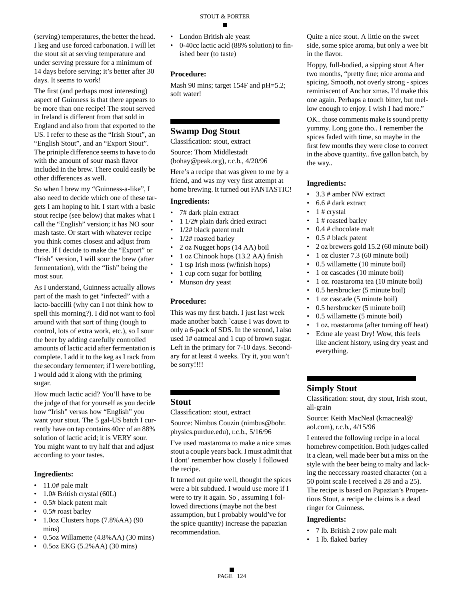(serving) temperatures, the better the head. I keg and use forced carbonation. I will let the stout sit at serving temperature and under serving pressure for a minimum of 14 days before serving; it's better after 30 days. It seems to work!

The first (and perhaps most interesting) aspect of Guinness is that there appears to be more than one recipe! The stout served in Ireland is different from that sold in England and also from that exported to the US. I refer to these as the "Irish Stout", an "English Stout", and an "Export Stout". The priniple difference seems to have to do with the amount of sour mash flavor included in the brew. There could easily be other differences as well.

So when I brew my "Guinness-a-like", I also need to decide which one of these targets I am hoping to hit. I start with a basic stout recipe (see below) that makes what I call the "English" version; it has NO sour mash taste. Or start with whatever recipe you think comes closest and adjust from there. If I decide to make the "Export" or "Irish" version, I will sour the brew (after fermentation), with the "Iish" being the most sour.

As I understand, Guinness actually allows part of the mash to get "infected" with a lacto-baccilli (why can I not think how to spell this morning?). I did not want to fool around with that sort of thing (tough to control, lots of extra work, etc.), so I sour the beer by adding carefully controlled amounts of lactic acid after fermentation is complete. I add it to the keg as I rack from the secondary fermenter; if I were bottling, I would add it along with the priming sugar.

How much lactic acid? You'll have to be the judge of that for yourself as you decide how "Irish" versus how "English" you want your stout. The 5 gal-US batch I currently have on tap contains 40cc of an 88% solution of lactic acid; it is VERY sour. You might want to try half that and adjust according to your tastes.

#### **Ingredients:**

- 11.0# pale malt
- 1.0# British crystal (60L)
- 0.5# black patent malt
- 0.5# roast barley
- 1.0oz Clusters hops (7.8%AA) (90 mins)
- 0.5oz Willamette (4.8%AA) (30 mins)
- 0.5oz EKG (5.2%AA) (30 mins)
- London British ale yeast
- 0-40cc lactic acid (88% solution) to finished beer (to taste)

#### **Procedure:**

Mash 90 mins; target 154F and pH=5.2; soft water!

### **Swamp Dog Stout**

Classification: stout, extract

Source: Thom Middlestadt

(bohay@peak.org), r.c.b., 4/20/96

Here's a recipe that was given to me by a friend, and was my very first attempt at home brewing. It turned out FANTASTIC!

#### **Ingredients:**

- 7# dark plain extract
- 1 1/2# plain dark dried extract
- 1/2# black patent malt
- 1/2# roasted barley
- 2 oz Nugget hops (14 AA) boil
- 1 oz Chinook hops (13.2 AA) finish
- 1 tsp Irish moss (w/finish hops)
- 1 cup corn sugar for bottling
- Munson dry yeast

#### **Procedure:**

This was my first batch. I just last week made another batch `cause I was down to only a 6-pack of SDS. In the second, I also used 1# oatmeal and 1 cup of brown sugar. Left in the primary for 7-10 days. Secondary for at least 4 weeks. Try it, you won't be sorry!!!!

### **Stout**

Classification: stout, extract

Source: Nimbus Couzin (nimbus@bohr. physics.purdue.edu), r.c.b., 5/16/96

I've used roastaroma to make a nice xmas stout a couple years back. I must admit that I dont' remember how closely I followed the recipe.

It turned out quite well, thought the spices were a bit subdued. I would use more if I were to try it again. So , assuming I followed directions (maybe not the best assumption, but I probably would've for the spice quantity) increase the papazian recommendation.

Quite a nice stout. A little on the sweet side, some spice aroma, but only a wee bit in the flavor.

Hoppy, full-bodied, a sipping stout After two months, "pretty fine; nice aroma and spicing. Smooth, not overly strong - spices reminiscent of Anchor xmas. I'd make this one again. Perhaps a touch bitter, but mellow enough to enjoy. I wish I had more."

OK.. those comments make is sound pretty yummy. Long gone tho.. I remember the spices faded with time, so maybe in the first few months they were close to correct in the above quantity.. five gallon batch, by the way..

#### **Ingredients:**

- 3.3 # amber NW extract
- 6.6 # dark extract
- $\bullet$  1 # crystal
- 1 # roasted barley
- 0.4 # chocolate malt
- 0.5 # black patent
- 2 oz brewers gold 15.2 (60 minute boil)
- 1 oz cluster 7.3 (60 minute boil)
- 0.5 willamette (10 minute boil)
- 1 oz cascades (10 minute boil)
- 1 oz. roastaroma tea (10 minute boil)
- 0.5 hersbrucker (5 minute boil)
- 1 oz cascade (5 minute boil)
- 0.5 hersbrucker (5 minute boil)
- 0.5 willamette (5 minute boil)
- 1 oz. roastaroma (after turning off heat)
- Edme ale yeast Dry! Wow, this feels like ancient history, using dry yeast and everything.

#### **Simply Stout**

Classification: stout, dry stout, Irish stout, all-grain

Source: Keith MacNeal (kmacneal@ aol.com), r.c.b., 4/15/96

I entered the following recipe in a local homebrew competition. Both judges called it a clean, well made beer but a miss on the style with the beer being to malty and lacking the neccessary roasted character (on a 50 point scale I received a 28 and a 25). The recipe is based on Papazian's Propentious Stout, a recipe he claims is a dead ringer for Guinness.

- 7 lb. British 2 row pale malt
- 1 lb. flaked barley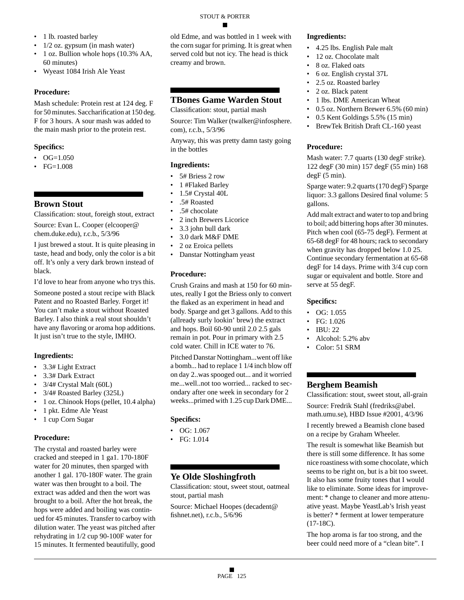- 1 lb. roasted barley
- $1/2$  oz. gypsum (in mash water)
- 1 oz. Bullion whole hops (10.3% AA, 60 minutes)
- Wyeast 1084 Irish Ale Yeast

Mash schedule: Protein rest at 124 deg. F for 50 minutes. Saccharification at 150 deg. F for 3 hours. A sour mash was added to the main mash prior to the protein rest.

#### **Specifics:**

- $\bullet$  OG=1.050
- FG=1.008

### **Brown Stout**

Classification: stout, foreigh stout, extract

Source: Evan L. Cooper (elcooper@ chem.duke.edu), r.c.b., 5/3/96

I just brewed a stout. It is quite pleasing in taste, head and body, only the color is a bit off. It's only a very dark brown instead of black.

I'd love to hear from anyone who trys this.

Someone posted a stout recipe with Black Patent and no Roasted Barley. Forget it! You can't make a stout without Roasted Barley. I also think a real stout shouldn't have any flavoring or aroma hop additions. It just isn't true to the style, IMHO.

#### **Ingredients:**

- 3.3# Light Extract
- 3.3# Dark Extract
- 3/4# Crystal Malt (60L)
- 3/4# Roasted Barley (325L)
- 1 oz. Chinook Hops (pellet, 10.4 alpha)
- 1 pkt. Edme Ale Yeast
- 1 cup Corn Sugar

#### **Procedure:**

The crystal and roasted barley were cracked and steeped in 1 ga1. 170-180F water for 20 minutes, then sparged with another 1 gal. 170-180F water. The grain water was then brought to a boil. The extract was added and then the wort was brought to a boil. After the hot break, the hops were added and boiling was continued for 45 minutes. Transfer to carboy with dilution water. The yeast was pitched after rehydrating in 1/2 cup 90-100F water for 15 minutes. It fermented beautifully, good

old Edme, and was bottled in 1 week with the corn sugar for priming. It is great when served cold but not icy. The head is thick creamy and brown.

### **TBones Game Warden Stout**

Classification: stout, partial mash

Source: Tim Walker (twalker@infosphere. com), r.c.b., 5/3/96

Anyway, this was pretty damn tasty going in the bottles

#### **Ingredients:**

- 5# Briess 2 row
- 1 #Flaked Barley
- 1.5# Crystal 40L
- .5# Roasted
- .5# chocolate
- 2 inch Brewers Licorice
- 3.3 john bull dark
- 3.0 dark M&F DME
- 2 oz Eroica pellets
- Danstar Nottingham yeast

#### **Procedure:**

Crush Grains and mash at 150 for 60 minutes, really I got the Briess only to convert the flaked as an experiment in head and body. Sparge and get 3 gallons. Add to this (allready surly lookin' brew) the extract and hops. Boil 60-90 until 2.0 2.5 gals remain in pot. Pour in primary with 2.5 cold water. Chill in ICE water to 76.

Pitched Danstar Nottingham...went off like a bomb... had to replace 1 1/4 inch blow off on day 2..was spooged out... and it worried me...well..not too worried... racked to secondary after one week in secondary for 2 weeks...primed with 1.25 cup Dark DME...

#### **Specifics:**

- OG: 1.067
- FG: 1.014

### **Ye Olde Sloshingfroth**

Classification: stout, sweet stout, oatmeal stout, partial mash

Source: Michael Hoopes (decadent@ fishnet.net), r.c.b., 5/6/96

#### **Ingredients:**

- 4.25 lbs. English Pale malt
- 12 oz. Chocolate malt
- 8 oz. Flaked oats
- 6 oz. English crystal 37L
- 2.5 oz. Roasted barley
- 2 oz. Black patent
- 1 lbs. DME American Wheat
- 0.5 oz. Northern Brewer 6.5% (60 min)
- 0.5 Kent Goldings 5.5% (15 min)
- BrewTek British Draft CL-160 yeast

#### **Procedure:**

Mash water: 7.7 quarts (130 degF strike). 122 degF (30 min) 157 degF (55 min) 168 degF (5 min).

Sparge water: 9.2 quarts (170 degF) Sparge liquor: 3.3 gallons Desired final volume: 5 gallons.

Add malt extract and water to top and bring to boil; add bittering hops after 30 minutes. Pitch when cool (65-75 degF). Ferment at 65-68 degF for 48 hours; rack to secondary when gravity has dropped below 1.0 25. Continue secondary fermentation at 65-68 degF for 14 days. Prime with 3/4 cup corn sugar or equivalent and bottle. Store and serve at 55 degF.

#### **Specifics:**

- $\bullet$  OG: 1.055
- FG: 1.026
- IBU: 22
- Alcohol: 5.2% abv
- Color: 51 SRM

### **Berghem Beamish**

Classification: stout, sweet stout, all-grain Source: Fredrik Stahl (fredriks@abel. math.umu.se), HBD Issue #2001, 4/3/96 I recently brewed a Beamish clone based on a recipe by Graham Wheeler.

The result is somewhat like Beamish but there is still some difference. It has some nice roastiness with some chocolate, which seems to be right on, but is a bit too sweet. It also has some fruity tones that I would like to eliminate. Some ideas for improvement: \* change to cleaner and more attenuative yeast. Maybe YeastLab's Irish yeast is better? \* ferment at lower temperature (17-18C).

The hop aroma is far too strong, and the beer could need more of a "clean bite". I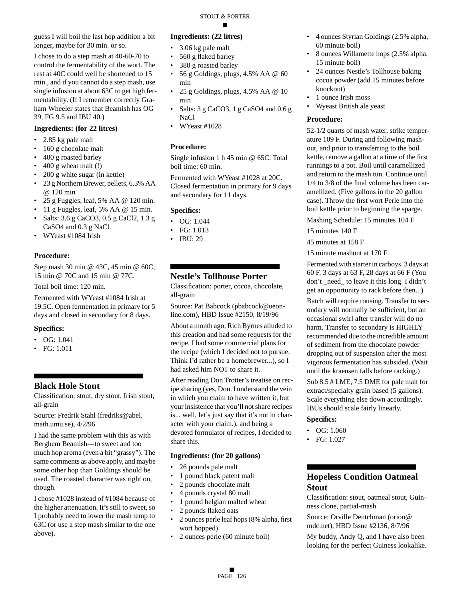guess I will boil the last hop addition a bit longer, maybe for 30 min. or so.

I chose to do a step mash at 40-60-70 to control the fermentability of the wort. The rest at 40C could well be shortened to 15 min., and if you cannot do a step mash, use single infusion at about 63C to get high fermentability. (If I remember correctly Graham Wheeler states that Beamish has OG 39, FG 9.5 and IBU 40.)

#### **Ingredients: (for 22 litres)**

- 2.85 kg pale malt
- 160 g chocolate malt
- 400 g roasted barley
- 400 g wheat malt (!)
- 200 g white sugar (in kettle)
- 23 g Northern Brewer, pellets, 6.3% AA @ 120 min
- 25 g Fuggles, leaf, 5% AA  $@$  120 min.
- 11 g Fuggles, leaf, 5% AA @ 15 min.
- Salts: 3.6 g CaCO3, 0.5 g CaCl2, 1.3 g CaSO4 and 0.3 g NaCl.
- WYeast #1084 Irish

#### **Procedure:**

Step mash 30 min @ 43C, 45 min @ 60C, 15 min @ 70C and 15 min @ 77C.

Total boil time: 120 min.

Fermented with WYeast #1084 Irish at 19.5C. Open fermentation in primary for 5 days and closed in secondary for 8 days.

#### **Specifics:**

- OG: 1.041
- FG: 1.011

#### **Black Hole Stout**

Classification: stout, dry stout, Irish stout, all-grain

Source: Fredrik Stahl (fredriks@abel. math.umu.se), 4/2/96

I had the same problem with this as with Berghem Beamish---to sweet and too much hop aroma (even a bit "grassy"). The same comments as above apply, and maybe some other hop than Goldings should be used. The roasted character was right on, though.

I chose #1028 instead of #1084 because of the higher attenuation. It's still to sweet, so I probably need to lower the mash temp to 63C (or use a step mash similar to the one above).

#### **Ingredients: (22 litres)**

- 3.06 kg pale malt
- 560 g flaked barley
- 380 g roasted barley
- 56 g Goldings, plugs, 4.5% AA  $@$  60 min
- 25 g Goldings, plugs, 4.5% AA @ 10 min
- Salts: 3 g CaCO3, 1 g CaSO4 and 0.6 g NaCl
- WYeast #1028

#### **Procedure:**

Single infusion 1 h 45 min @ 65C. Total boil time: 60 min.

Fermented with WYeast #1028 at 20C. Closed fermentation in primary for 9 days and secondary for 11 days.

#### **Specifics:**

- OG: 1.044
- FG: 1.013
- IBU: 29

### **Nestle's Tollhouse Porter**

Classification: porter, cocoa, chocolate, all-grain

Source: Pat Babcock (pbabcock@oeonline.com), HBD Issue #2150, 8/19/96

About a month ago, Rich Byrnes alluded to this creation and had some requests for the recipe. I had some commercial plans for the recipe (which I decided not to pursue. Think I'd rather be a homebrewer...), so I had asked him NOT to share it.

After reading Don Trotter's treatise on recipe sharing (yes, Don. I understand the vein in which you claim to have written it, but your insistence that you'll not share recipes is... well, let's just say that it's not in character with your claim.), and being a devoted formulator of recipes, I decided to share this.

#### **Ingredients: (for 20 gallons)**

- 26 pounds pale malt
- 1 pound black patent malt
- 2 pounds chocolate malt
- 4 pounds crystal 80 malt
- 1 pound belgian malted wheat
- 2 pounds flaked oats
- 2 ounces perle leaf hops (8% alpha, first wort hopped)
- 2 ounces perle (60 minute boil)
- 4 ounces Styrian Goldings (2.5% alpha, 60 minute boil)
- 8 ounces Willamette hops (2.5% alpha, 15 minute boil)
- 24 ounces Nestle's Tollhouse baking cocoa powder (add 15 minutes before knockout)
- 1 ounce Irish moss
- Wyeast British ale yeast

#### **Procedure:**

52-1/2 quarts of mash water, strike temperature 109 F. During and following mashout, and prior to transferring to the boil kettle, remove a gallon at a time of the first runnings to a pot. Boil until caramellized and return to the mash tun. Continue until 1/4 to 3/8 of the final volume has been caramellized. (Five gallons in the 20 gallon case). Throw the first wort Perle into the boil kettle prior to beginning the sparge.

Mashing Schedule: 15 minutes 104 F

15 minutes 140 F

45 minutes at 158 F

15 minute mashout at 170 F

Fermented with starter in carboys. 3 days at 60 F, 3 days at 63 F, 28 days at 66 F (You don't \_need\_ to leave it this long. I didn't get an opportunity to rack before then...)

Batch will require rousing. Transfer to secondary will normally be sufficient, but an occasional swirl after transfer will do no harm. Transfer to secondary is HIGHLY recommended due to the incredible amount of sediment from the chocolate powder dropping out of suspension after the most vigorous fermentation has subsided. (Wait until the kraeusen falls before racking.)

Sub 8.5 # LME, 7.5 DME for pale malt for extract/specialty grain based (5 gallons). Scale everything else down accordingly. IBUs should scale fairly linearly.

#### **Specifics:**

- OG: 1.060
- FG: 1.027

### **Hopeless Condition Oatmeal Stout**

Classification: stout, oatmeal stout, Guinness clone, partial-mash

Source: Orville Deutchman (orion@ mdc.net), HBD Issue #2136, 8/7/96

My buddy, Andy Q, and I have also been looking for the perfect Guiness lookalike.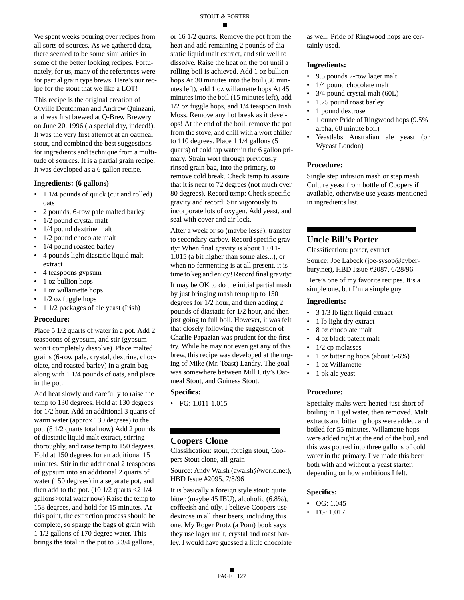We spent weeks pouring over recipes from all sorts of sources. As we gathered data, there seemed to be some similarities in some of the better looking recipes. Fortunately, for us, many of the references were for partial grain type brews. Here's our recipe for the stout that we like a LOT!

This recipe is the original creation of Orville Deutchman and Andrew Quinzani, and was first brewed at Q-Brew Brewery on June 20, 1996 ( a special day, indeed!). It was the very first attempt at an oatmeal stout, and combined the best suggestions for ingredients and technique from a multitude of sources. It is a partial grain recipe. It was developed as a 6 gallon recipe.

#### **Ingredients: (6 gallons)**

- 1 1/4 pounds of quick (cut and rolled) oats
- 2 pounds, 6-row pale malted barley
- 1/2 pound crystal malt
- 1/4 pound dextrine malt
- 1/2 pound chocolate malt
- 1/4 pound roasted barley
- 4 pounds light diastatic liquid malt extract
- 4 teaspoons gypsum
- 1 oz bullion hops
- 1 oz willamette hops
- 1/2 oz fuggle hops
- 1 1/2 packages of ale yeast (Irish)

#### **Procedure:**

Place 5 1/2 quarts of water in a pot. Add 2 teaspoons of gypsum, and stir (gypsum won't completely dissolve). Place malted grains (6-row pale, crystal, dextrine, chocolate, and roasted barley) in a grain bag along with 1 1/4 pounds of oats, and place in the pot.

Add heat slowly and carefully to raise the temp to 130 degrees. Hold at 130 degrees for 1/2 hour. Add an additional 3 quarts of warm water (approx 130 degrees) to the pot. (8 1/2 quarts total now) Add 2 pounds of diastatic liquid malt extract, stirring thoroughly, and raise temp to 150 degrees. Hold at 150 degrees for an additional 15 minutes. Stir in the additional 2 teaspoons of gypsum into an additional 2 quarts of water (150 degrees) in a separate pot, and then add to the pot.  $(10 \frac{1}{2}$  quarts  $\leq 2 \frac{1}{4}$ gallons>total water now) Raise the temp to 158 degrees, and hold for 15 minutes. At this point, the extraction process should be complete, so sparge the bags of grain with 1 1/2 gallons of 170 degree water. This brings the total in the pot to 3 3/4 gallons,

or 16 1/2 quarts. Remove the pot from the heat and add remaining 2 pounds of diastatic liquid malt extract, and stir well to dissolve. Raise the heat on the pot until a rolling boil is achieved. Add 1 oz bullion hops At 30 minutes into the boil (30 minutes left), add 1 oz willamette hops At 45 minutes into the boil (15 minutes left), add 1/2 oz fuggle hops, and 1/4 teaspoon Irish Moss. Remove any hot break as it develops! At the end of the boil, remove the pot from the stove, and chill with a wort chiller to 110 degrees. Place 1 1/4 gallons (5 quarts) of cold tap water in the 6 gallon primary. Strain wort through previously rinsed grain bag, into the primary, to remove cold break. Check temp to assure that it is near to 72 degrees (not much over 80 degrees). Record temp: Check specific gravity and record: Stir vigorously to incorporate lots of oxygen. Add yeast, and seal with cover and air lock.

After a week or so (maybe less?), transfer to secondary carboy. Record specific gravity: When final gravity is about 1.011- 1.015 (a bit higher than some ales...), or when no fermenting is at all present, it is time to keg and enjoy! Record final gravity:

It may be OK to do the initial partial mash by just bringing mash temp up to 150 degrees for 1/2 hour, and then adding 2 pounds of diastatic for 1/2 hour, and then just going to full boil. However, it was felt that closely following the suggestion of Charlie Papazian was prudent for the first try. While he may not even get any of this brew, this recipe was developed at the urging of Mike (Mr. Toast) Landry. The goal was somewhere between Mill City's Oatmeal Stout, and Guiness Stout.

#### **Specifics:**

• FG: 1.011-1.015

#### **Coopers Clone**

Classification: stout, foreign stout, Coopers Stout clone, all-grain

Source: Andy Walsh (awalsh@world.net), HBD Issue #2095, 7/8/96

It is basically a foreign style stout: quite bitter (maybe 45 IBU), alcoholic (6.8%), coffeeish and oily. I believe Coopers use dextrose in all their beers, including this one. My Roger Protz (a Pom) book says they use lager malt, crystal and roast barley. I would have guessed a little chocolate as well. Pride of Ringwood hops are certainly used.

#### **Ingredients:**

- 9.5 pounds 2-row lager malt
- 1/4 pound chocolate malt
- $3/4$  pound crystal malt (60L)
- 1.25 pound roast barley
- 1 pound dextrose
- 1 ounce Pride of Ringwood hops (9.5% alpha, 60 minute boil)
- Yeastlabs Australian ale yeast (or Wyeast London)

#### **Procedure:**

Single step infusion mash or step mash. Culture yeast from bottle of Coopers if available, otherwise use yeasts mentioned in ingredients list.

#### **Uncle Bill's Porter**

Classification: porter, extract

Source: Joe Labeck (joe-sysop@cyberbury.net), HBD Issue #2087, 6/28/96

Here's one of my favorite recipes. It's a simple one, but I'm a simple guy.

#### **Ingredients:**

- 3 1/3 lb light liquid extract
- 1 lb light dry extract
- 8 oz chocolate malt
- 4 oz black patent malt
- 1/2 cp molasses
- 1 oz bittering hops (about 5-6%)
- 1 oz Willamette
- 1 pk ale yeast

#### **Procedure:**

Specialty malts were heated just short of boiling in 1 gal water, then removed. Malt extracts and bittering hops were added, and boiled for 55 minutes. Willamette hops were added right at the end of the boil, and this was poured into three gallons of cold water in the primary. I've made this beer both with and without a yeast starter, depending on how ambitious I felt.

- OG: 1.045
- FG: 1.017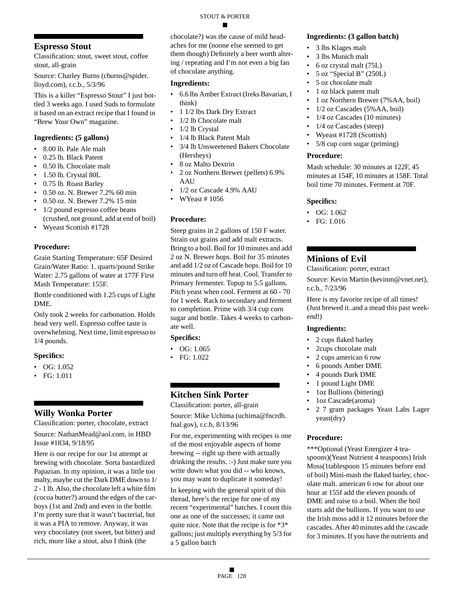### **Espresso Stout**

Classification: stout, sweet stout, coffee stout, all-grain

Source: Charley Burns (cburns@spider. lloyd.com), r.c.b., 5/3/96

This is a killer "Espresso Stout" I just bottled 3 weeks ago. I used Suds to formulate it based on an extract recipe that I found in "Brew Your Own" magazine.

#### **Ingredients: (5 gallons)**

- 8.00 lb. Pale Ale malt
- 0.25 lb. Black Patent
- 0.50 lb. Chocolate malt
- 1.50 lb. Crystal 80L
- 0.75 lb. Roast Barley
- 0.50 oz. N. Brewer 7.2% 60 min
- 0.50 oz. N. Brewer 7.2% 15 min
- 1/2 pound espresso coffee beans (crushed, not ground, add at end of boil)
- Wyeast Scottish #1728

#### **Procedure:**

Grain Starting Temperature: 65F Desired Grain/Water Ratio: 1. quarts/pound Strike Water: 2.75 gallons of water at 177F First Mash Temperature: 155F.

Bottle conditioned with 1.25 cups of Light DME.

Only took 2 weeks for carbonation. Holds head very well. Espresso coffee taste is overwhelming. Next time, limit espresso to 1/4 pounds.

#### **Specifics:**

- OG:  $1.052$
- FG: 1.011

### **Willy Wonka Porter**

Classification: porter, chocolate, extract Source: NathanMead@aol.com, in HBD Issue #1834, 9/18/95

Here is our recipe for our 1st attempt at brewing with chocolate. Sorta bastardized Papazian. In my opinion, it was a little too malty, maybe cut the Dark DME down to 1/ 2 - 1 lb. Also, the chocolate left a white film (cocoa butter?) around the edges of the carboys (1st and 2nd) and even in the bottle. I'm pretty sure that it wasn't bacterial, but it was a PIA to remove. Anyway, it was very chocolatey (not sweet, but bitter) and rich, more like a stout, also I think (the

chocolate?) was the cause of mild headaches for me (noone else seemed to get them though) Definitely a beer worth altering / repeating and I'm not even a big fan of chocolate anything.

#### **Ingredients:**

- 6.6 lbs Amber Extract (Ireks Bavarian, I think)
- 1 1/2 lbs Dark Dry Extract
- 1/2 lb Chocolate malt
- 1/2 lb Crystal
- 1/4 lb Black Patent Malt
- 3/4 lb Unsweetened Bakers Chocolate
- (Hersheys) • 8 oz Malto Dextrin
- 2 oz Northern Brewer (pellets) 6.9% AAU
- 1/2 oz Cascade 4.9% AAU
- WYeast # 1056

#### **Procedure:**

Steep grains in 2 gallons of 150 F water. Strain out grains and add malt extracts. Bring to a boil. Boil for 10 minutes and add 2 oz N. Brewer hops. Boil for 35 minutes and add 1/2 oz of Cascade hops. Boil for 10 minutes and turn off heat. Cool, Transfer to Primary fermenter. Topup to 5.5 gallons. Pitch yeast when cool. Ferment at 60 - 70 for 1 week. Rack to secondary and ferment to completion. Prime with 3/4 cup corn sugar and bottle. Takes 4 weeks to carbonate well.

#### **Specifics:**

- OG: 1.065
- FG: 1.022

### **Kitchen Sink Porter**

Classification: porter, all-grain Source: Mike Uchima (uchima@fncrdh. fnal.gov), r.c.b, 8/13/96

For me, experimenting with recipes is one of the most enjoyable aspects of home brewing -- right up there with actually drinking the results. :-) Just make sure you write down what you did -- who knows, you may want to duplicate it someday!

In keeping with the general spirit of this thread, here's the recipe for one of my recent "experimental" batches. I count this one as one of the successes; it came out quite nice. Note that the recipe is for \*3\* gallons; just multiply everything by 5/3 for a 5 gallon batch

#### **Ingredients: (3 gallon batch)**

- 3 lbs Klages malt
- 3 lbs Munich malt
- 6 oz crystal malt (75L)
- 5 oz "Special B" (250L)
- 5 oz chocolate malt
- 1 oz black patent malt
- 1 oz Northern Brewer (7%AA, boil)
- 1/2 oz Cascades (5% AA, boil)
- 1/4 oz Cascades (10 minutes)
- $1/4$  oz Cascades (steep)
- Wyeast #1728 (Scottish)
- 5/8 cup corn sugar (priming)

#### **Procedure:**

Mash schedule: 30 minutes at 122F, 45 minutes at 154F, 10 minutes at 158F. Total boil time 70 minutes. Ferment at 70F.

#### **Specifics:**

- OG:  $1.062$
- FG: 1.016

### **Minions of Evil**

Classification: porter, extract

Source: Kevin Martin (kevinm@vnet.net), r.c.b., 7/23/96

Here is my favorite recipe of all times! (Just brewed it..and a mead this past weekend!)

#### **Ingredients:**

- 2 cups flaked barley
- 2cups chocolate malt
- 2 cups american 6 row
- 6 pounds Amber DME
- 4 pounds Dark DME
- 1 pound Light DME
- 1oz Bullions (bittering)
- 1oz Cascade(aroma)
- 2 7 gram packages Yeast Labs Lager yeast(dry)

#### **Procedure:**

\*\*\*Optional (Yeast Energizer 4 teaspoons)(Yeast Nutrient 4 teaspoons) Irish Moss(1tablespoon 15 minutes before end of boil) Mini-mash the flaked barley, chocolate malt. american 6 row for about one hour at 155f add the eleven pounds of DME and raise to a boil. When the boil starts add the bullions. If you want to use the Irish moss add it 12 minutes before the cascades. After 40 minutes add the cascade for 3 minutes. If you have the nutrients and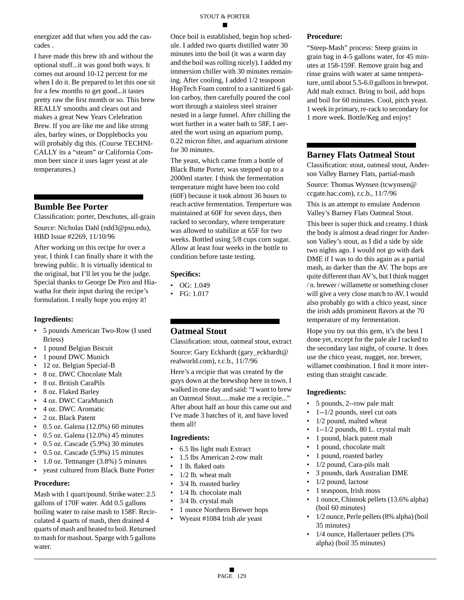energizer add that when you add the cascades .

I have made this brew ith and without the optional stuff...it was good both ways. It comes out around 10-12 percent for me when I do it. Be prepared to let this one sit for a few months to get good...it tastes pretty raw the first month or so. This brew REALLY smooths and clears out and makes a great New Years Celebration Brew. If you are like me and like strong ales, barley wines, or Dopplebocks you will probably dig this. (Course TECHNI-CALLY its a "steam" or California Common beer since it uses lager yeast at ale temperatures.)

### **Bumble Bee Porter**

Classification: porter, Deschutes, all-grain Source: Nicholas Dahl (ndd3@psu.edu), HBD Issue #2269, 11/10/96

After working on this recipe for over a year, I think I can finally share it with the brewing public. It is virtually identical to the original, but I'll let you be the judge. Special thanks to George De Piro and Hiawatha for their input during the recipe's formulation. I really hope you enjoy it!

#### **Ingredients:**

- 5 pounds American Two-Row (I used Briess)
- 1 pound Belgian Biscuit
- 1 pound DWC Munich
- 12 oz. Belgian Special-B
- 8 oz. DWC Chocolate Malt
- 8 oz. British CaraPils
- 8 oz. Flaked Barley
- 4 oz. DWC CaraMunich
- 4 oz. DWC Aromatic
- 2 oz. Black Patent
- $\cdot$  0.5 oz. Galena (12.0%) 60 minutes
- 0.5 oz. Galena (12.0%) 45 minutes
- 0.5 oz. Cascade (5.9%) 30 minutes
- 0.5 oz. Cascade (5.9%) 15 minutes
- 1.0 oz. Tettnanger (3.8%) 5 minutes
- yeast cultured from Black Butte Porter

#### **Procedure:**

Mash with 1 quart/pound. Strike water: 2.5 gallons of 170F water. Add 0.5 gallons boiling water to raise mash to 158F. Recirculated 4 quarts of mash, then drained 4 quarts of mash and heated to boil. Returned to mash for mashout. Sparge with 5 gallons water.

Once boil is established, begin hop schedule. I added two quarts distilled water 30 minutes into the boil (it was a warm day and the boil was rolling nicely). I added my immersion chiller with 30 minutes remaining. After cooling, I added 1/2 teaspoon HopTech Foam control to a sanitized 6 gallon carboy, then carefully poured the cool wort through a stainless steel strainer nested in a large funnel. After chilling the wort further in a water bath to 58F, I aerated the wort using an aquarium pump, 0.22 micron filter, and aquarium airstone for 30 minutes.

The yeast, which came from a bottle of Black Butte Porter, was stepped up to a 2000ml starter. I think the fermentation temperature might have been too cold (60F) because it took almost 36 hours to reach active fermentation. Temperture was maintained at 60F for seven days, then racked to secondary, where temperature was allowed to stabilize at 65F for two weeks. Bottled using 5/8 cups corn sugar. Allow at least four weeks in the bottle to condition before taste testing.

#### **Specifics:**

- OG: 1.049
- FG: 1.017

### **Oatmeal Stout**

Classification: stout, oatmeal stout, extract Source: Gary Eckhardt (gary\_eckhardt@ realworld.com), r.c.b., 11/7/96

Here's a recipie that was created by the guys down at the brewshop here in town. I walked in one day and said: "I want to brew an Oatmeal Stout.....make me a recipie..." After about half an hour this came out and I've made 3 batches of it, and have loved them all!

#### **Ingredients:**

- 6.5 lbs light malt Extract
- 1.5 lbs American 2-row malt
- 1 lb. flaked oats
- 1/2 lb. wheat malt
- 3/4 lb. roasted barley
- 1/4 lb. chocolate malt
- 3/4 lb. crystal malt
- 1 ounce Northern Brewer hops
- Wyeast #1084 Irish ale yeast

#### **Procedure:**

"Steep-Mash" process: Steep grains in grain bag in 4-5 gallons water, for 45 minutes at 158-159F. Remove grain bag and rinse grains with water at same temperature, until about 5.5-6.0 gallons in brewpot. Add malt extract. Bring to boil, add hops and boil for 60 minutes. Cool, pitch yeast. 1 week in primary, re-rack to secondary for 1 more week. Bottle/Keg and enjoy!

#### **Barney Flats Oatmeal Stout**

Classification: stout, oatmeal stout, Anderson Valley Barney Flats, partial-mash Source: Thomas Wynsen (tcwynsen@ ccgate.hac.com), r.c.b., 11/7/96

This is an attempt to emulate Anderson Valley's Barney Flats Oatmeal Stout.

This beer is super thick and creamy. I think the body is almost a dead ringer for Anderson Valley's stout, as I did a side by side two nights ago. I would not go with dark DME if I was to do this again as a partial mash, as darker than the AV. The hops are quite different than AV's, but I think nugget / n. brewer / willamette or something closer will give a very close match to AV. I would also probably go with a chico yeast, since the irish adds prominent flavors at the 70 temperature of my fermentation.

Hope you try out this gem, it's the best I done yet, except for the pale ale I racked to the secondary last night, of course. It does use the chico yeast, nugget, nor. brewer, willamet combination. I find it more interesting than straight cascade.

- 5 pounds, 2--row pale malt
- 1--1/2 pounds, steel cut oats
- 1/2 pound, malted wheat
- 1--1/2 pounds, 80 L. crystal malt
- 1 pound, black patent malt
- 1 pound, chocolate malt
- 1 pound, roasted barley
- 1/2 pound, Cara-pils malt
- 3 pounds, dark Australian DME
- 1/2 pound, lactose
- 1 teaspoon, Irish moss
- 1 ounce, Chinnok pellets (13.6% alpha) (boil 60 minutes)
- 1/2 ounce, Perle pellets (8% alpha) (boil 35 minutes)
- 1/4 ounce, Hallertauer pellets (3% alpha) (boil 35 minutes)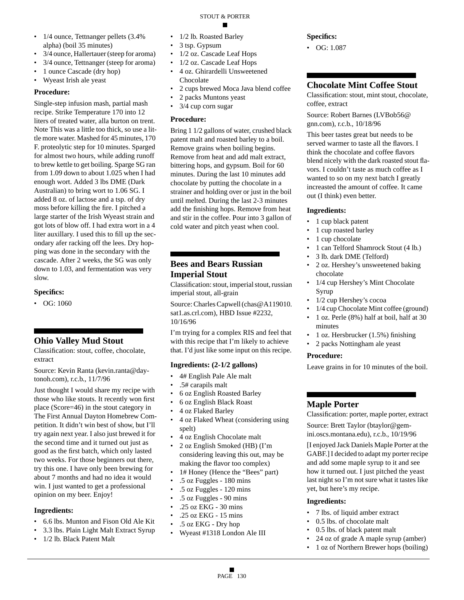- 1/4 ounce, Tettnanger pellets (3.4%) alpha) (boil 35 minutes)
- 3/4 ounce, Hallertauer (steep for aroma)
- 3/4 ounce, Tettnanger (steep for aroma)
- 1 ounce Cascade (dry hop)
- Wyeast Irish ale yeast

Single-step infusion mash, partial mash recipe. Strike Temperature 170 into 12 liters of treated water, alla burton on trent. Note This was a little too thick, so use a little more water. Mashed for 45 minutes, 170 F. proteolytic step for 10 minutes. Sparged for almost two hours, while adding runoff to brew kettle to get boiling. Sparge SG ran from 1.09 down to about 1.025 when I had enough wort. Added 3 lbs DME (Dark Australian) to bring wort to 1.06 SG. I added 8 oz. of lactose and a tsp. of dry moss before killing the fire. I pitched a large starter of the Irish Wyeast strain and got lots of blow off. I had extra wort in a 4 liter auxillary. I used this to fill up the secondary afer racking off the lees. Dry hopping was done in the secondary with the cascade. After 2 weeks, the SG was only down to 1.03, and fermentation was very slow.

#### **Specifics:**

• OG: 1060

### **Ohio Valley Mud Stout**

Classification: stout, coffee, chocolate, extract

Source: Kevin Ranta (kevin.ranta@daytonoh.com), r.c.b., 11/7/96

Just thought I would share my recipe with those who like stouts. It recently won first place (Score=46) in the stout category in The First Annual Dayton Homebrew Competition. It didn't win best of show, but I'll try again next year. I also just brewed it for the second time and it turned out just as good as the first batch, which only lasted two weeks. For those beginners out there, try this one. I have only been brewing for about 7 months and had no idea it would win. I just wanted to get a professional opinion on my beer. Enjoy!

#### **Ingredients:**

- 6.6 lbs. Munton and Fison Old Ale Kit
- 3.3 lbs. Plain Light Malt Extract Syrup
- 1/2 lb. Black Patent Malt
- 1/2 lb. Roasted Barley
- 3 tsp. Gypsum
- 1/2 oz. Cascade Leaf Hops
- 1/2 oz. Cascade Leaf Hops
- 4 oz. Ghirardelli Unsweetened Chocolate
- 2 cups brewed Moca Java blend coffee
- 2 packs Muntons yeast
- 3/4 cup corn sugar

#### **Procedure:**

Bring 1 1/2 gallons of water, crushed black patent malt and roasted barley to a boil. Remove grains when boiling begins. Remove from heat and add malt extract, bittering hops, and gypsum. Boil for 60 minutes. During the last 10 minutes add chocolate by putting the chocolate in a strainer and holding over or just in the boil until melted. During the last 2-3 minutes add the finishing hops. Remove from heat and stir in the coffee. Pour into 3 gallon of cold water and pitch yeast when cool.

### **Bees and Bears Russian Imperial Stout**

Classification: stout, imperial stout, russian imperial stout, all-grain

Source: Charles Capwell (chas@A119010. sat1.as.crl.com), HBD Issue #2232, 10/16/96

I'm trying for a complex RIS and feel that with this recipe that I'm likely to achieve that. I'd just like some input on this recipe.

#### **Ingredients: (2-1/2 gallons)**

- 4# English Pale Ale malt
- .5# carapils malt
- 6 oz English Roasted Barley
- 6 oz English Black Roast
- 4 oz Flaked Barley
- 4 oz Flaked Wheat (considering using spelt)
- 4 oz English Chocolate malt
- 2 oz English Smoked (HB) (I'm considering leaving this out, may be making the flavor too complex)
- 1# Honey (Hence the "Bees" part)
- .5 oz Fuggles 180 mins
- .5 oz Fuggles 120 mins
- .5 oz Fuggles 90 mins
- .25 oz EKG 30 mins
- .25 oz EKG 15 mins
- .5 oz EKG Dry hop
- Wyeast #1318 London Ale III

### **Specifics:**

• OG: 1.087

### **Chocolate Mint Coffee Stout**

Classification: stout, mint stout, chocolate, coffee, extract

Source: Robert Barnes (LVBob56@ gnn.com), r.c.b., 10/18/96

This beer tastes great but needs to be served warmer to taste all the flavors. I think the chocolate and coffee flavors blend nicely with the dark roasted stout flavors. I couldn't taste as much coffee as I wanted to so on my next batch I greatly increasted the amount of coffee. It came out (I think) even better.

#### **Ingredients:**

- 1 cup black patent
- 1 cup roasted barley
- 1 cup chocolate
- 1 can Telford Shamrock Stout (4 lb.)
- 3 lb. dark DME (Telford)
- 2 oz. Hershey's unsweetened baking chocolate
- 1/4 cup Hershey's Mint Chocolate Syrup
- 1/2 cup Hershey's cocoa
- 1/4 cup Chocolate Mint coffee (ground)
- 1 oz. Perle (8%) half at boil, half at 30 minutes
- 1 oz. Hersbrucker (1.5%) finishing
- 2 packs Nottingham ale yeast

#### **Procedure:**

Leave grains in for 10 minutes of the boil.

### **Maple Porter**

Classification: porter, maple porter, extract Source: Brett Taylor (btaylor@gemini.oscs.montana.edu), r.c.b., 10/19/96

[I enjoyed Jack Daniels Maple Porter at the GABF.] I decided to adapt my porter recipe and add some maple syrup to it and see how it turned out. I just pitched the yeast last night so I'm not sure what it tastes like yet, but here's my recipe.

- 7 lbs. of liquid amber extract
- 0.5 lbs. of chocolate malt
- 0.5 lbs. of black patent malt
- 24 oz of grade A maple syrup (amber)
- 1 oz of Northern Brewer hops (boiling)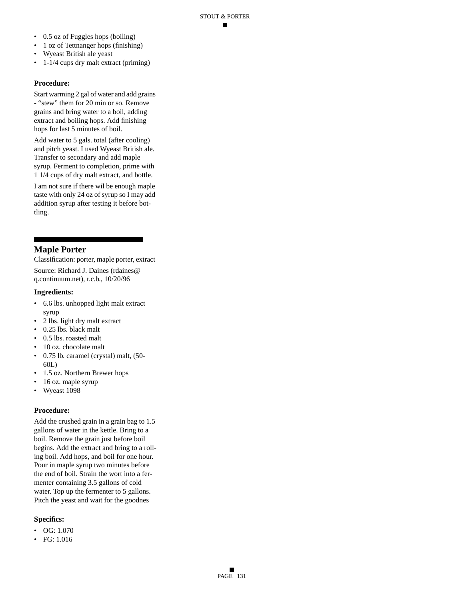- 0.5 oz of Fuggles hops (boiling)
- 1 oz of Tettnanger hops (finishing)
- Wyeast British ale yeast
- 1-1/4 cups dry malt extract (priming)

Start warming 2 gal of water and add grains - "stew" them for 20 min or so. Remove grains and bring water to a boil, adding extract and boiling hops. Add finishing hops for last 5 minutes of boil.

Add water to 5 gals. total (after cooling) and pitch yeast. I used Wyeast British ale. Transfer to secondary and add maple syrup. Ferment to completion, prime with 1 1/4 cups of dry malt extract, and bottle.

I am not sure if there wil be enough maple taste with only 24 oz of syrup so I may add addition syrup after testing it before bottling.

### **Maple Porter**

Classification: porter, maple porter, extract Source: Richard J. Daines (rdaines@ q.continuum.net), r.c.b., 10/20/96

#### **Ingredients:**

- 6.6 lbs. unhopped light malt extract syrup
- 2 lbs. light dry malt extract
- 0.25 lbs. black malt
- 0.5 lbs. roasted malt
- 10 oz. chocolate malt
- 0.75 lb. caramel (crystal) malt, (50- 60L)
- 1.5 oz. Northern Brewer hops
- 16 oz. maple syrup
- Wyeast 1098

#### **Procedure:**

Add the crushed grain in a grain bag to 1.5 gallons of water in the kettle. Bring to a boil. Remove the grain just before boil begins. Add the extract and bring to a rolling boil. Add hops, and boil for one hour. Pour in maple syrup two minutes before the end of boil. Strain the wort into a fermenter containing 3.5 gallons of cold water. Top up the fermenter to 5 gallons. Pitch the yeast and wait for the goodnes

- OG:  $1.070$
- FG: 1.016